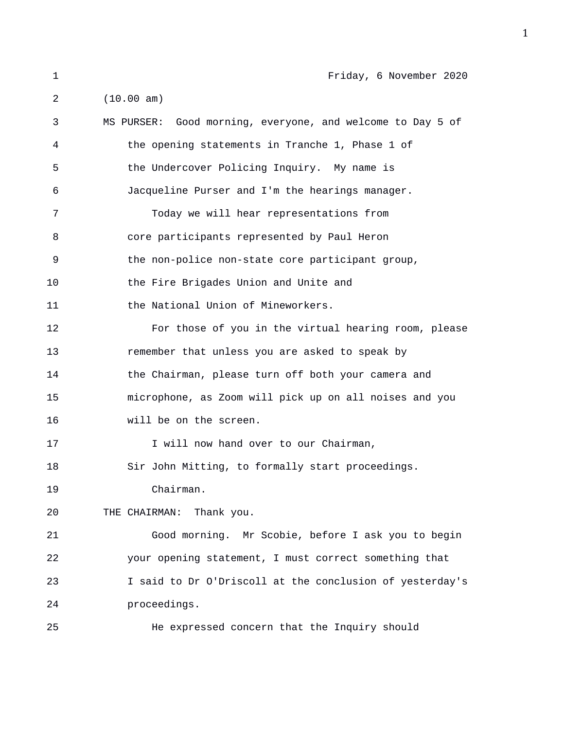| 1  | Friday, 6 November 2020                                    |
|----|------------------------------------------------------------|
| 2  | (10.00 am)                                                 |
| 3  | MS PURSER: Good morning, everyone, and welcome to Day 5 of |
| 4  | the opening statements in Tranche 1, Phase 1 of            |
| 5  | the Undercover Policing Inquiry. My name is                |
| 6  | Jacqueline Purser and I'm the hearings manager.            |
| 7  | Today we will hear representations from                    |
| 8  | core participants represented by Paul Heron                |
| 9  | the non-police non-state core participant group,           |
| 10 | the Fire Brigades Union and Unite and                      |
| 11 | the National Union of Mineworkers.                         |
| 12 | For those of you in the virtual hearing room, please       |
| 13 | remember that unless you are asked to speak by             |
| 14 | the Chairman, please turn off both your camera and         |
| 15 | microphone, as Zoom will pick up on all noises and you     |
| 16 | will be on the screen.                                     |
| 17 | I will now hand over to our Chairman,                      |
| 18 | Sir John Mitting, to formally start proceedings.           |
| 19 | Chairman.                                                  |
| 20 | THE CHAIRMAN: Thank you.                                   |
| 21 | Good morning. Mr Scobie, before I ask you to begin         |
| 22 | your opening statement, I must correct something that      |
| 23 | I said to Dr O'Driscoll at the conclusion of yesterday's   |
| 24 | proceedings.                                               |
| 25 | He expressed concern that the Inquiry should               |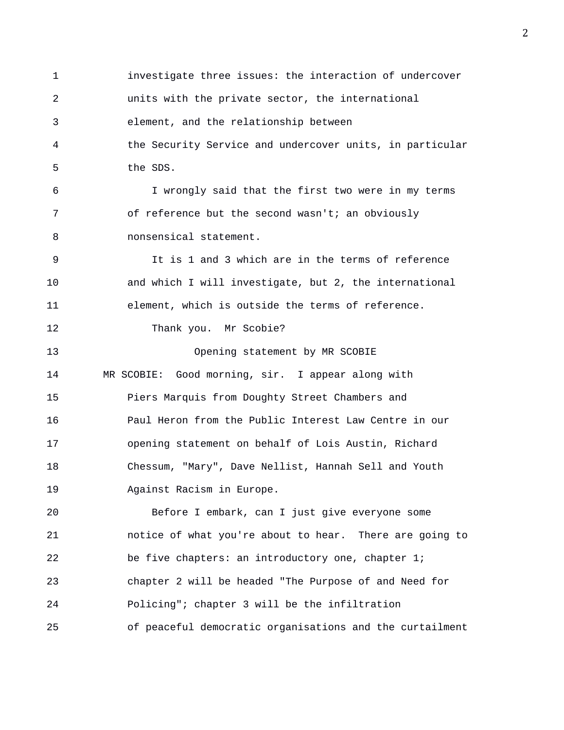1 investigate three issues: the interaction of undercover 2 units with the private sector, the international 3 element, and the relationship between 4 the Security Service and undercover units, in particular 5 the SDS. 6 I wrongly said that the first two were in my terms 7 of reference but the second wasn't; an obviously 8 nonsensical statement. 9 It is 1 and 3 which are in the terms of reference 10 and which I will investigate, but 2, the international 11 element, which is outside the terms of reference. 12 Thank you. Mr Scobie? 13 Opening statement by MR SCOBIE 14 MR SCOBIE: Good morning, sir. I appear along with 15 Piers Marquis from Doughty Street Chambers and 16 Paul Heron from the Public Interest Law Centre in our 17 opening statement on behalf of Lois Austin, Richard 18 Chessum, "Mary", Dave Nellist, Hannah Sell and Youth 19 Against Racism in Europe. 20 Before I embark, can I just give everyone some 21 notice of what you're about to hear. There are going to 22 be five chapters: an introductory one, chapter 1; 23 chapter 2 will be headed "The Purpose of and Need for 24 Policing"; chapter 3 will be the infiltration 25 of peaceful democratic organisations and the curtailment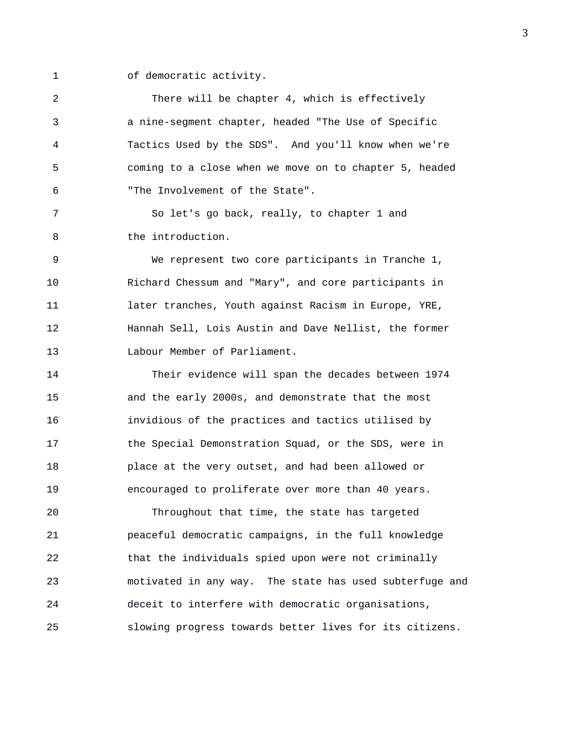1 of democratic activity.

2 There will be chapter 4, which is effectively 3 a nine-segment chapter, headed "The Use of Specific 4 Tactics Used by the SDS". And you'll know when we're 5 coming to a close when we move on to chapter 5, headed 6 "The Involvement of the State".

7 So let's go back, really, to chapter 1 and 8 the introduction.

9 We represent two core participants in Tranche 1, 10 Richard Chessum and "Mary", and core participants in 11 later tranches, Youth against Racism in Europe, YRE, 12 Hannah Sell, Lois Austin and Dave Nellist, the former 13 Labour Member of Parliament.

14 Their evidence will span the decades between 1974 15 and the early 2000s, and demonstrate that the most 16 invidious of the practices and tactics utilised by 17 the Special Demonstration Squad, or the SDS, were in 18 place at the very outset, and had been allowed or 19 encouraged to proliferate over more than 40 years.

20 Throughout that time, the state has targeted 21 peaceful democratic campaigns, in the full knowledge 22 that the individuals spied upon were not criminally 23 motivated in any way. The state has used subterfuge and 24 deceit to interfere with democratic organisations, 25 slowing progress towards better lives for its citizens.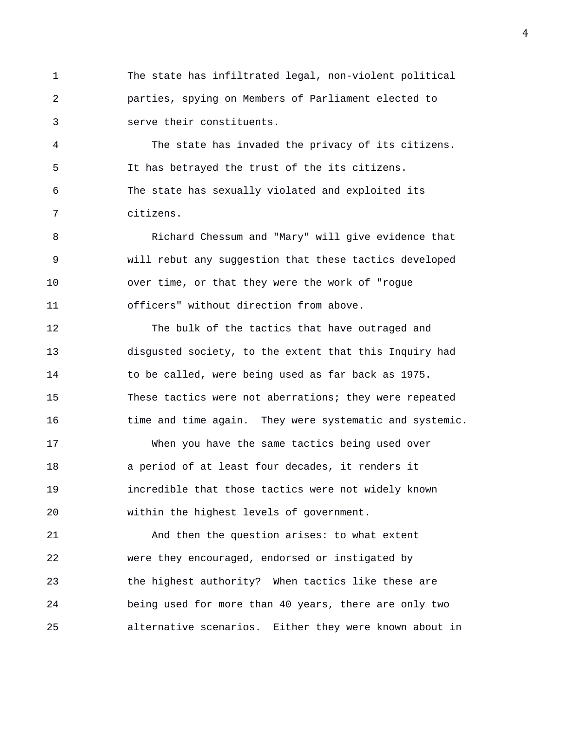1 The state has infiltrated legal, non-violent political 2 parties, spying on Members of Parliament elected to 3 serve their constituents.

4 The state has invaded the privacy of its citizens. 5 It has betrayed the trust of the its citizens. 6 The state has sexually violated and exploited its 7 citizens.

8 Richard Chessum and "Mary" will give evidence that 9 will rebut any suggestion that these tactics developed 10 over time, or that they were the work of "rogue 11 officers" without direction from above.

12 The bulk of the tactics that have outraged and 13 disgusted society, to the extent that this Inquiry had 14 to be called, were being used as far back as 1975. 15 These tactics were not aberrations; they were repeated 16 time and time again. They were systematic and systemic.

17 When you have the same tactics being used over 18 a period of at least four decades, it renders it 19 incredible that those tactics were not widely known 20 within the highest levels of government.

21 And then the question arises: to what extent 22 were they encouraged, endorsed or instigated by 23 the highest authority? When tactics like these are 24 being used for more than 40 years, there are only two 25 alternative scenarios. Either they were known about in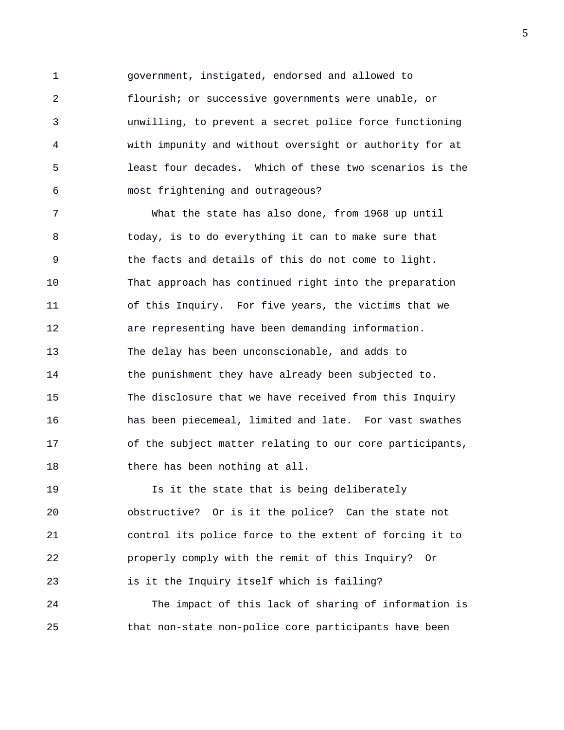1 government, instigated, endorsed and allowed to 2 flourish; or successive governments were unable, or 3 unwilling, to prevent a secret police force functioning 4 with impunity and without oversight or authority for at 5 least four decades. Which of these two scenarios is the 6 most frightening and outrageous?

7 What the state has also done, from 1968 up until 8 today, is to do everything it can to make sure that 9 the facts and details of this do not come to light. 10 That approach has continued right into the preparation 11 of this Inquiry. For five years, the victims that we 12 are representing have been demanding information. 13 The delay has been unconscionable, and adds to 14 the punishment they have already been subjected to. 15 The disclosure that we have received from this Inquiry 16 has been piecemeal, limited and late. For vast swathes 17 of the subject matter relating to our core participants, 18 there has been nothing at all.

19 Is it the state that is being deliberately 20 obstructive? Or is it the police? Can the state not 21 control its police force to the extent of forcing it to 22 properly comply with the remit of this Inquiry? Or 23 is it the Inquiry itself which is failing?

24 The impact of this lack of sharing of information is 25 that non-state non-police core participants have been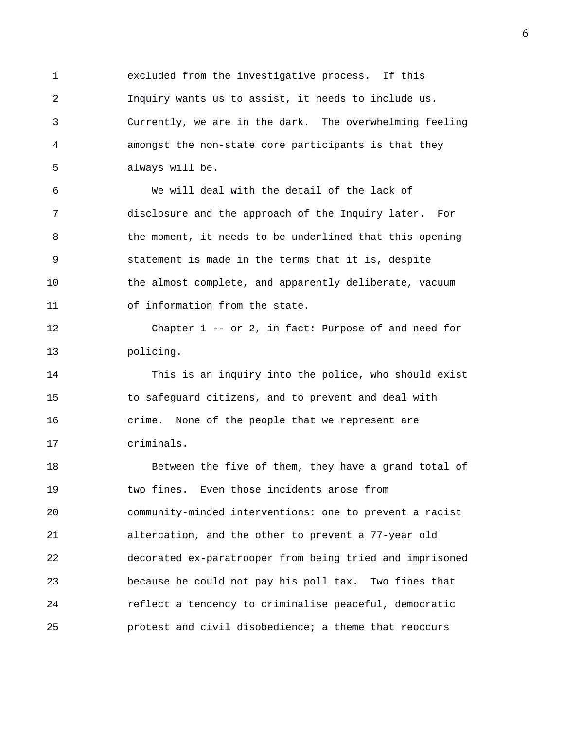1 excluded from the investigative process. If this 2 Inquiry wants us to assist, it needs to include us. 3 Currently, we are in the dark. The overwhelming feeling 4 amongst the non-state core participants is that they 5 always will be.

6 We will deal with the detail of the lack of 7 disclosure and the approach of the Inquiry later. For 8 the moment, it needs to be underlined that this opening 9 statement is made in the terms that it is, despite 10 the almost complete, and apparently deliberate, vacuum 11 of information from the state.

12 Chapter 1 -- or 2, in fact: Purpose of and need for 13 policing.

14 This is an inquiry into the police, who should exist 15 to safeguard citizens, and to prevent and deal with 16 crime. None of the people that we represent are 17 criminals.

18 Between the five of them, they have a grand total of 19 two fines. Even those incidents arose from 20 community-minded interventions: one to prevent a racist 21 altercation, and the other to prevent a 77-year old 22 decorated ex-paratrooper from being tried and imprisoned 23 because he could not pay his poll tax. Two fines that 24 reflect a tendency to criminalise peaceful, democratic 25 protest and civil disobedience; a theme that reoccurs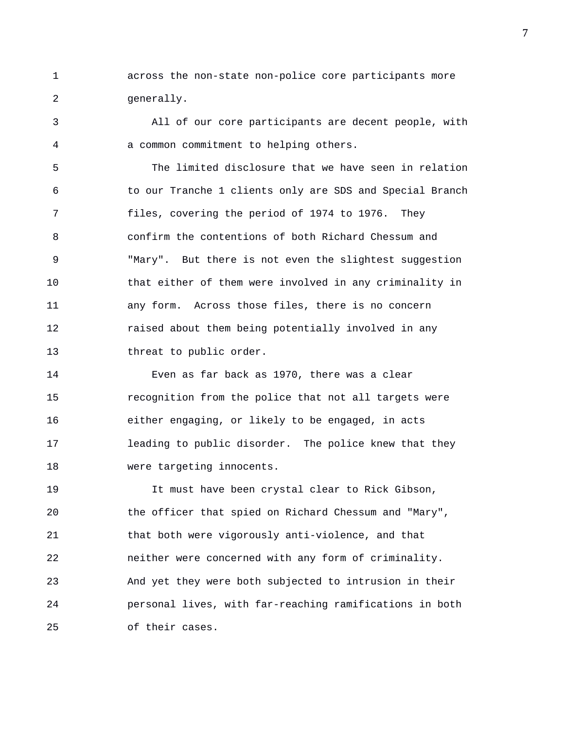1 across the non-state non-police core participants more 2 generally.

3 All of our core participants are decent people, with 4 a common commitment to helping others.

5 The limited disclosure that we have seen in relation 6 to our Tranche 1 clients only are SDS and Special Branch 7 files, covering the period of 1974 to 1976. They 8 confirm the contentions of both Richard Chessum and 9 "Mary". But there is not even the slightest suggestion 10 that either of them were involved in any criminality in 11 any form. Across those files, there is no concern 12 raised about them being potentially involved in any 13 threat to public order.

14 Even as far back as 1970, there was a clear 15 recognition from the police that not all targets were 16 either engaging, or likely to be engaged, in acts 17 leading to public disorder. The police knew that they 18 were targeting innocents.

19 It must have been crystal clear to Rick Gibson, 20 the officer that spied on Richard Chessum and "Mary", 21 that both were vigorously anti-violence, and that 22 neither were concerned with any form of criminality. 23 And yet they were both subjected to intrusion in their 24 personal lives, with far-reaching ramifications in both 25 of their cases.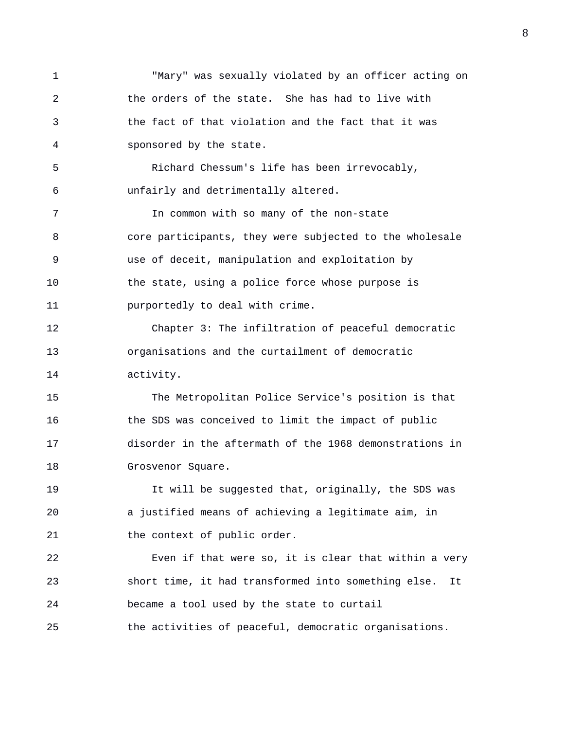1 "Mary" was sexually violated by an officer acting on 2 the orders of the state. She has had to live with 3 the fact of that violation and the fact that it was 4 sponsored by the state. 5 Richard Chessum's life has been irrevocably, 6 unfairly and detrimentally altered. 7 In common with so many of the non-state 8 core participants, they were subjected to the wholesale 9 use of deceit, manipulation and exploitation by 10 the state, using a police force whose purpose is 11 purportedly to deal with crime. 12 Chapter 3: The infiltration of peaceful democratic 13 organisations and the curtailment of democratic 14 activity. 15 The Metropolitan Police Service's position is that 16 the SDS was conceived to limit the impact of public 17 disorder in the aftermath of the 1968 demonstrations in 18 Grosvenor Square. 19 It will be suggested that, originally, the SDS was 20 a justified means of achieving a legitimate aim, in 21 the context of public order. 22 Even if that were so, it is clear that within a very 23 short time, it had transformed into something else. It 24 became a tool used by the state to curtail 25 the activities of peaceful, democratic organisations.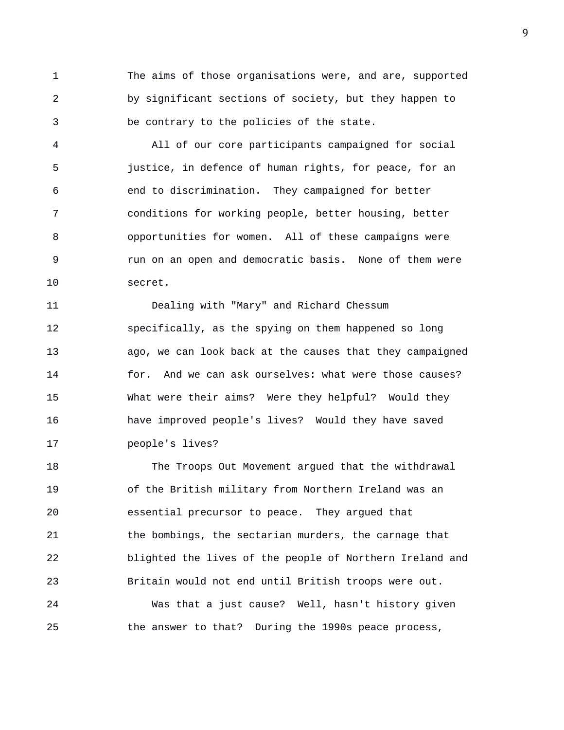1 The aims of those organisations were, and are, supported 2 by significant sections of society, but they happen to 3 be contrary to the policies of the state.

4 All of our core participants campaigned for social 5 justice, in defence of human rights, for peace, for an 6 end to discrimination. They campaigned for better 7 conditions for working people, better housing, better 8 opportunities for women. All of these campaigns were 9 run on an open and democratic basis. None of them were 10 secret.

11 Dealing with "Mary" and Richard Chessum 12 specifically, as the spying on them happened so long 13 ago, we can look back at the causes that they campaigned 14 for. And we can ask ourselves: what were those causes? 15 What were their aims? Were they helpful? Would they 16 have improved people's lives? Would they have saved 17 people's lives?

18 The Troops Out Movement argued that the withdrawal 19 of the British military from Northern Ireland was an 20 essential precursor to peace. They argued that 21 the bombings, the sectarian murders, the carnage that 22 blighted the lives of the people of Northern Ireland and 23 Britain would not end until British troops were out. 24 Was that a just cause? Well, hasn't history given 25 the answer to that? During the 1990s peace process,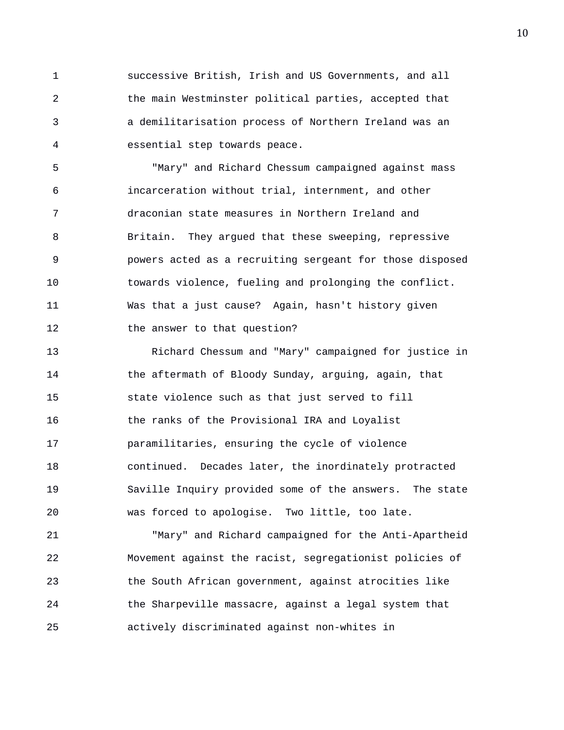1 successive British, Irish and US Governments, and all 2 the main Westminster political parties, accepted that 3 a demilitarisation process of Northern Ireland was an 4 essential step towards peace.

5 "Mary" and Richard Chessum campaigned against mass 6 incarceration without trial, internment, and other 7 draconian state measures in Northern Ireland and 8 Britain. They argued that these sweeping, repressive 9 powers acted as a recruiting sergeant for those disposed 10 towards violence, fueling and prolonging the conflict. 11 Was that a just cause? Again, hasn't history given 12 the answer to that question?

13 Richard Chessum and "Mary" campaigned for justice in 14 the aftermath of Bloody Sunday, arguing, again, that 15 state violence such as that just served to fill 16 the ranks of the Provisional IRA and Loyalist 17 paramilitaries, ensuring the cycle of violence 18 continued. Decades later, the inordinately protracted 19 Saville Inquiry provided some of the answers. The state 20 was forced to apologise. Two little, too late.

21 "Mary" and Richard campaigned for the Anti-Apartheid 22 Movement against the racist, segregationist policies of 23 the South African government, against atrocities like 24 the Sharpeville massacre, against a legal system that 25 actively discriminated against non-whites in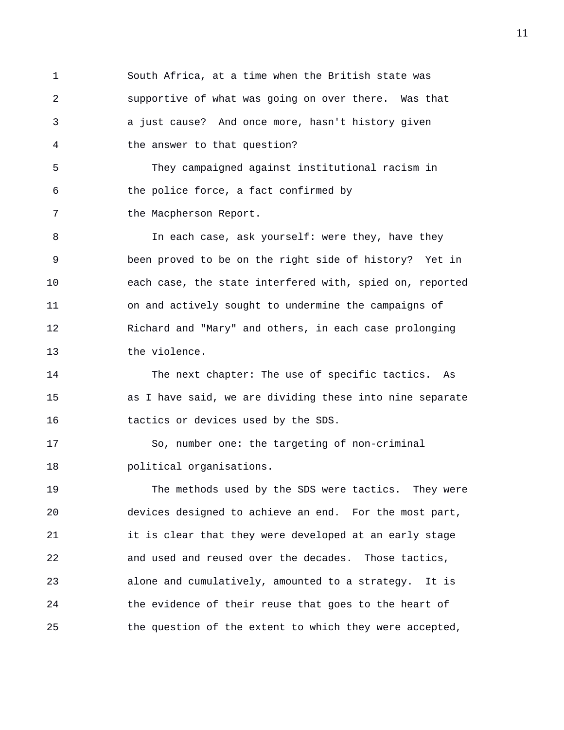1 South Africa, at a time when the British state was 2 supportive of what was going on over there. Was that 3 a just cause? And once more, hasn't history given 4 the answer to that question? 5 They campaigned against institutional racism in 6 the police force, a fact confirmed by 7 the Macpherson Report. 8 10 In each case, ask yourself: were they, have they 9 been proved to be on the right side of history? Yet in 10 each case, the state interfered with, spied on, reported 11 on and actively sought to undermine the campaigns of 12 Richard and "Mary" and others, in each case prolonging 13 the violence. 14 The next chapter: The use of specific tactics. As 15 as I have said, we are dividing these into nine separate 16 tactics or devices used by the SDS. 17 So, number one: the targeting of non-criminal 18 political organisations. 19 The methods used by the SDS were tactics. They were 20 devices designed to achieve an end. For the most part, 21 it is clear that they were developed at an early stage

22 and used and reused over the decades. Those tactics, 23 alone and cumulatively, amounted to a strategy. It is 24 the evidence of their reuse that goes to the heart of 25 the question of the extent to which they were accepted,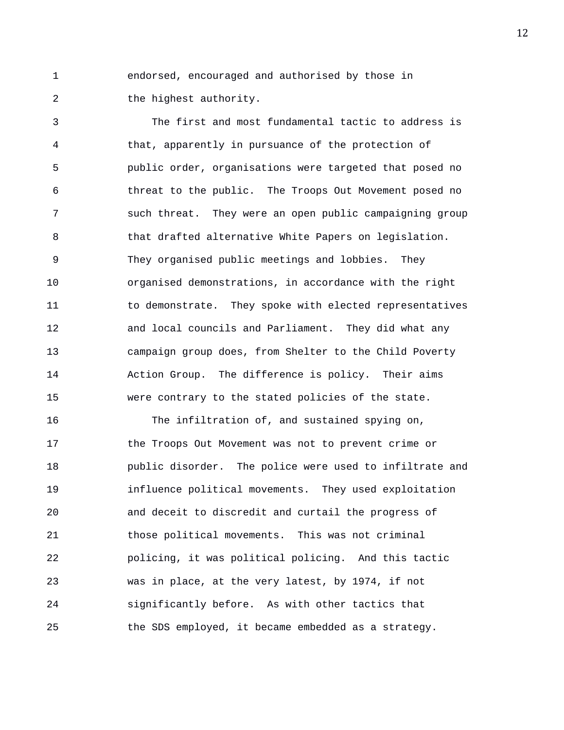1 endorsed, encouraged and authorised by those in 2 the highest authority.

3 The first and most fundamental tactic to address is 4 that, apparently in pursuance of the protection of 5 public order, organisations were targeted that posed no 6 threat to the public. The Troops Out Movement posed no 7 such threat. They were an open public campaigning group 8 that drafted alternative White Papers on legislation. 9 They organised public meetings and lobbies. They 10 organised demonstrations, in accordance with the right 11 to demonstrate. They spoke with elected representatives 12 and local councils and Parliament. They did what any 13 campaign group does, from Shelter to the Child Poverty 14 Action Group. The difference is policy. Their aims 15 were contrary to the stated policies of the state.

16 The infiltration of, and sustained spying on, 17 the Troops Out Movement was not to prevent crime or 18 public disorder. The police were used to infiltrate and 19 influence political movements. They used exploitation 20 and deceit to discredit and curtail the progress of 21 those political movements. This was not criminal 22 policing, it was political policing. And this tactic 23 was in place, at the very latest, by 1974, if not 24 significantly before. As with other tactics that 25 the SDS employed, it became embedded as a strategy.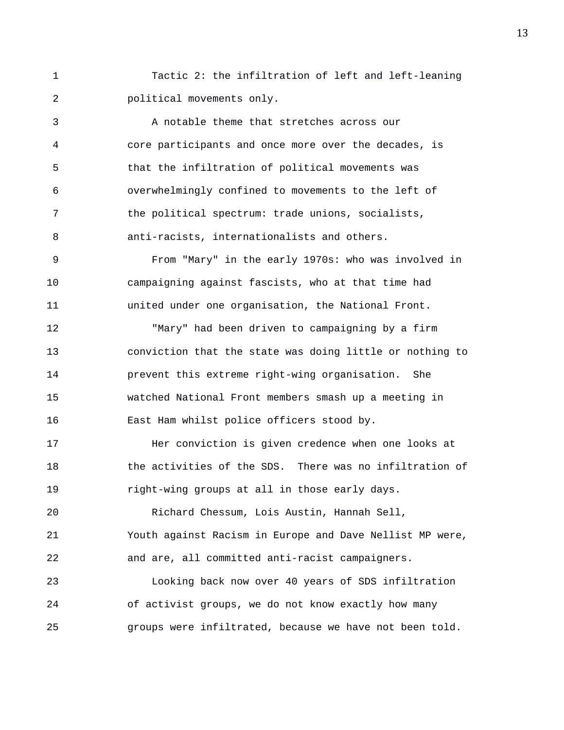1 Tactic 2: the infiltration of left and left-leaning 2 political movements only.

3 A notable theme that stretches across our 4 core participants and once more over the decades, is 5 that the infiltration of political movements was 6 overwhelmingly confined to movements to the left of 7 the political spectrum: trade unions, socialists, 8 anti-racists, internationalists and others.

9 From "Mary" in the early 1970s: who was involved in 10 campaigning against fascists, who at that time had 11 united under one organisation, the National Front.

12 "Mary" had been driven to campaigning by a firm 13 conviction that the state was doing little or nothing to 14 prevent this extreme right-wing organisation. She 15 watched National Front members smash up a meeting in 16 East Ham whilst police officers stood by.

17 Her conviction is given credence when one looks at 18 the activities of the SDS. There was no infiltration of 19 right-wing groups at all in those early days.

20 Richard Chessum, Lois Austin, Hannah Sell, 21 Youth against Racism in Europe and Dave Nellist MP were, 22 and are, all committed anti-racist campaigners.

23 Looking back now over 40 years of SDS infiltration 24 of activist groups, we do not know exactly how many 25 groups were infiltrated, because we have not been told.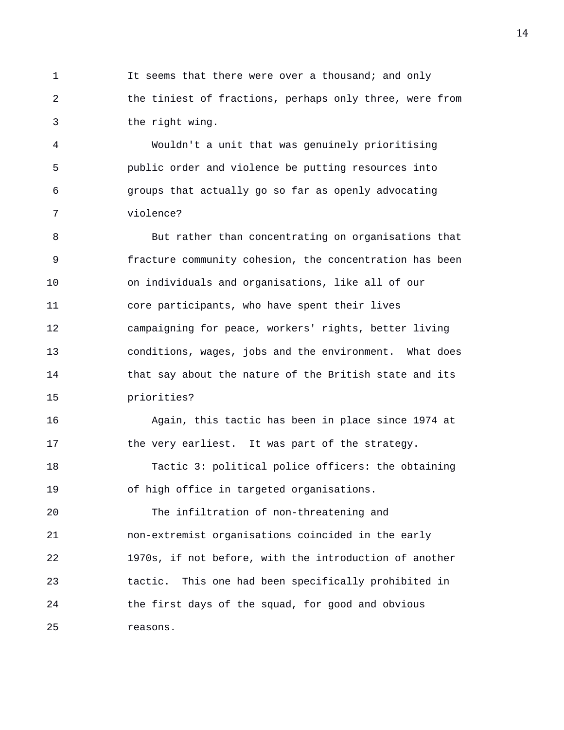1 1 It seems that there were over a thousand; and only 2 the tiniest of fractions, perhaps only three, were from 3 the right wing.

4 Wouldn't a unit that was genuinely prioritising 5 public order and violence be putting resources into 6 groups that actually go so far as openly advocating 7 violence?

8 But rather than concentrating on organisations that 9 fracture community cohesion, the concentration has been 10 on individuals and organisations, like all of our 11 core participants, who have spent their lives 12 campaigning for peace, workers' rights, better living 13 conditions, wages, jobs and the environment. What does 14 that say about the nature of the British state and its 15 priorities?

16 Again, this tactic has been in place since 1974 at 17 the very earliest. It was part of the strategy.

18 Tactic 3: political police officers: the obtaining 19 of high office in targeted organisations.

20 The infiltration of non-threatening and 21 non-extremist organisations coincided in the early 22 1970s, if not before, with the introduction of another 23 tactic. This one had been specifically prohibited in 24 the first days of the squad, for good and obvious 25 reasons.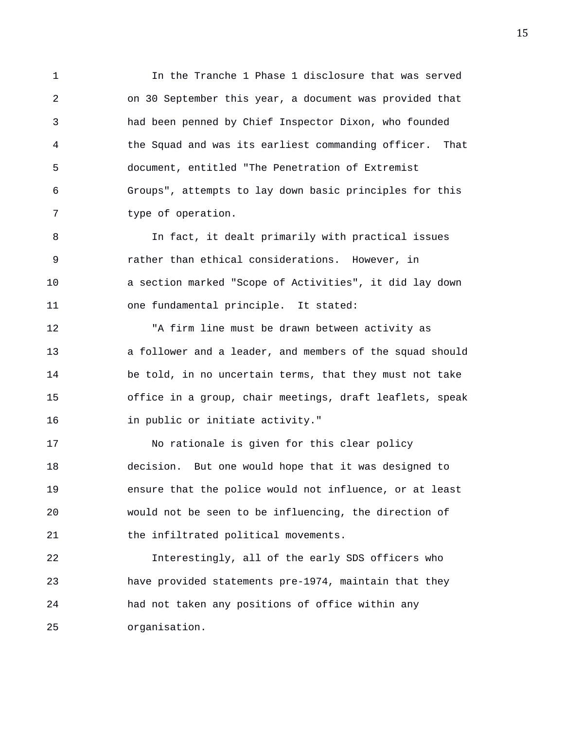1 In the Tranche 1 Phase 1 disclosure that was served 2 on 30 September this year, a document was provided that 3 had been penned by Chief Inspector Dixon, who founded 4 the Squad and was its earliest commanding officer. That 5 document, entitled "The Penetration of Extremist 6 Groups", attempts to lay down basic principles for this 7 type of operation.

8 In fact, it dealt primarily with practical issues 9 rather than ethical considerations. However, in 10 a section marked "Scope of Activities", it did lay down 11 one fundamental principle. It stated:

12 "A firm line must be drawn between activity as 13 a follower and a leader, and members of the squad should 14 be told, in no uncertain terms, that they must not take 15 office in a group, chair meetings, draft leaflets, speak 16 in public or initiate activity."

17 No rationale is given for this clear policy 18 decision. But one would hope that it was designed to 19 ensure that the police would not influence, or at least 20 would not be seen to be influencing, the direction of 21 the infiltrated political movements.

22 Interestingly, all of the early SDS officers who 23 have provided statements pre-1974, maintain that they 24 had not taken any positions of office within any 25 organisation.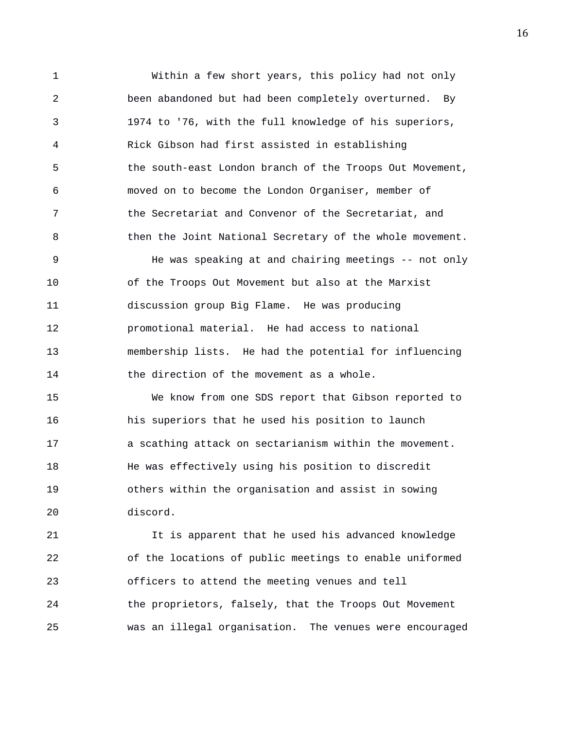1 Within a few short years, this policy had not only 2 been abandoned but had been completely overturned. By 3 1974 to '76, with the full knowledge of his superiors, 4 Rick Gibson had first assisted in establishing 5 the south-east London branch of the Troops Out Movement, 6 moved on to become the London Organiser, member of 7 the Secretariat and Convenor of the Secretariat, and 8 then the Joint National Secretary of the whole movement. 9 He was speaking at and chairing meetings -- not only 10 of the Troops Out Movement but also at the Marxist 11 discussion group Big Flame. He was producing 12 promotional material. He had access to national 13 membership lists. He had the potential for influencing

14 the direction of the movement as a whole.

15 We know from one SDS report that Gibson reported to 16 his superiors that he used his position to launch 17 a scathing attack on sectarianism within the movement. 18 He was effectively using his position to discredit 19 others within the organisation and assist in sowing 20 discord.

21 It is apparent that he used his advanced knowledge 22 of the locations of public meetings to enable uniformed 23 officers to attend the meeting venues and tell 24 the proprietors, falsely, that the Troops Out Movement 25 was an illegal organisation. The venues were encouraged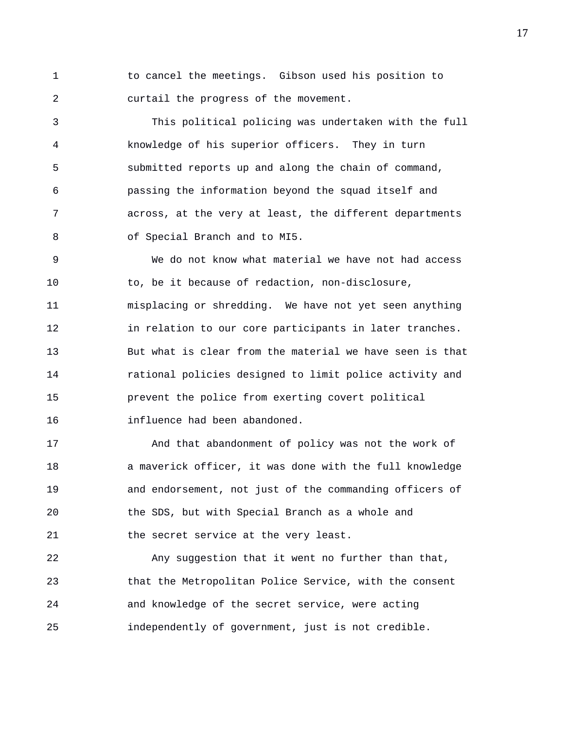1 to cancel the meetings. Gibson used his position to 2 curtail the progress of the movement.

3 This political policing was undertaken with the full 4 knowledge of his superior officers. They in turn 5 submitted reports up and along the chain of command, 6 passing the information beyond the squad itself and 7 across, at the very at least, the different departments 8 of Special Branch and to MI5.

9 We do not know what material we have not had access 10 to, be it because of redaction, non-disclosure, 11 misplacing or shredding. We have not yet seen anything 12 in relation to our core participants in later tranches. 13 But what is clear from the material we have seen is that 14 rational policies designed to limit police activity and 15 prevent the police from exerting covert political 16 influence had been abandoned.

17 And that abandonment of policy was not the work of 18 a maverick officer, it was done with the full knowledge 19 and endorsement, not just of the commanding officers of 20 the SDS, but with Special Branch as a whole and 21 the secret service at the very least.

22 Any suggestion that it went no further than that, 23 that the Metropolitan Police Service, with the consent 24 and knowledge of the secret service, were acting 25 independently of government, just is not credible.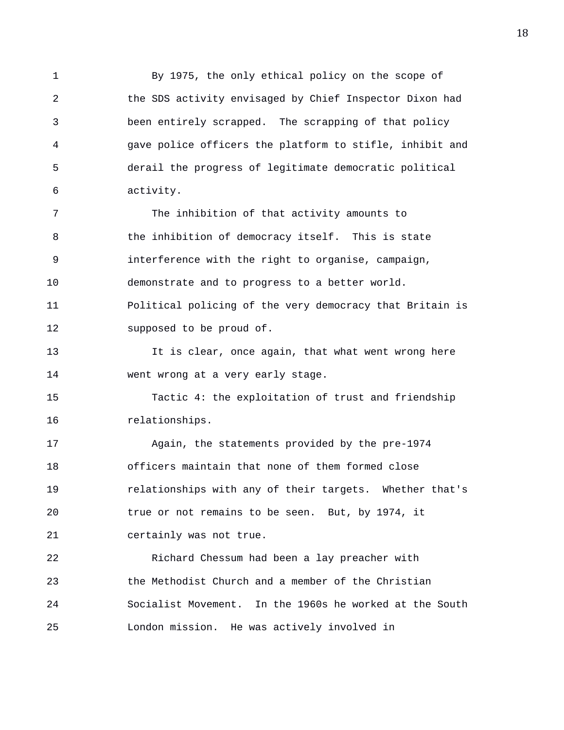1 By 1975, the only ethical policy on the scope of 2 the SDS activity envisaged by Chief Inspector Dixon had 3 been entirely scrapped. The scrapping of that policy 4 gave police officers the platform to stifle, inhibit and 5 derail the progress of legitimate democratic political 6 activity.

7 The inhibition of that activity amounts to 8 the inhibition of democracy itself. This is state 9 interference with the right to organise, campaign, 10 demonstrate and to progress to a better world. 11 Political policing of the very democracy that Britain is 12 supposed to be proud of.

13 It is clear, once again, that what went wrong here 14 went wrong at a very early stage.

15 Tactic 4: the exploitation of trust and friendship 16 relationships.

17 Again, the statements provided by the pre-1974 18 officers maintain that none of them formed close 19 relationships with any of their targets. Whether that's 20 true or not remains to be seen. But, by 1974, it 21 certainly was not true.

22 Richard Chessum had been a lay preacher with 23 the Methodist Church and a member of the Christian 24 Socialist Movement. In the 1960s he worked at the South 25 London mission. He was actively involved in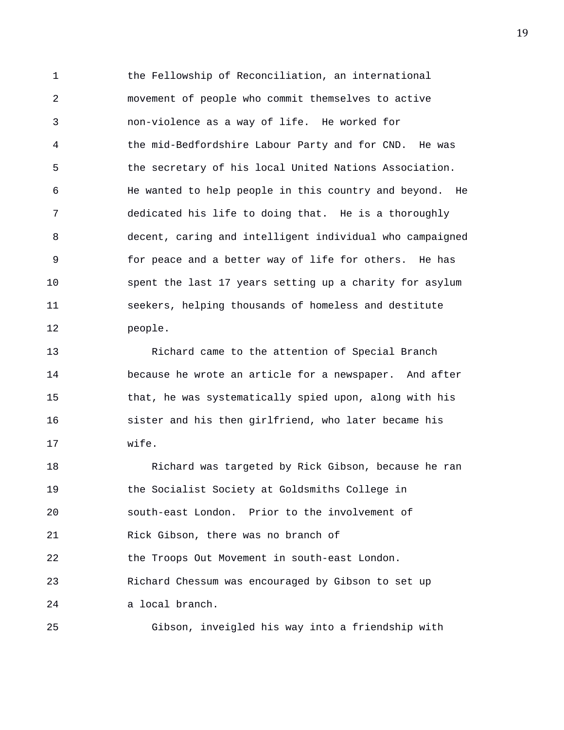1 the Fellowship of Reconciliation, an international 2 movement of people who commit themselves to active 3 non-violence as a way of life. He worked for 4 the mid-Bedfordshire Labour Party and for CND. He was 5 the secretary of his local United Nations Association. 6 He wanted to help people in this country and beyond. He 7 dedicated his life to doing that. He is a thoroughly 8 decent, caring and intelligent individual who campaigned 9 for peace and a better way of life for others. He has 10 spent the last 17 years setting up a charity for asylum 11 seekers, helping thousands of homeless and destitute 12 people.

13 Richard came to the attention of Special Branch 14 because he wrote an article for a newspaper. And after 15 that, he was systematically spied upon, along with his 16 sister and his then girlfriend, who later became his 17 wife.

18 Richard was targeted by Rick Gibson, because he ran 19 the Socialist Society at Goldsmiths College in 20 south-east London. Prior to the involvement of 21 Rick Gibson, there was no branch of 22 the Troops Out Movement in south-east London. 23 Richard Chessum was encouraged by Gibson to set up 24 a local branch.

25 Gibson, inveigled his way into a friendship with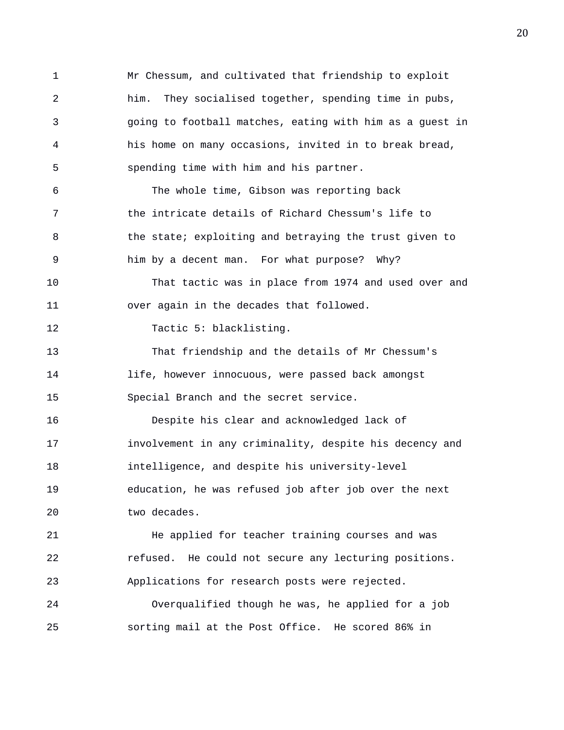1 Mr Chessum, and cultivated that friendship to exploit 2 him. They socialised together, spending time in pubs, 3 going to football matches, eating with him as a guest in 4 his home on many occasions, invited in to break bread, 5 spending time with him and his partner. 6 The whole time, Gibson was reporting back 7 the intricate details of Richard Chessum's life to 8 the state; exploiting and betraying the trust given to 9 him by a decent man. For what purpose? Why? 10 That tactic was in place from 1974 and used over and 11 over again in the decades that followed. 12 Tactic 5: blacklisting. 13 That friendship and the details of Mr Chessum's 14 life, however innocuous, were passed back amongst 15 Special Branch and the secret service. 16 Despite his clear and acknowledged lack of 17 involvement in any criminality, despite his decency and 18 intelligence, and despite his university-level 19 education, he was refused job after job over the next 20 two decades. 21 He applied for teacher training courses and was 22 refused. He could not secure any lecturing positions. 23 Applications for research posts were rejected. 24 Overqualified though he was, he applied for a job 25 sorting mail at the Post Office. He scored 86% in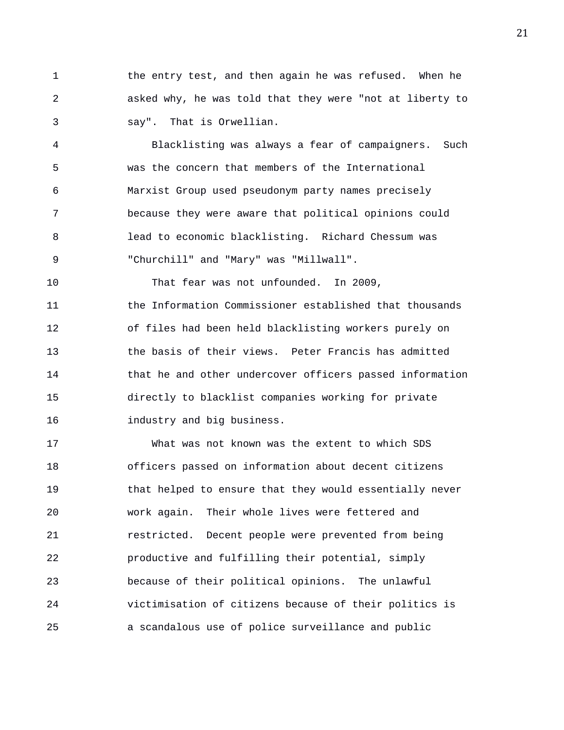1 the entry test, and then again he was refused. When he 2 asked why, he was told that they were "not at liberty to 3 say". That is Orwellian.

4 Blacklisting was always a fear of campaigners. Such 5 was the concern that members of the International 6 Marxist Group used pseudonym party names precisely 7 because they were aware that political opinions could 8 lead to economic blacklisting. Richard Chessum was 9 "Churchill" and "Mary" was "Millwall".

10 That fear was not unfounded. In 2009, 11 the Information Commissioner established that thousands 12 of files had been held blacklisting workers purely on 13 the basis of their views. Peter Francis has admitted 14 that he and other undercover officers passed information 15 directly to blacklist companies working for private 16 industry and big business.

17 What was not known was the extent to which SDS 18 officers passed on information about decent citizens 19 that helped to ensure that they would essentially never 20 work again. Their whole lives were fettered and 21 restricted. Decent people were prevented from being 22 productive and fulfilling their potential, simply 23 because of their political opinions. The unlawful 24 victimisation of citizens because of their politics is 25 a scandalous use of police surveillance and public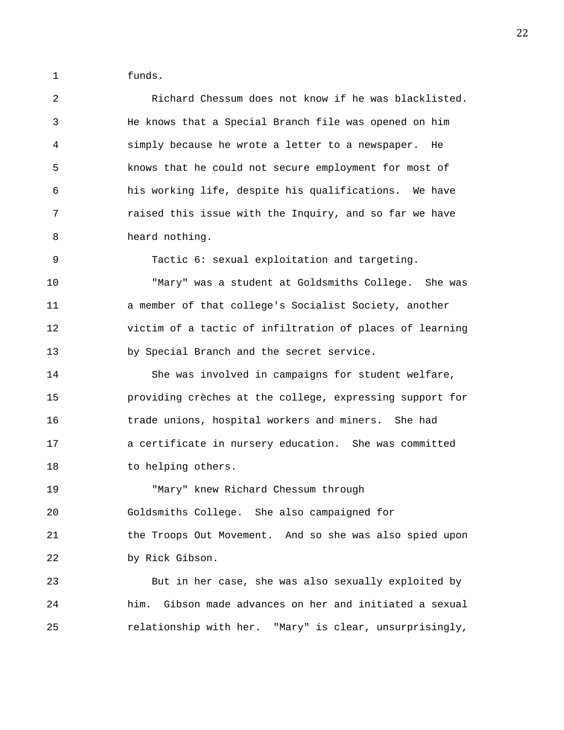1 funds.

2 Richard Chessum does not know if he was blacklisted. 3 He knows that a Special Branch file was opened on him 4 simply because he wrote a letter to a newspaper. He 5 knows that he could not secure employment for most of 6 his working life, despite his qualifications. We have 7 raised this issue with the Inquiry, and so far we have 8 heard nothing. 9 Tactic 6: sexual exploitation and targeting. 10 "Mary" was a student at Goldsmiths College. She was 11 a member of that college's Socialist Society, another 12 victim of a tactic of infiltration of places of learning 13 by Special Branch and the secret service. 14 She was involved in campaigns for student welfare, 15 providing crèches at the college, expressing support for 16 trade unions, hospital workers and miners. She had 17 a certificate in nursery education. She was committed 18 to helping others. 19 "Mary" knew Richard Chessum through

20 Goldsmiths College. She also campaigned for 21 the Troops Out Movement. And so she was also spied upon 22 by Rick Gibson.

23 But in her case, she was also sexually exploited by 24 him. Gibson made advances on her and initiated a sexual 25 relationship with her. "Mary" is clear, unsurprisingly,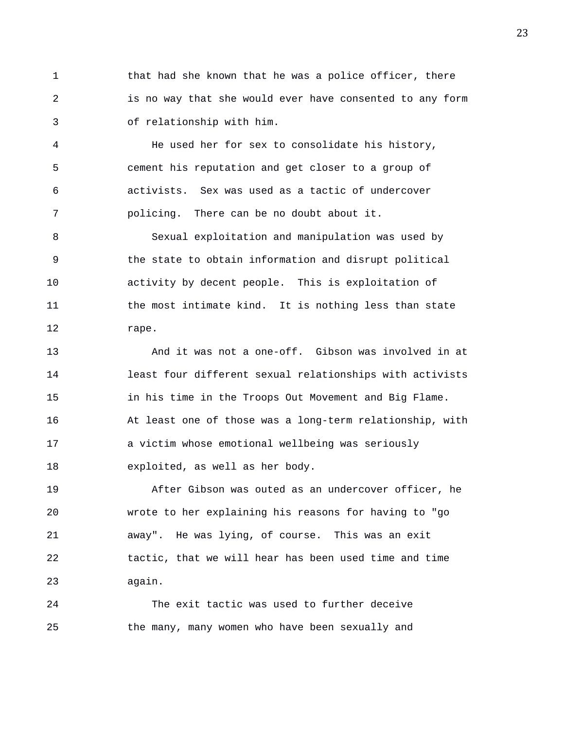1 that had she known that he was a police officer, there 2 is no way that she would ever have consented to any form 3 of relationship with him.

4 He used her for sex to consolidate his history, 5 cement his reputation and get closer to a group of 6 activists. Sex was used as a tactic of undercover 7 policing. There can be no doubt about it.

8 Sexual exploitation and manipulation was used by 9 the state to obtain information and disrupt political 10 activity by decent people. This is exploitation of 11 the most intimate kind. It is nothing less than state 12 rape.

13 And it was not a one-off. Gibson was involved in at 14 least four different sexual relationships with activists 15 in his time in the Troops Out Movement and Big Flame. 16 At least one of those was a long-term relationship, with 17 a victim whose emotional wellbeing was seriously 18 exploited, as well as her body.

19 After Gibson was outed as an undercover officer, he 20 wrote to her explaining his reasons for having to "go 21 away". He was lying, of course. This was an exit 22 tactic, that we will hear has been used time and time 23 again.

24 The exit tactic was used to further deceive 25 the many, many women who have been sexually and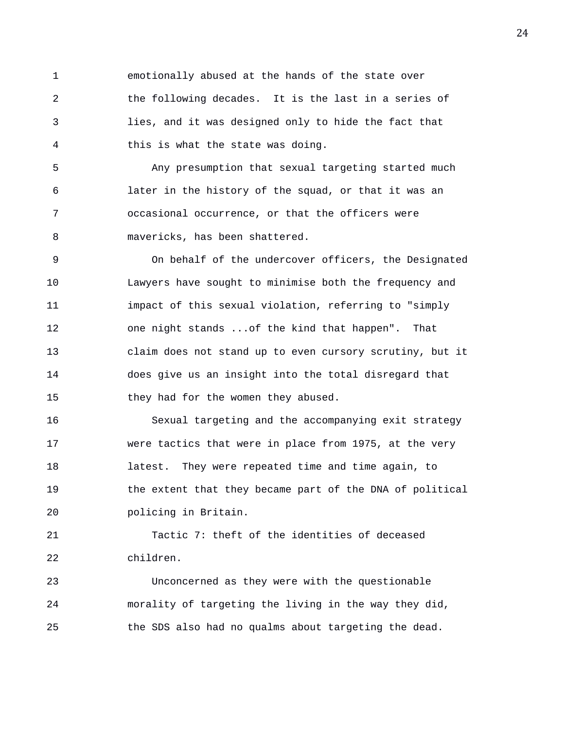1 emotionally abused at the hands of the state over 2 the following decades. It is the last in a series of 3 lies, and it was designed only to hide the fact that 4 this is what the state was doing.

5 Any presumption that sexual targeting started much 6 later in the history of the squad, or that it was an 7 occasional occurrence, or that the officers were 8 mavericks, has been shattered.

9 On behalf of the undercover officers, the Designated 10 Lawyers have sought to minimise both the frequency and 11 impact of this sexual violation, referring to "simply 12 one night stands ...of the kind that happen". That 13 claim does not stand up to even cursory scrutiny, but it 14 does give us an insight into the total disregard that 15 they had for the women they abused.

16 Sexual targeting and the accompanying exit strategy 17 were tactics that were in place from 1975, at the very 18 latest. They were repeated time and time again, to 19 the extent that they became part of the DNA of political 20 policing in Britain.

21 Tactic 7: theft of the identities of deceased 22 children.

23 Unconcerned as they were with the questionable 24 morality of targeting the living in the way they did, 25 the SDS also had no qualms about targeting the dead.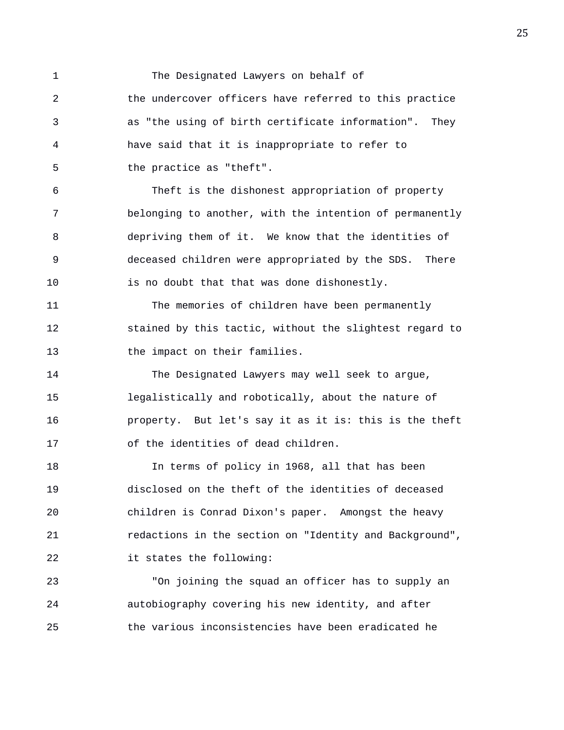1 The Designated Lawyers on behalf of 2 the undercover officers have referred to this practice 3 as "the using of birth certificate information". They 4 have said that it is inappropriate to refer to 5 the practice as "theft". 6 Theft is the dishonest appropriation of property 7 belonging to another, with the intention of permanently 8 depriving them of it. We know that the identities of 9 deceased children were appropriated by the SDS. There 10 is no doubt that that was done dishonestly. 11 The memories of children have been permanently 12 stained by this tactic, without the slightest regard to 13 the impact on their families. 14 The Designated Lawyers may well seek to argue, 15 legalistically and robotically, about the nature of 16 property. But let's say it as it is: this is the theft 17 of the identities of dead children. 18 In terms of policy in 1968, all that has been 19 disclosed on the theft of the identities of deceased 20 children is Conrad Dixon's paper. Amongst the heavy 21 redactions in the section on "Identity and Background", 22 it states the following: 23 "On joining the squad an officer has to supply an

24 autobiography covering his new identity, and after 25 the various inconsistencies have been eradicated he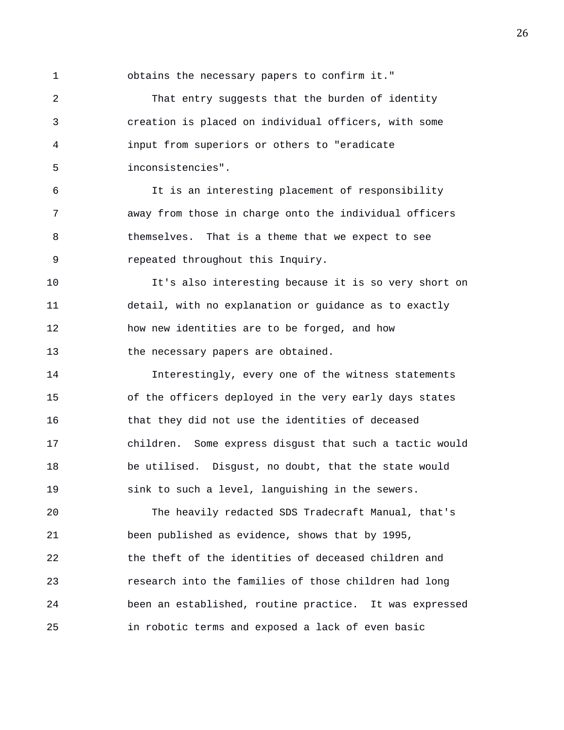1 obtains the necessary papers to confirm it."

2 That entry suggests that the burden of identity 3 creation is placed on individual officers, with some 4 input from superiors or others to "eradicate 5 inconsistencies".

6 It is an interesting placement of responsibility 7 away from those in charge onto the individual officers 8 themselves. That is a theme that we expect to see 9 repeated throughout this Inquiry.

10 It's also interesting because it is so very short on 11 detail, with no explanation or guidance as to exactly 12 how new identities are to be forged, and how 13 the necessary papers are obtained.

14 Interestingly, every one of the witness statements 15 of the officers deployed in the very early days states 16 that they did not use the identities of deceased 17 children. Some express disgust that such a tactic would 18 be utilised. Disgust, no doubt, that the state would 19 sink to such a level, languishing in the sewers.

20 The heavily redacted SDS Tradecraft Manual, that's 21 been published as evidence, shows that by 1995, 22 the theft of the identities of deceased children and 23 research into the families of those children had long 24 been an established, routine practice. It was expressed 25 in robotic terms and exposed a lack of even basic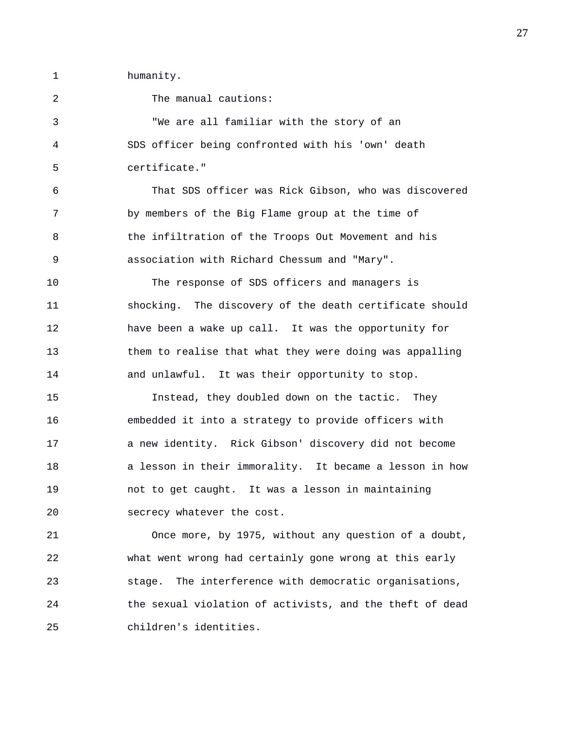1 humanity.

2 The manual cautions: 3 "We are all familiar with the story of an 4 SDS officer being confronted with his 'own' death 5 certificate." 6 That SDS officer was Rick Gibson, who was discovered 7 by members of the Big Flame group at the time of 8 the infiltration of the Troops Out Movement and his 9 association with Richard Chessum and "Mary". 10 The response of SDS officers and managers is 11 shocking. The discovery of the death certificate should 12 have been a wake up call. It was the opportunity for 13 them to realise that what they were doing was appalling 14 and unlawful. It was their opportunity to stop. 15 Instead, they doubled down on the tactic. They 16 embedded it into a strategy to provide officers with 17 a new identity. Rick Gibson' discovery did not become 18 a lesson in their immorality. It became a lesson in how 19 not to get caught. It was a lesson in maintaining 20 secrecy whatever the cost. 21 Once more, by 1975, without any question of a doubt, 22 what went wrong had certainly gone wrong at this early 23 stage. The interference with democratic organisations, 24 the sexual violation of activists, and the theft of dead

25 children's identities.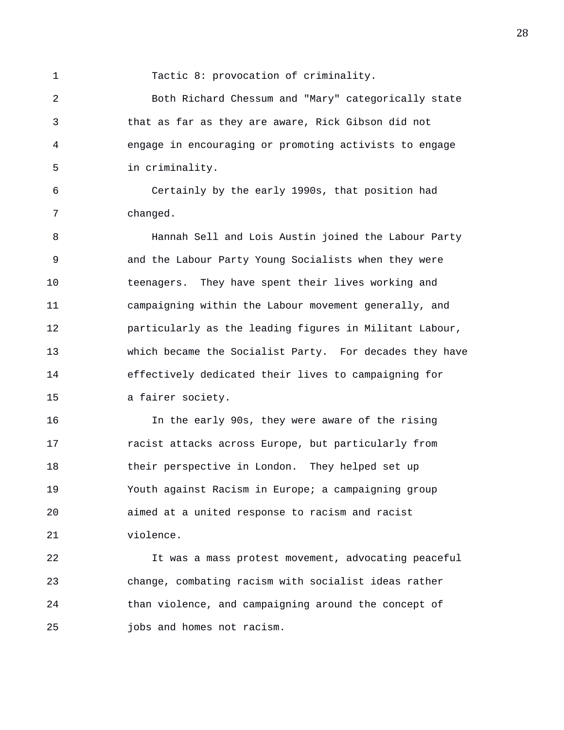1 Tactic 8: provocation of criminality.

2 Both Richard Chessum and "Mary" categorically state 3 that as far as they are aware, Rick Gibson did not 4 engage in encouraging or promoting activists to engage 5 in criminality.

6 Certainly by the early 1990s, that position had 7 changed.

8 Hannah Sell and Lois Austin joined the Labour Party 9 and the Labour Party Young Socialists when they were 10 teenagers. They have spent their lives working and 11 campaigning within the Labour movement generally, and 12 particularly as the leading figures in Militant Labour, 13 which became the Socialist Party. For decades they have 14 effectively dedicated their lives to campaigning for 15 a fairer society.

16 In the early 90s, they were aware of the rising 17 racist attacks across Europe, but particularly from 18 their perspective in London. They helped set up 19 Youth against Racism in Europe; a campaigning group 20 aimed at a united response to racism and racist 21 violence.

22 It was a mass protest movement, advocating peaceful 23 change, combating racism with socialist ideas rather 24 than violence, and campaigning around the concept of 25 jobs and homes not racism.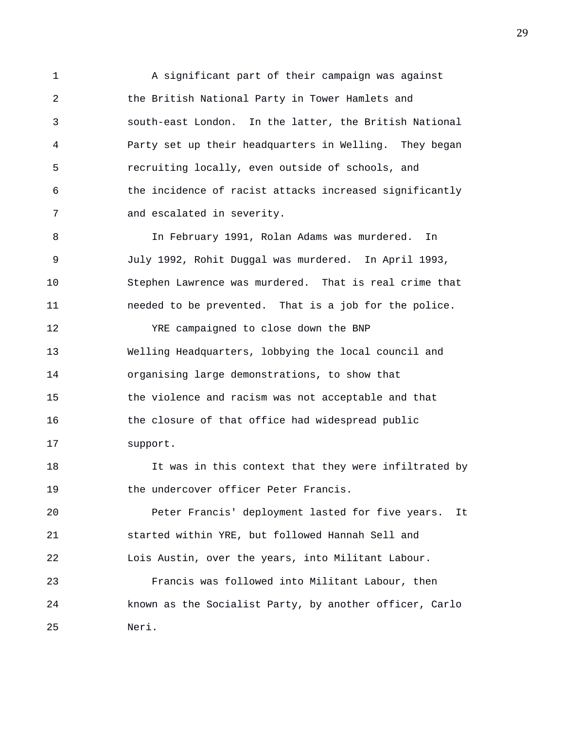1 A significant part of their campaign was against 2 the British National Party in Tower Hamlets and 3 south-east London. In the latter, the British National 4 Party set up their headquarters in Welling. They began 5 recruiting locally, even outside of schools, and 6 the incidence of racist attacks increased significantly 7 and escalated in severity.

8 In February 1991, Rolan Adams was murdered. In 9 July 1992, Rohit Duggal was murdered. In April 1993, 10 Stephen Lawrence was murdered. That is real crime that 11 needed to be prevented. That is a job for the police.

12 YRE campaigned to close down the BNP 13 Welling Headquarters, lobbying the local council and 14 organising large demonstrations, to show that 15 the violence and racism was not acceptable and that 16 the closure of that office had widespread public 17 support.

18 It was in this context that they were infiltrated by 19 the undercover officer Peter Francis.

20 Peter Francis' deployment lasted for five years. It 21 started within YRE, but followed Hannah Sell and 22 Lois Austin, over the years, into Militant Labour.

23 Francis was followed into Militant Labour, then 24 known as the Socialist Party, by another officer, Carlo 25 Neri.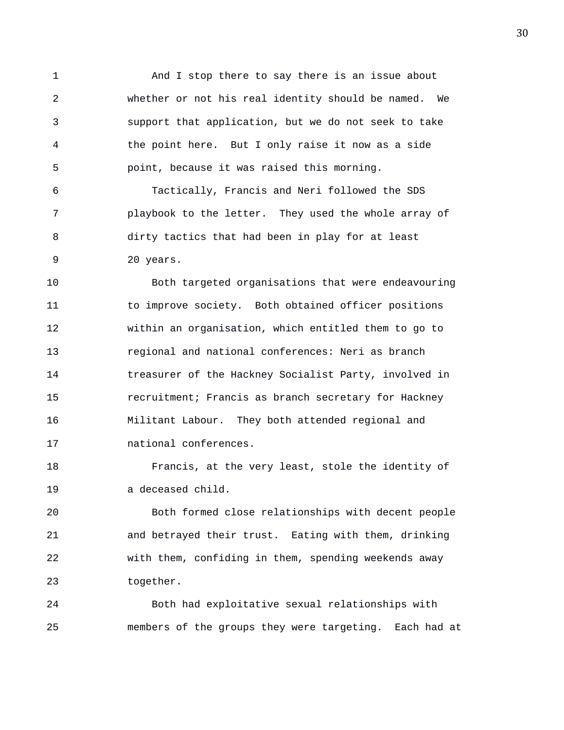1 And I stop there to say there is an issue about 2 whether or not his real identity should be named. We 3 support that application, but we do not seek to take 4 the point here. But I only raise it now as a side 5 point, because it was raised this morning.

6 Tactically, Francis and Neri followed the SDS 7 playbook to the letter. They used the whole array of 8 dirty tactics that had been in play for at least 9 20 years.

10 Both targeted organisations that were endeavouring 11 to improve society. Both obtained officer positions 12 within an organisation, which entitled them to go to 13 regional and national conferences: Neri as branch 14 treasurer of the Hackney Socialist Party, involved in 15 recruitment; Francis as branch secretary for Hackney 16 Militant Labour. They both attended regional and 17 national conferences.

18 Francis, at the very least, stole the identity of 19 a deceased child.

20 Both formed close relationships with decent people 21 and betrayed their trust. Eating with them, drinking 22 with them, confiding in them, spending weekends away 23 together.

24 Both had exploitative sexual relationships with 25 members of the groups they were targeting. Each had at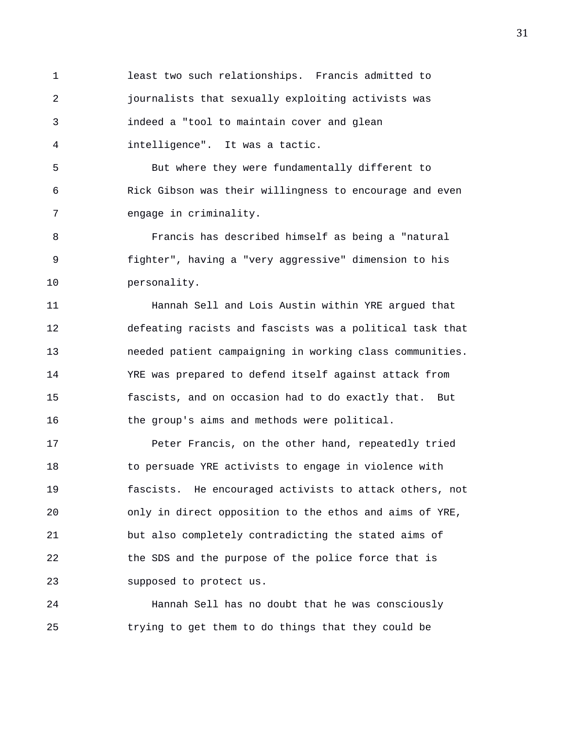1 least two such relationships. Francis admitted to 2 journalists that sexually exploiting activists was 3 indeed a "tool to maintain cover and glean 4 intelligence". It was a tactic.

5 But where they were fundamentally different to 6 Rick Gibson was their willingness to encourage and even 7 engage in criminality.

8 Francis has described himself as being a "natural 9 fighter", having a "very aggressive" dimension to his 10 personality.

11 Hannah Sell and Lois Austin within YRE argued that 12 defeating racists and fascists was a political task that 13 needed patient campaigning in working class communities. 14 YRE was prepared to defend itself against attack from 15 fascists, and on occasion had to do exactly that. But 16 the group's aims and methods were political.

17 Peter Francis, on the other hand, repeatedly tried 18 to persuade YRE activists to engage in violence with 19 fascists. He encouraged activists to attack others, not 20 only in direct opposition to the ethos and aims of YRE, 21 but also completely contradicting the stated aims of 22 the SDS and the purpose of the police force that is 23 supposed to protect us.

24 Hannah Sell has no doubt that he was consciously 25 trying to get them to do things that they could be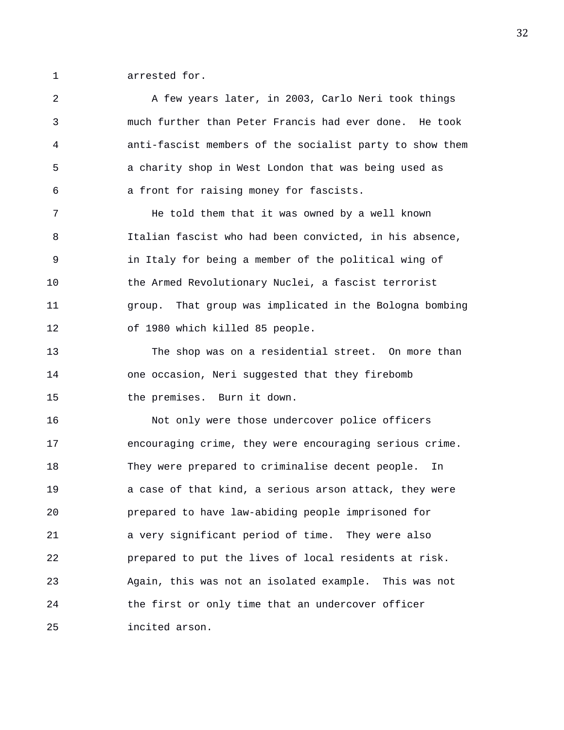1 arrested for.

2 A few years later, in 2003, Carlo Neri took things 3 much further than Peter Francis had ever done. He took 4 anti-fascist members of the socialist party to show them 5 a charity shop in West London that was being used as 6 a front for raising money for fascists. 7 He told them that it was owned by a well known 8 Italian fascist who had been convicted, in his absence, 9 in Italy for being a member of the political wing of 10 the Armed Revolutionary Nuclei, a fascist terrorist 11 group. That group was implicated in the Bologna bombing 12 of 1980 which killed 85 people. 13 The shop was on a residential street. On more than 14 one occasion, Neri suggested that they firebomb 15 the premises. Burn it down. 16 Not only were those undercover police officers 17 encouraging crime, they were encouraging serious crime. 18 They were prepared to criminalise decent people. In 19 a case of that kind, a serious arson attack, they were 20 prepared to have law-abiding people imprisoned for 21 a very significant period of time. They were also 22 prepared to put the lives of local residents at risk. 23 Again, this was not an isolated example. This was not 24 the first or only time that an undercover officer 25 incited arson.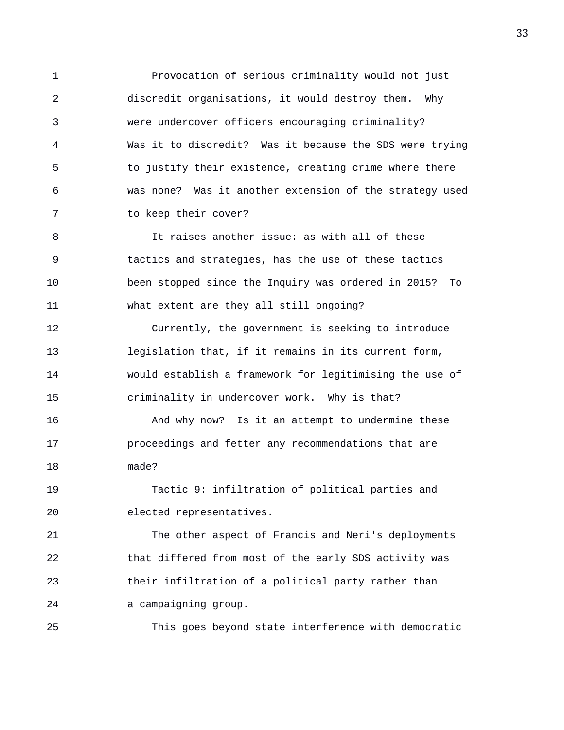1 Provocation of serious criminality would not just 2 discredit organisations, it would destroy them. Why 3 were undercover officers encouraging criminality? 4 Was it to discredit? Was it because the SDS were trying 5 to justify their existence, creating crime where there 6 was none? Was it another extension of the strategy used 7 to keep their cover?

8 It raises another issue: as with all of these 9 tactics and strategies, has the use of these tactics 10 been stopped since the Inquiry was ordered in 2015? To 11 what extent are they all still ongoing?

12 Currently, the government is seeking to introduce 13 legislation that, if it remains in its current form, 14 would establish a framework for legitimising the use of 15 criminality in undercover work. Why is that?

16 And why now? Is it an attempt to undermine these 17 proceedings and fetter any recommendations that are 18 made?

19 Tactic 9: infiltration of political parties and 20 elected representatives.

21 The other aspect of Francis and Neri's deployments 22 that differed from most of the early SDS activity was 23 their infiltration of a political party rather than 24 a campaigning group.

25 This goes beyond state interference with democratic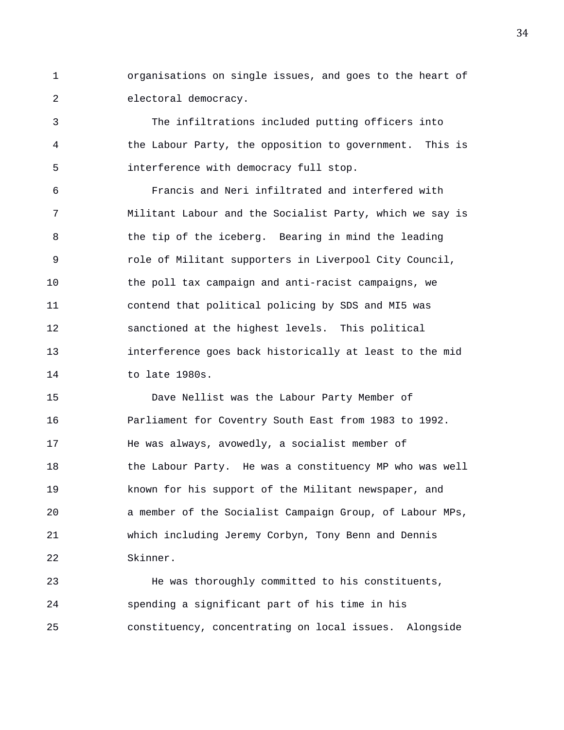1 organisations on single issues, and goes to the heart of 2 electoral democracy.

3 The infiltrations included putting officers into 4 the Labour Party, the opposition to government. This is 5 interference with democracy full stop.

6 Francis and Neri infiltrated and interfered with 7 Militant Labour and the Socialist Party, which we say is 8 6 1 the tip of the iceberg. Bearing in mind the leading 9 role of Militant supporters in Liverpool City Council, 10 the poll tax campaign and anti-racist campaigns, we 11 contend that political policing by SDS and MI5 was 12 sanctioned at the highest levels. This political 13 interference goes back historically at least to the mid 14 to late 1980s.

15 Dave Nellist was the Labour Party Member of 16 Parliament for Coventry South East from 1983 to 1992. 17 He was always, avowedly, a socialist member of 18 the Labour Party. He was a constituency MP who was well 19 known for his support of the Militant newspaper, and 20 a member of the Socialist Campaign Group, of Labour MPs, 21 which including Jeremy Corbyn, Tony Benn and Dennis 22 Skinner.

23 He was thoroughly committed to his constituents, 24 spending a significant part of his time in his 25 constituency, concentrating on local issues. Alongside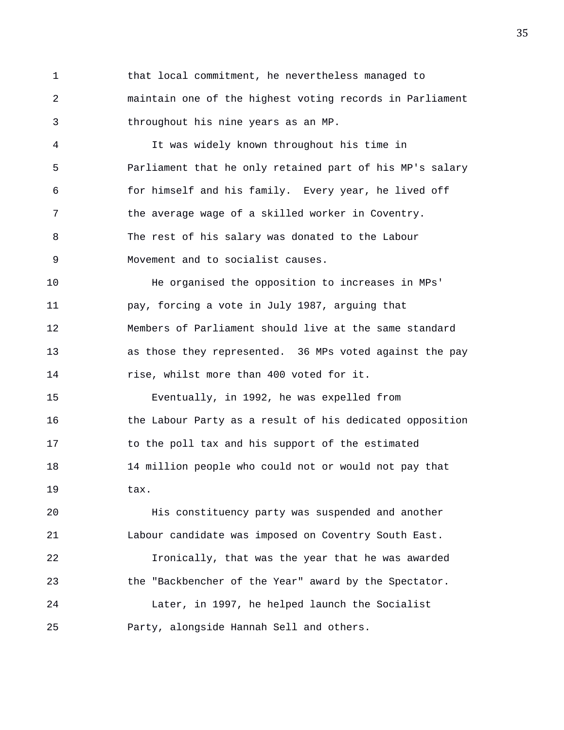1 that local commitment, he nevertheless managed to 2 maintain one of the highest voting records in Parliament 3 throughout his nine years as an MP.

4 It was widely known throughout his time in 5 Parliament that he only retained part of his MP's salary 6 for himself and his family. Every year, he lived off 7 the average wage of a skilled worker in Coventry. 8 The rest of his salary was donated to the Labour 9 Movement and to socialist causes.

10 He organised the opposition to increases in MPs' 11 pay, forcing a vote in July 1987, arguing that 12 Members of Parliament should live at the same standard 13 as those they represented. 36 MPs voted against the pay 14 rise, whilst more than 400 voted for it.

15 Eventually, in 1992, he was expelled from 16 the Labour Party as a result of his dedicated opposition 17 to the poll tax and his support of the estimated 18 14 million people who could not or would not pay that 19 tax.

20 His constituency party was suspended and another 21 Labour candidate was imposed on Coventry South East. 22 Ironically, that was the year that he was awarded 23 the "Backbencher of the Year" award by the Spectator. 24 Later, in 1997, he helped launch the Socialist

25 Party, alongside Hannah Sell and others.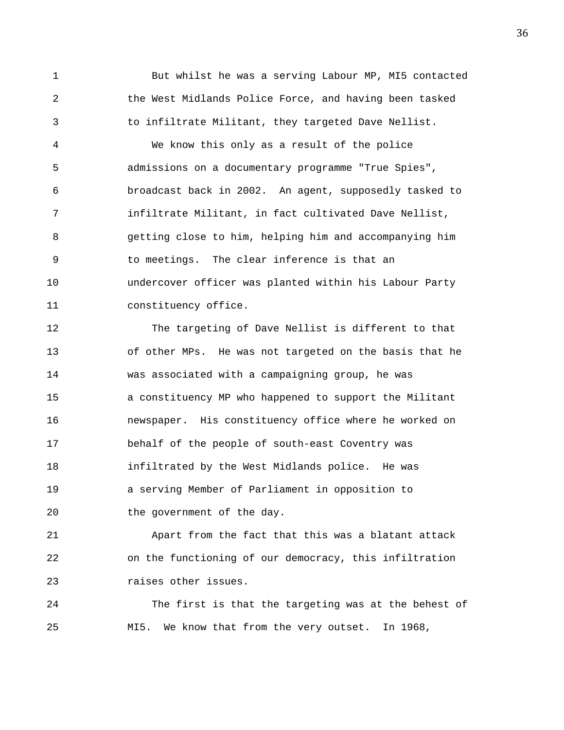1 But whilst he was a serving Labour MP, MI5 contacted 2 the West Midlands Police Force, and having been tasked 3 to infiltrate Militant, they targeted Dave Nellist.

4 We know this only as a result of the police 5 admissions on a documentary programme "True Spies", 6 broadcast back in 2002. An agent, supposedly tasked to 7 infiltrate Militant, in fact cultivated Dave Nellist, 8 getting close to him, helping him and accompanying him 9 to meetings. The clear inference is that an 10 undercover officer was planted within his Labour Party 11 constituency office.

12 The targeting of Dave Nellist is different to that 13 of other MPs. He was not targeted on the basis that he 14 was associated with a campaigning group, he was 15 a constituency MP who happened to support the Militant 16 newspaper. His constituency office where he worked on 17 behalf of the people of south-east Coventry was 18 infiltrated by the West Midlands police. He was 19 a serving Member of Parliament in opposition to 20 the government of the day.

21 Apart from the fact that this was a blatant attack 22 on the functioning of our democracy, this infiltration 23 raises other issues.

24 The first is that the targeting was at the behest of 25 MI5. We know that from the very outset. In 1968,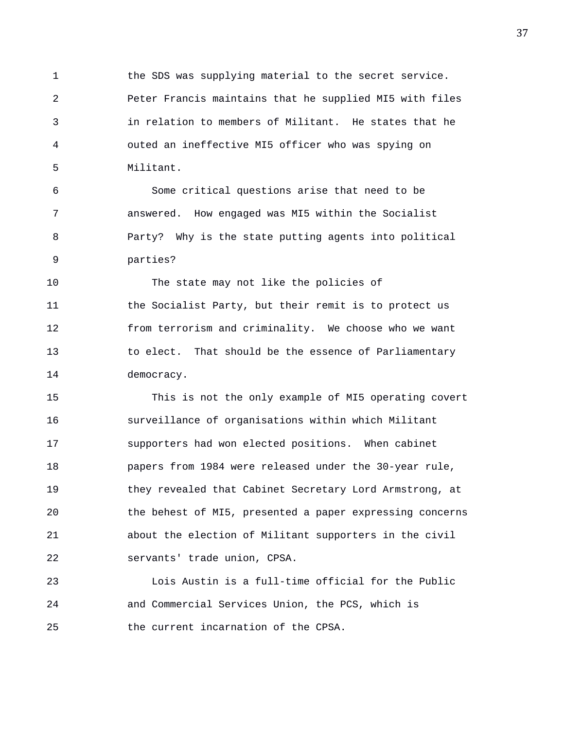1 the SDS was supplying material to the secret service. 2 Peter Francis maintains that he supplied MI5 with files 3 in relation to members of Militant. He states that he 4 outed an ineffective MI5 officer who was spying on 5 Militant.

6 Some critical questions arise that need to be 7 answered. How engaged was MI5 within the Socialist 8 Party? Why is the state putting agents into political 9 parties?

10 The state may not like the policies of 11 the Socialist Party, but their remit is to protect us 12 from terrorism and criminality. We choose who we want 13 to elect. That should be the essence of Parliamentary 14 democracy.

15 This is not the only example of MI5 operating covert 16 surveillance of organisations within which Militant 17 supporters had won elected positions. When cabinet 18 papers from 1984 were released under the 30-year rule, 19 they revealed that Cabinet Secretary Lord Armstrong, at 20 the behest of MI5, presented a paper expressing concerns 21 about the election of Militant supporters in the civil 22 servants' trade union, CPSA.

23 Lois Austin is a full-time official for the Public 24 and Commercial Services Union, the PCS, which is 25 the current incarnation of the CPSA.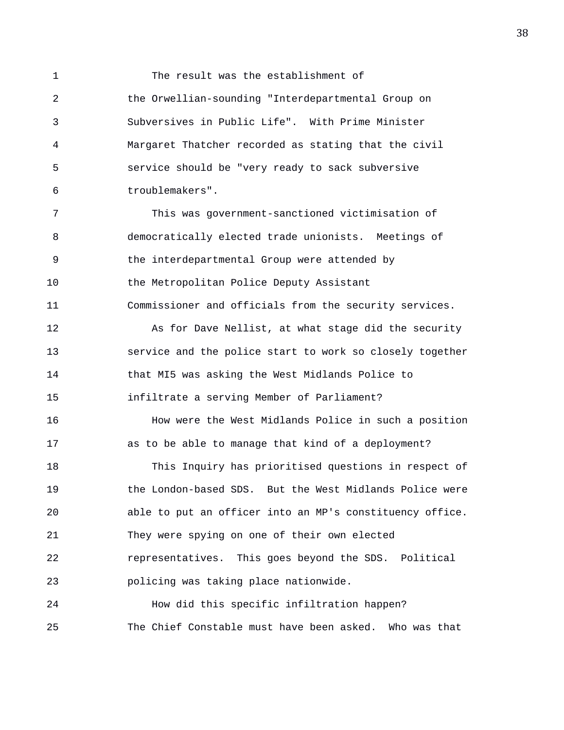1 The result was the establishment of 2 the Orwellian-sounding "Interdepartmental Group on 3 Subversives in Public Life". With Prime Minister 4 Margaret Thatcher recorded as stating that the civil 5 service should be "very ready to sack subversive 6 troublemakers".

7 This was government-sanctioned victimisation of 8 democratically elected trade unionists. Meetings of 9 the interdepartmental Group were attended by 10 the Metropolitan Police Deputy Assistant 11 Commissioner and officials from the security services.

12 As for Dave Nellist, at what stage did the security 13 service and the police start to work so closely together 14 that MI5 was asking the West Midlands Police to 15 infiltrate a serving Member of Parliament?

16 How were the West Midlands Police in such a position 17 as to be able to manage that kind of a deployment?

18 This Inquiry has prioritised questions in respect of 19 the London-based SDS. But the West Midlands Police were 20 able to put an officer into an MP's constituency office. 21 They were spying on one of their own elected 22 representatives. This goes beyond the SDS. Political 23 policing was taking place nationwide.

24 How did this specific infiltration happen? 25 The Chief Constable must have been asked. Who was that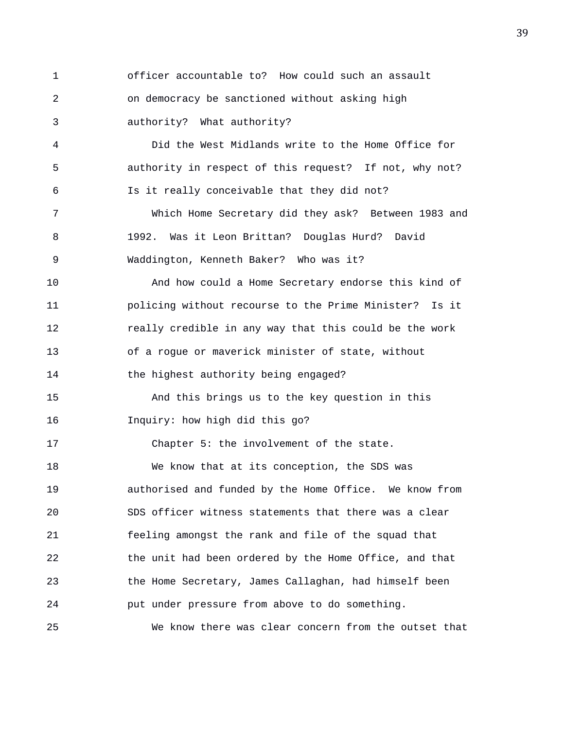1 officer accountable to? How could such an assault 2 on democracy be sanctioned without asking high 3 authority? What authority? 4 Did the West Midlands write to the Home Office for 5 authority in respect of this request? If not, why not? 6 Is it really conceivable that they did not? 7 Which Home Secretary did they ask? Between 1983 and 8 1992. Was it Leon Brittan? Douglas Hurd? David 9 Waddington, Kenneth Baker? Who was it? 10 And how could a Home Secretary endorse this kind of 11 policing without recourse to the Prime Minister? Is it 12 really credible in any way that this could be the work 13 of a rogue or maverick minister of state, without 14 the highest authority being engaged? 15 And this brings us to the key question in this 16 Inquiry: how high did this go? 17 Chapter 5: the involvement of the state. 18 We know that at its conception, the SDS was 19 authorised and funded by the Home Office. We know from 20 SDS officer witness statements that there was a clear 21 feeling amongst the rank and file of the squad that 22 the unit had been ordered by the Home Office, and that 23 the Home Secretary, James Callaghan, had himself been 24 put under pressure from above to do something. 25 We know there was clear concern from the outset that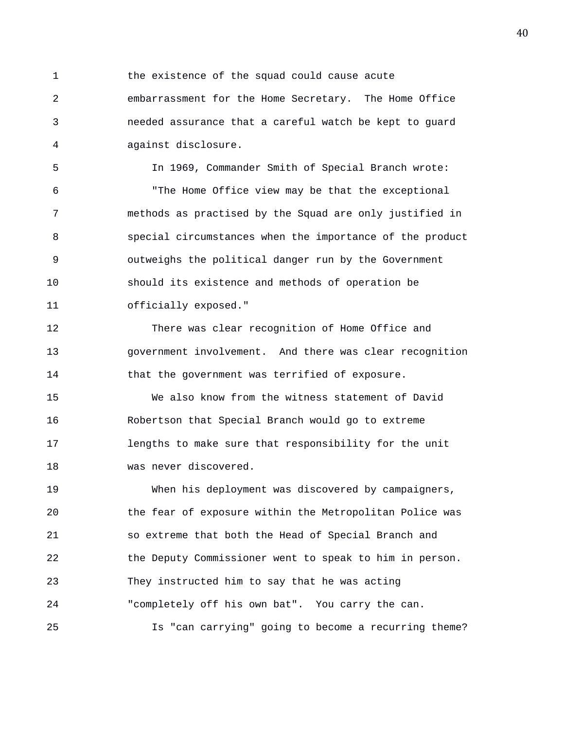1 the existence of the squad could cause acute 2 embarrassment for the Home Secretary. The Home Office 3 needed assurance that a careful watch be kept to guard 4 against disclosure.

5 In 1969, Commander Smith of Special Branch wrote: 6 "The Home Office view may be that the exceptional 7 methods as practised by the Squad are only justified in 8 special circumstances when the importance of the product 9 outweighs the political danger run by the Government 10 should its existence and methods of operation be 11 officially exposed."

12 There was clear recognition of Home Office and 13 government involvement. And there was clear recognition 14 that the government was terrified of exposure.

15 We also know from the witness statement of David 16 Robertson that Special Branch would go to extreme 17 lengths to make sure that responsibility for the unit 18 was never discovered.

19 When his deployment was discovered by campaigners, 20 the fear of exposure within the Metropolitan Police was 21 so extreme that both the Head of Special Branch and 22 the Deputy Commissioner went to speak to him in person. 23 They instructed him to say that he was acting 24 "completely off his own bat". You carry the can. 25 Is "can carrying" going to become a recurring theme?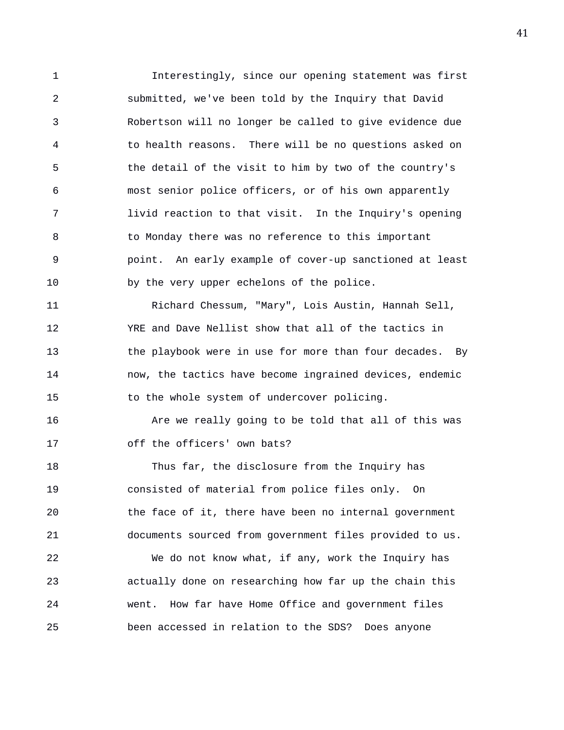1 Interestingly, since our opening statement was first 2 submitted, we've been told by the Inquiry that David 3 Robertson will no longer be called to give evidence due 4 to health reasons. There will be no questions asked on 5 the detail of the visit to him by two of the country's 6 most senior police officers, or of his own apparently 7 livid reaction to that visit. In the Inquiry's opening 8 to Monday there was no reference to this important 9 point. An early example of cover-up sanctioned at least 10 by the very upper echelons of the police. 11 Richard Chessum, "Mary", Lois Austin, Hannah Sell, 12 YRE and Dave Nellist show that all of the tactics in 13 the playbook were in use for more than four decades. By

14 now, the tactics have become ingrained devices, endemic 15 to the whole system of undercover policing.

16 **Are we really going to be told that all of this was** 17 off the officers' own bats?

18 Thus far, the disclosure from the Inquiry has 19 consisted of material from police files only. On 20 the face of it, there have been no internal government 21 documents sourced from government files provided to us. 22 We do not know what, if any, work the Inquiry has

23 actually done on researching how far up the chain this 24 went. How far have Home Office and government files 25 been accessed in relation to the SDS? Does anyone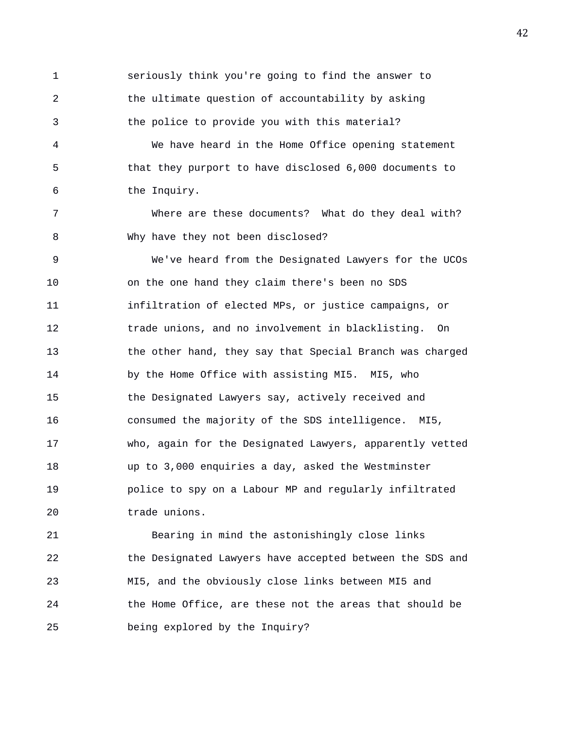1 seriously think you're going to find the answer to 2 the ultimate question of accountability by asking 3 the police to provide you with this material? 4 We have heard in the Home Office opening statement 5 that they purport to have disclosed 6,000 documents to 6 the Inquiry. 7 Where are these documents? What do they deal with? 8 Why have they not been disclosed? 9 We've heard from the Designated Lawyers for the UCOs 10 on the one hand they claim there's been no SDS 11 infiltration of elected MPs, or justice campaigns, or 12 trade unions, and no involvement in blacklisting. On 13 the other hand, they say that Special Branch was charged 14 by the Home Office with assisting MI5. MI5, who 15 the Designated Lawyers say, actively received and 16 consumed the majority of the SDS intelligence. MI5, 17 who, again for the Designated Lawyers, apparently vetted 18 up to 3,000 enquiries a day, asked the Westminster 19 police to spy on a Labour MP and regularly infiltrated 20 trade unions.

21 Bearing in mind the astonishingly close links 22 the Designated Lawyers have accepted between the SDS and 23 MI5, and the obviously close links between MI5 and 24 the Home Office, are these not the areas that should be 25 being explored by the Inquiry?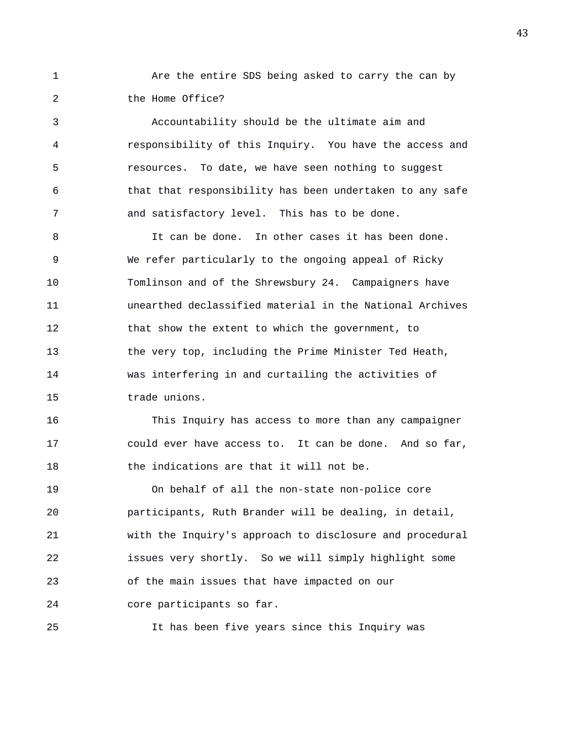1 Are the entire SDS being asked to carry the can by 2 the Home Office?

3 Accountability should be the ultimate aim and 4 responsibility of this Inquiry. You have the access and 5 resources. To date, we have seen nothing to suggest 6 that that responsibility has been undertaken to any safe 7 and satisfactory level. This has to be done.

8 It can be done. In other cases it has been done. 9 We refer particularly to the ongoing appeal of Ricky 10 Tomlinson and of the Shrewsbury 24. Campaigners have 11 unearthed declassified material in the National Archives 12 that show the extent to which the government, to 13 the very top, including the Prime Minister Ted Heath, 14 was interfering in and curtailing the activities of 15 trade unions.

16 This Inquiry has access to more than any campaigner 17 could ever have access to. It can be done. And so far, 18 the indications are that it will not be.

19 On behalf of all the non-state non-police core 20 participants, Ruth Brander will be dealing, in detail, 21 with the Inquiry's approach to disclosure and procedural 22 issues very shortly. So we will simply highlight some 23 of the main issues that have impacted on our 24 core participants so far.

25 It has been five years since this Inquiry was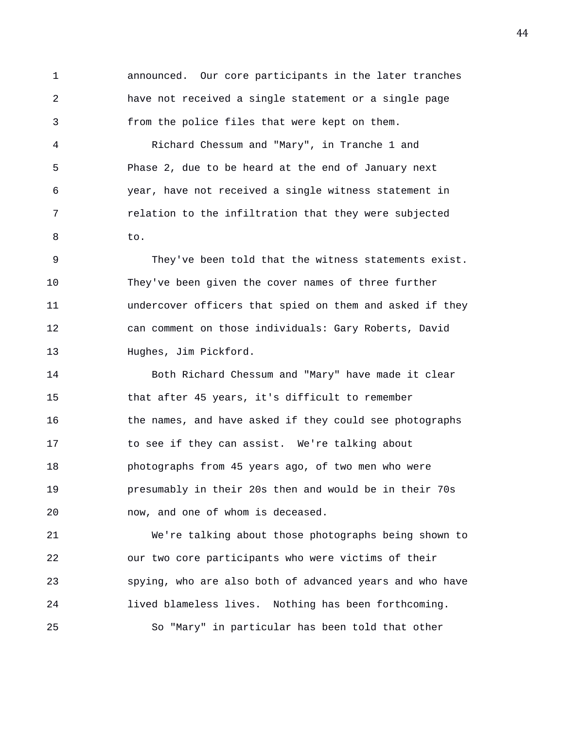1 announced. Our core participants in the later tranches 2 have not received a single statement or a single page 3 from the police files that were kept on them.

4 Richard Chessum and "Mary", in Tranche 1 and 5 Phase 2, due to be heard at the end of January next 6 year, have not received a single witness statement in 7 relation to the infiltration that they were subjected 8 to.

9 They've been told that the witness statements exist. 10 They've been given the cover names of three further 11 undercover officers that spied on them and asked if they 12 can comment on those individuals: Gary Roberts, David 13 Hughes, Jim Pickford.

14 Both Richard Chessum and "Mary" have made it clear 15 that after 45 years, it's difficult to remember 16 the names, and have asked if they could see photographs 17 to see if they can assist. We're talking about 18 photographs from 45 years ago, of two men who were 19 presumably in their 20s then and would be in their 70s 20 now, and one of whom is deceased.

21 We're talking about those photographs being shown to 22 our two core participants who were victims of their 23 spying, who are also both of advanced years and who have 24 lived blameless lives. Nothing has been forthcoming. 25 So "Mary" in particular has been told that other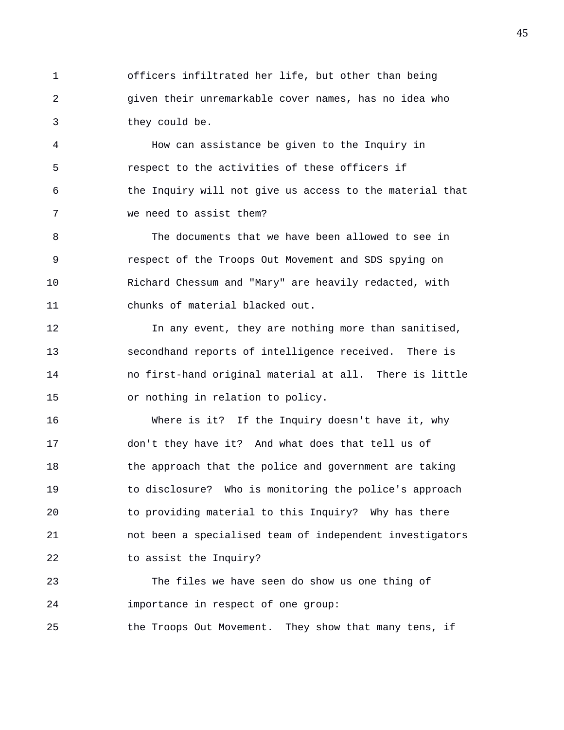1 officers infiltrated her life, but other than being 2 given their unremarkable cover names, has no idea who 3 they could be.

4 How can assistance be given to the Inquiry in 5 respect to the activities of these officers if 6 the Inquiry will not give us access to the material that 7 we need to assist them?

8 The documents that we have been allowed to see in 9 respect of the Troops Out Movement and SDS spying on 10 Richard Chessum and "Mary" are heavily redacted, with 11 chunks of material blacked out.

12 12 In any event, they are nothing more than sanitised, 13 secondhand reports of intelligence received. There is 14 no first-hand original material at all. There is little 15 or nothing in relation to policy.

16 Where is it? If the Inquiry doesn't have it, why 17 don't they have it? And what does that tell us of 18 the approach that the police and government are taking 19 to disclosure? Who is monitoring the police's approach 20 to providing material to this Inquiry? Why has there 21 not been a specialised team of independent investigators 22 to assist the Inquiry?

23 The files we have seen do show us one thing of 24 importance in respect of one group:

25 the Troops Out Movement. They show that many tens, if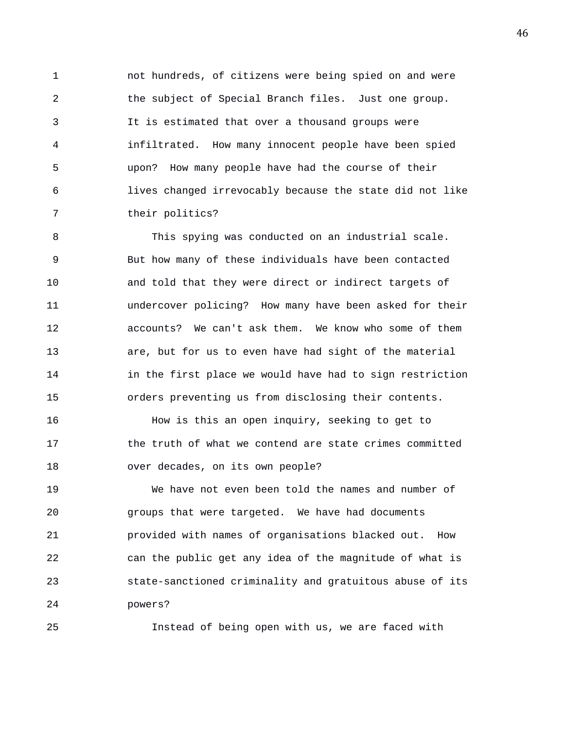1 not hundreds, of citizens were being spied on and were 2 the subject of Special Branch files. Just one group. 3 It is estimated that over a thousand groups were 4 infiltrated. How many innocent people have been spied 5 upon? How many people have had the course of their 6 lives changed irrevocably because the state did not like 7 their politics?

8 This spying was conducted on an industrial scale. 9 But how many of these individuals have been contacted 10 and told that they were direct or indirect targets of 11 undercover policing? How many have been asked for their 12 accounts? We can't ask them. We know who some of them 13 are, but for us to even have had sight of the material 14 in the first place we would have had to sign restriction 15 orders preventing us from disclosing their contents.

16 How is this an open inquiry, seeking to get to 17 the truth of what we contend are state crimes committed 18 over decades, on its own people?

19 We have not even been told the names and number of 20 groups that were targeted. We have had documents 21 provided with names of organisations blacked out. How 22 can the public get any idea of the magnitude of what is 23 state-sanctioned criminality and gratuitous abuse of its 24 powers?

25 Instead of being open with us, we are faced with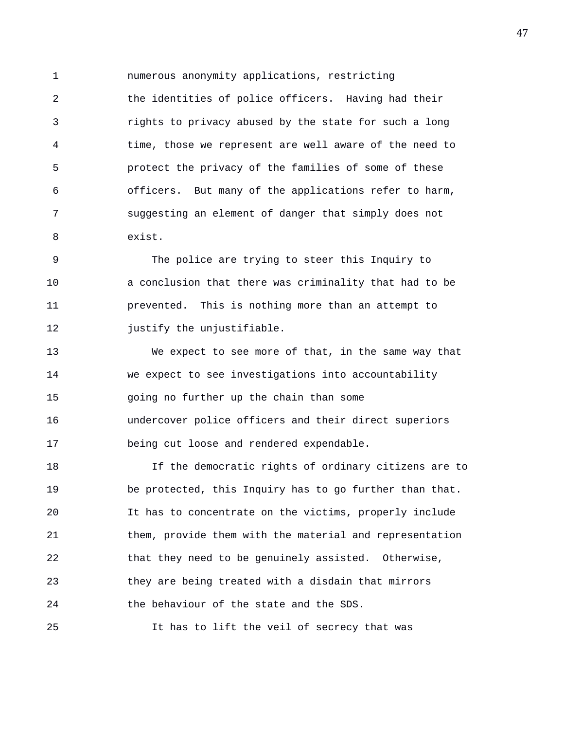1 numerous anonymity applications, restricting 2 the identities of police officers. Having had their 3 rights to privacy abused by the state for such a long 4 time, those we represent are well aware of the need to 5 protect the privacy of the families of some of these 6 officers. But many of the applications refer to harm, 7 suggesting an element of danger that simply does not 8 exist.

9 The police are trying to steer this Inquiry to 10 a conclusion that there was criminality that had to be 11 prevented. This is nothing more than an attempt to 12 **justify** the unjustifiable.

13 We expect to see more of that, in the same way that 14 we expect to see investigations into accountability 15 going no further up the chain than some 16 undercover police officers and their direct superiors 17 being cut loose and rendered expendable.

18 If the democratic rights of ordinary citizens are to 19 be protected, this Inquiry has to go further than that. 20 It has to concentrate on the victims, properly include 21 them, provide them with the material and representation 22 that they need to be genuinely assisted. Otherwise, 23 they are being treated with a disdain that mirrors 24 the behaviour of the state and the SDS.

25 It has to lift the veil of secrecy that was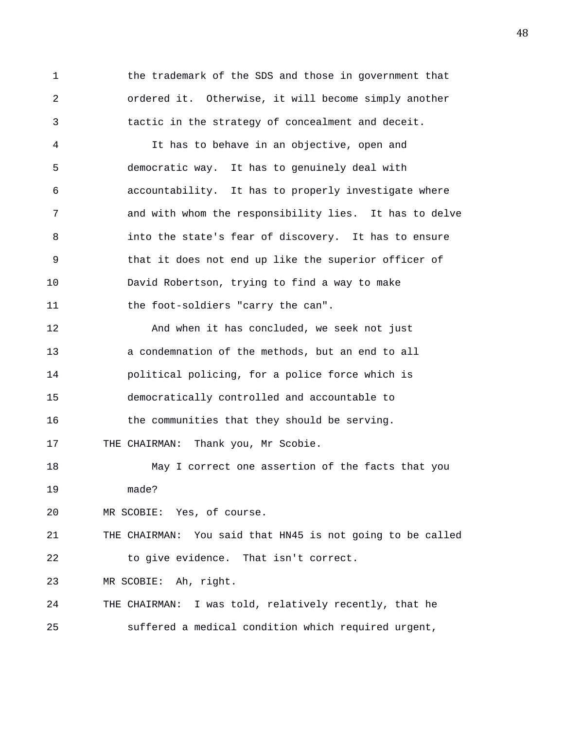1 the trademark of the SDS and those in government that 2 ordered it. Otherwise, it will become simply another 3 tactic in the strategy of concealment and deceit.

4 It has to behave in an objective, open and 5 democratic way. It has to genuinely deal with 6 accountability. It has to properly investigate where 7 and with whom the responsibility lies. It has to delve 8 into the state's fear of discovery. It has to ensure 9 that it does not end up like the superior officer of 10 David Robertson, trying to find a way to make 11 the foot-soldiers "carry the can".

12 And when it has concluded, we seek not just 13 a condemnation of the methods, but an end to all 14 political policing, for a police force which is 15 democratically controlled and accountable to 16 the communities that they should be serving.

17 THE CHAIRMAN: Thank you, Mr Scobie.

18 May I correct one assertion of the facts that you 19 made?

20 MR SCOBIE: Yes, of course.

21 THE CHAIRMAN: You said that HN45 is not going to be called 22 to give evidence. That isn't correct.

23 MR SCOBIE: Ah, right.

24 THE CHAIRMAN: I was told, relatively recently, that he 25 suffered a medical condition which required urgent,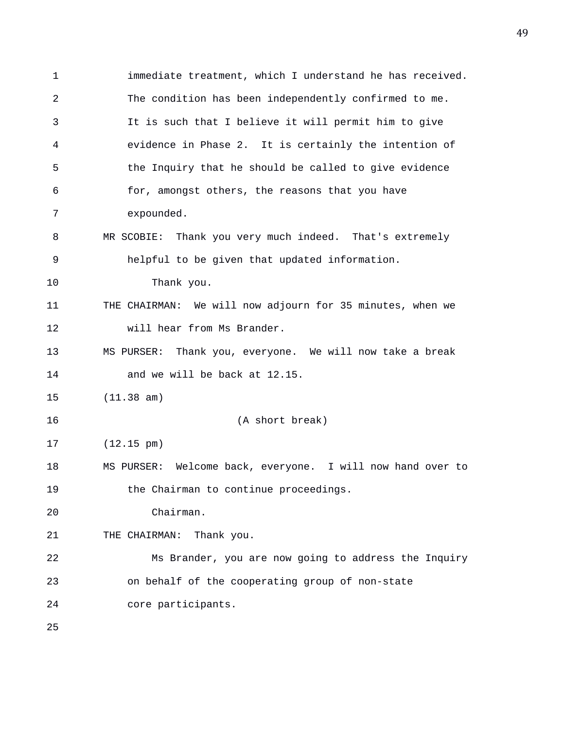1 immediate treatment, which I understand he has received. 2 The condition has been independently confirmed to me. 3 It is such that I believe it will permit him to give 4 evidence in Phase 2. It is certainly the intention of 5 the Inquiry that he should be called to give evidence 6 for, amongst others, the reasons that you have 7 expounded. 8 MR SCOBIE: Thank you very much indeed. That's extremely 9 helpful to be given that updated information. 10 Thank you. 11 THE CHAIRMAN: We will now adjourn for 35 minutes, when we 12 will hear from Ms Brander. 13 MS PURSER: Thank you, everyone. We will now take a break 14 and we will be back at 12.15. 15 (11.38 am) 16 (A short break) 17 (12.15 pm) 18 MS PURSER: Welcome back, everyone. I will now hand over to 19 the Chairman to continue proceedings. 20 Chairman. 21 THE CHAIRMAN: Thank you. 22 Ms Brander, you are now going to address the Inquiry 23 on behalf of the cooperating group of non-state 24 core participants. 25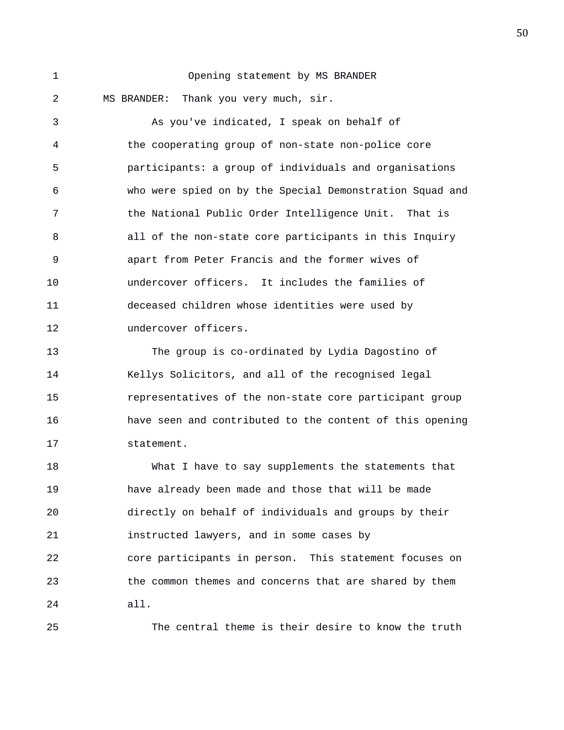1 Opening statement by MS BRANDER 2 MS BRANDER: Thank you very much, sir.

3 As you've indicated, I speak on behalf of 4 the cooperating group of non-state non-police core 5 participants: a group of individuals and organisations 6 who were spied on by the Special Demonstration Squad and 7 the National Public Order Intelligence Unit. That is 8 all of the non-state core participants in this Inquiry 9 apart from Peter Francis and the former wives of 10 undercover officers. It includes the families of 11 deceased children whose identities were used by 12 undercover officers.

13 The group is co-ordinated by Lydia Dagostino of 14 Kellys Solicitors, and all of the recognised legal 15 representatives of the non-state core participant group 16 have seen and contributed to the content of this opening 17 statement.

18 What I have to say supplements the statements that 19 have already been made and those that will be made 20 directly on behalf of individuals and groups by their 21 instructed lawyers, and in some cases by 22 core participants in person. This statement focuses on 23 the common themes and concerns that are shared by them 24 all.

25 The central theme is their desire to know the truth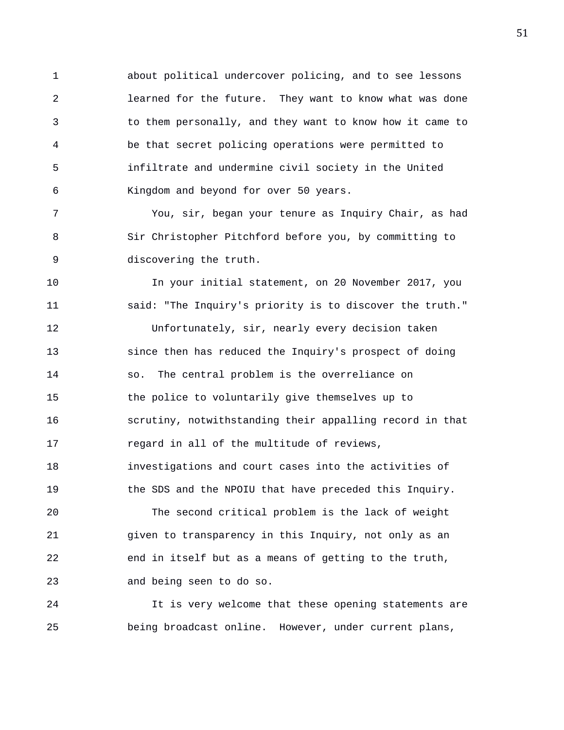1 about political undercover policing, and to see lessons 2 learned for the future. They want to know what was done 3 to them personally, and they want to know how it came to 4 be that secret policing operations were permitted to 5 infiltrate and undermine civil society in the United 6 Kingdom and beyond for over 50 years.

7 You, sir, began your tenure as Inquiry Chair, as had 8 Sir Christopher Pitchford before you, by committing to 9 discovering the truth.

10 In your initial statement, on 20 November 2017, you 11 said: "The Inquiry's priority is to discover the truth." 12 Unfortunately, sir, nearly every decision taken 13 since then has reduced the Inquiry's prospect of doing 14 so. The central problem is the overreliance on 15 the police to voluntarily give themselves up to 16 scrutiny, notwithstanding their appalling record in that 17 regard in all of the multitude of reviews, 18 investigations and court cases into the activities of 19 the SDS and the NPOIU that have preceded this Inquiry. 20 The second critical problem is the lack of weight 21 given to transparency in this Inquiry, not only as an 22 end in itself but as a means of getting to the truth,

23 and being seen to do so.

24 It is very welcome that these opening statements are 25 being broadcast online. However, under current plans,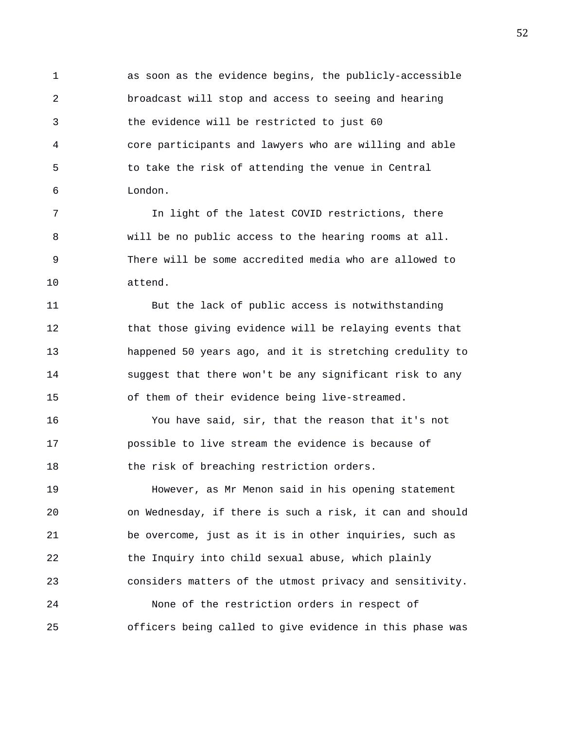1 as soon as the evidence begins, the publicly-accessible 2 broadcast will stop and access to seeing and hearing 3 the evidence will be restricted to just 60 4 core participants and lawyers who are willing and able 5 to take the risk of attending the venue in Central 6 London.

7 In light of the latest COVID restrictions, there 8 will be no public access to the hearing rooms at all. 9 There will be some accredited media who are allowed to 10 attend.

11 But the lack of public access is notwithstanding 12 that those giving evidence will be relaying events that 13 happened 50 years ago, and it is stretching credulity to 14 suggest that there won't be any significant risk to any 15 of them of their evidence being live-streamed.

16 You have said, sir, that the reason that it's not 17 possible to live stream the evidence is because of 18 the risk of breaching restriction orders.

19 However, as Mr Menon said in his opening statement 20 on Wednesday, if there is such a risk, it can and should 21 be overcome, just as it is in other inquiries, such as 22 the Inquiry into child sexual abuse, which plainly 23 considers matters of the utmost privacy and sensitivity. 24 None of the restriction orders in respect of 25 officers being called to give evidence in this phase was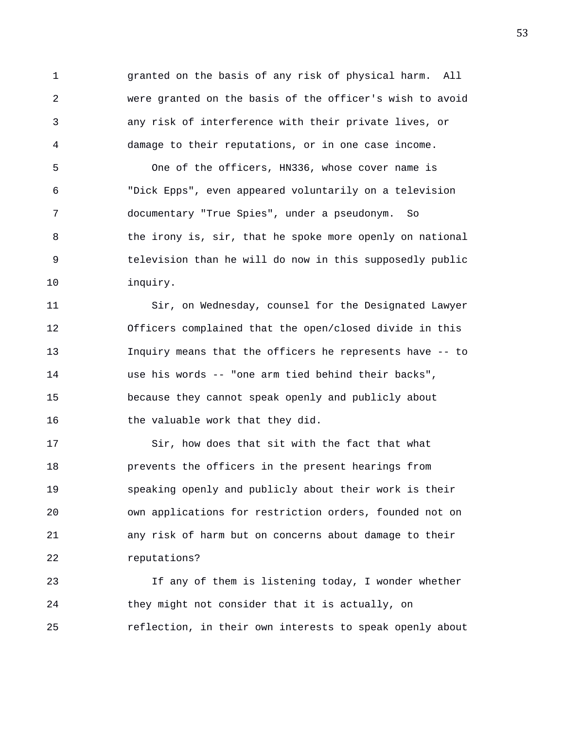1 granted on the basis of any risk of physical harm. All 2 were granted on the basis of the officer's wish to avoid 3 any risk of interference with their private lives, or 4 damage to their reputations, or in one case income.

5 One of the officers, HN336, whose cover name is 6 "Dick Epps", even appeared voluntarily on a television 7 documentary "True Spies", under a pseudonym. So 8 the irony is, sir, that he spoke more openly on national 9 television than he will do now in this supposedly public 10 inquiry.

11 Sir, on Wednesday, counsel for the Designated Lawyer 12 Officers complained that the open/closed divide in this 13 Inquiry means that the officers he represents have -- to 14 use his words -- "one arm tied behind their backs", 15 because they cannot speak openly and publicly about 16 the valuable work that they did.

17 Sir, how does that sit with the fact that what 18 prevents the officers in the present hearings from 19 speaking openly and publicly about their work is their 20 own applications for restriction orders, founded not on 21 any risk of harm but on concerns about damage to their 22 reputations?

23 If any of them is listening today, I wonder whether 24 they might not consider that it is actually, on 25 reflection, in their own interests to speak openly about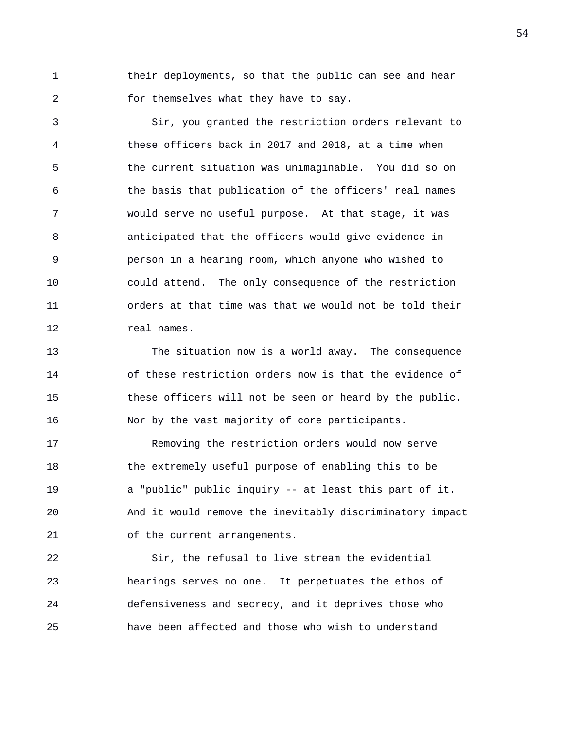1 their deployments, so that the public can see and hear 2 for themselves what they have to say.

3 Sir, you granted the restriction orders relevant to 4 these officers back in 2017 and 2018, at a time when 5 the current situation was unimaginable. You did so on 6 the basis that publication of the officers' real names 7 would serve no useful purpose. At that stage, it was 8 anticipated that the officers would give evidence in 9 person in a hearing room, which anyone who wished to 10 could attend. The only consequence of the restriction 11 orders at that time was that we would not be told their 12 real names.

13 The situation now is a world away. The consequence 14 of these restriction orders now is that the evidence of 15 these officers will not be seen or heard by the public. 16 Nor by the vast majority of core participants.

17 Removing the restriction orders would now serve 18 the extremely useful purpose of enabling this to be 19 a "public" public inquiry -- at least this part of it. 20 And it would remove the inevitably discriminatory impact 21 of the current arrangements.

22 Sir, the refusal to live stream the evidential 23 hearings serves no one. It perpetuates the ethos of 24 defensiveness and secrecy, and it deprives those who 25 have been affected and those who wish to understand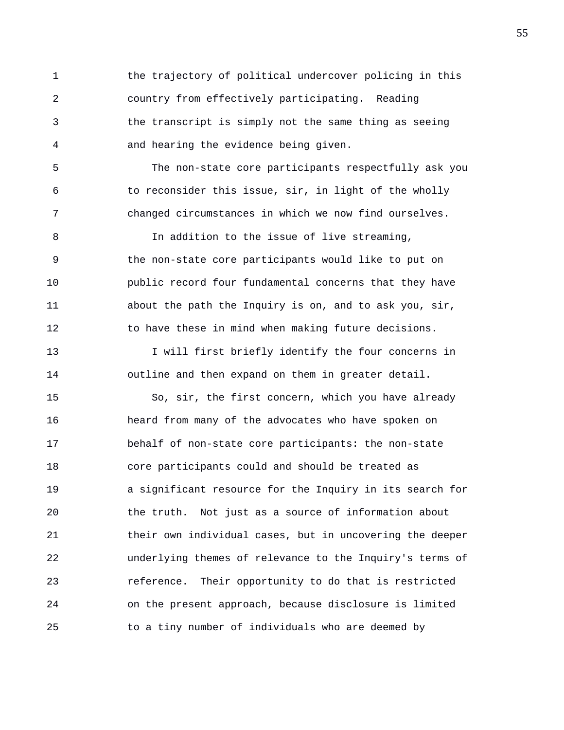1 the trajectory of political undercover policing in this 2 country from effectively participating. Reading 3 the transcript is simply not the same thing as seeing 4 and hearing the evidence being given.

5 The non-state core participants respectfully ask you 6 to reconsider this issue, sir, in light of the wholly 7 changed circumstances in which we now find ourselves.

8 In addition to the issue of live streaming, 9 the non-state core participants would like to put on 10 public record four fundamental concerns that they have 11 about the path the Inquiry is on, and to ask you, sir, 12 to have these in mind when making future decisions.

13 I will first briefly identify the four concerns in 14 outline and then expand on them in greater detail.

15 So, sir, the first concern, which you have already 16 heard from many of the advocates who have spoken on 17 behalf of non-state core participants: the non-state 18 core participants could and should be treated as 19 a significant resource for the Inquiry in its search for 20 the truth. Not just as a source of information about 21 their own individual cases, but in uncovering the deeper 22 underlying themes of relevance to the Inquiry's terms of 23 reference. Their opportunity to do that is restricted 24 on the present approach, because disclosure is limited 25 to a tiny number of individuals who are deemed by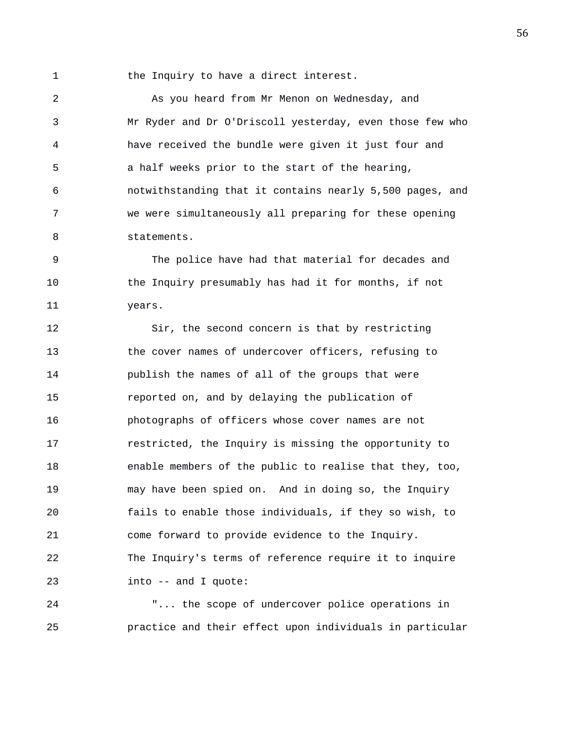1 the Inquiry to have a direct interest.

2 As you heard from Mr Menon on Wednesday, and 3 Mr Ryder and Dr O'Driscoll yesterday, even those few who 4 have received the bundle were given it just four and 5 a half weeks prior to the start of the hearing, 6 notwithstanding that it contains nearly 5,500 pages, and 7 we were simultaneously all preparing for these opening 8 statements.

9 The police have had that material for decades and 10 the Inquiry presumably has had it for months, if not 11 years.

12 Sir, the second concern is that by restricting 13 the cover names of undercover officers, refusing to 14 publish the names of all of the groups that were 15 reported on, and by delaying the publication of 16 photographs of officers whose cover names are not 17 restricted, the Inquiry is missing the opportunity to 18 enable members of the public to realise that they, too, 19 may have been spied on. And in doing so, the Inquiry 20 fails to enable those individuals, if they so wish, to 21 come forward to provide evidence to the Inquiry. 22 The Inquiry's terms of reference require it to inquire 23 into -- and I quote:

24 "... the scope of undercover police operations in 25 practice and their effect upon individuals in particular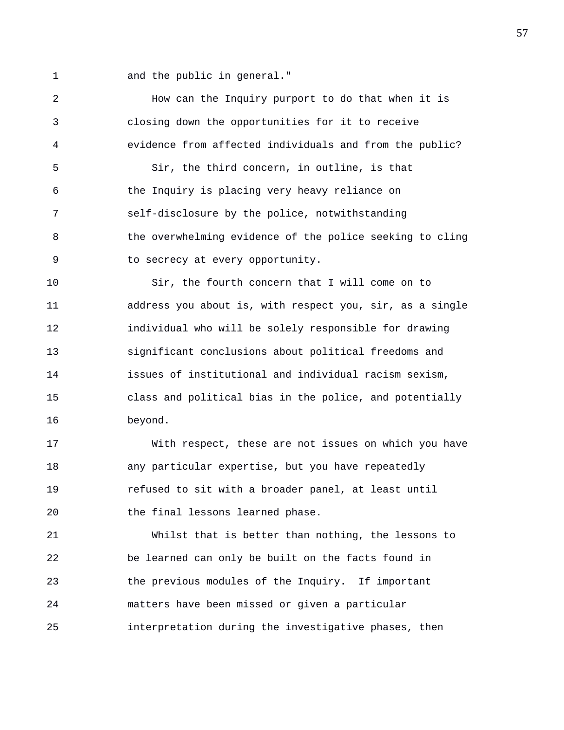1 and the public in general."

2 How can the Inquiry purport to do that when it is 3 closing down the opportunities for it to receive 4 evidence from affected individuals and from the public? 5 Sir, the third concern, in outline, is that 6 the Inquiry is placing very heavy reliance on 7 self-disclosure by the police, notwithstanding 8 the overwhelming evidence of the police seeking to cling 9 to secrecy at every opportunity. 10 Sir, the fourth concern that I will come on to 11 address you about is, with respect you, sir, as a single 12 individual who will be solely responsible for drawing 13 significant conclusions about political freedoms and

14 issues of institutional and individual racism sexism, 15 class and political bias in the police, and potentially 16 beyond.

17 With respect, these are not issues on which you have 18 any particular expertise, but you have repeatedly 19 refused to sit with a broader panel, at least until 20 the final lessons learned phase.

21 Whilst that is better than nothing, the lessons to 22 be learned can only be built on the facts found in 23 the previous modules of the Inquiry. If important 24 matters have been missed or given a particular 25 interpretation during the investigative phases, then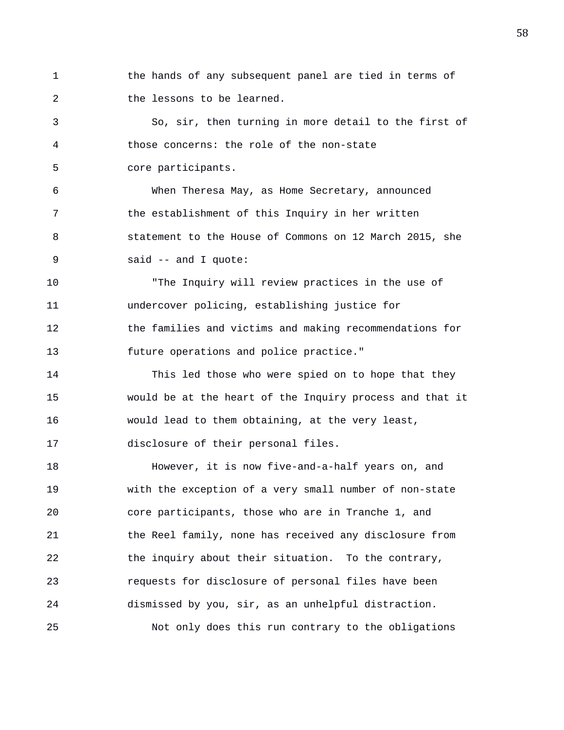1 the hands of any subsequent panel are tied in terms of 2 the lessons to be learned.

3 So, sir, then turning in more detail to the first of 4 those concerns: the role of the non-state 5 core participants.

6 When Theresa May, as Home Secretary, announced 7 the establishment of this Inquiry in her written 8 statement to the House of Commons on 12 March 2015, she 9 said -- and I quote:

10 "The Inquiry will review practices in the use of 11 undercover policing, establishing justice for 12 the families and victims and making recommendations for 13 future operations and police practice."

14 This led those who were spied on to hope that they 15 would be at the heart of the Inquiry process and that it 16 would lead to them obtaining, at the very least, 17 disclosure of their personal files.

18 However, it is now five-and-a-half years on, and 19 with the exception of a very small number of non-state 20 core participants, those who are in Tranche 1, and 21 the Reel family, none has received any disclosure from 22 the inquiry about their situation. To the contrary, 23 requests for disclosure of personal files have been 24 dismissed by you, sir, as an unhelpful distraction. 25 Not only does this run contrary to the obligations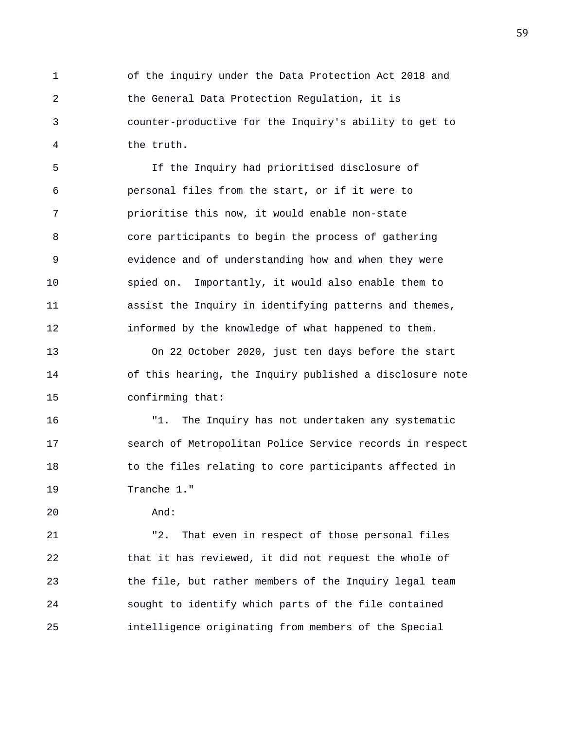1 of the inquiry under the Data Protection Act 2018 and 2 the General Data Protection Regulation, it is 3 counter-productive for the Inquiry's ability to get to 4 the truth.

5 If the Inquiry had prioritised disclosure of 6 personal files from the start, or if it were to 7 prioritise this now, it would enable non-state 8 core participants to begin the process of gathering 9 evidence and of understanding how and when they were 10 spied on. Importantly, it would also enable them to 11 assist the Inquiry in identifying patterns and themes, 12 informed by the knowledge of what happened to them.

13 On 22 October 2020, just ten days before the start 14 of this hearing, the Inquiry published a disclosure note 15 confirming that:

16 "1. The Inquiry has not undertaken any systematic 17 search of Metropolitan Police Service records in respect 18 to the files relating to core participants affected in 19 Tranche 1."

20 And:

21 "2. That even in respect of those personal files 22 that it has reviewed, it did not request the whole of 23 the file, but rather members of the Inquiry legal team 24 sought to identify which parts of the file contained 25 intelligence originating from members of the Special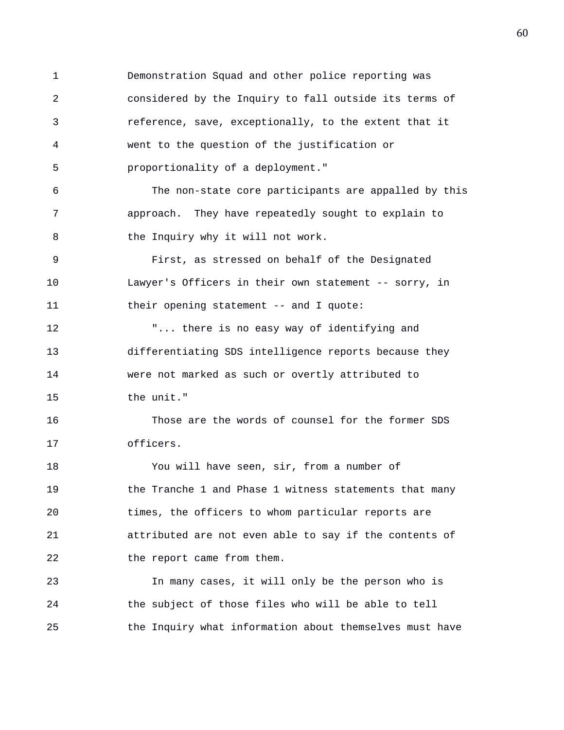1 Demonstration Squad and other police reporting was 2 considered by the Inquiry to fall outside its terms of 3 reference, save, exceptionally, to the extent that it 4 went to the question of the justification or 5 proportionality of a deployment." 6 The non-state core participants are appalled by this 7 approach. They have repeatedly sought to explain to 8 the Inquiry why it will not work. 9 First, as stressed on behalf of the Designated 10 Lawyer's Officers in their own statement -- sorry, in 11 their opening statement -- and I quote: 12 "... there is no easy way of identifying and 13 differentiating SDS intelligence reports because they 14 were not marked as such or overtly attributed to 15 the unit." 16 Those are the words of counsel for the former SDS 17 officers. 18 You will have seen, sir, from a number of 19 the Tranche 1 and Phase 1 witness statements that many 20 times, the officers to whom particular reports are 21 attributed are not even able to say if the contents of 22 the report came from them. 23 In many cases, it will only be the person who is 24 the subject of those files who will be able to tell 25 the Inquiry what information about themselves must have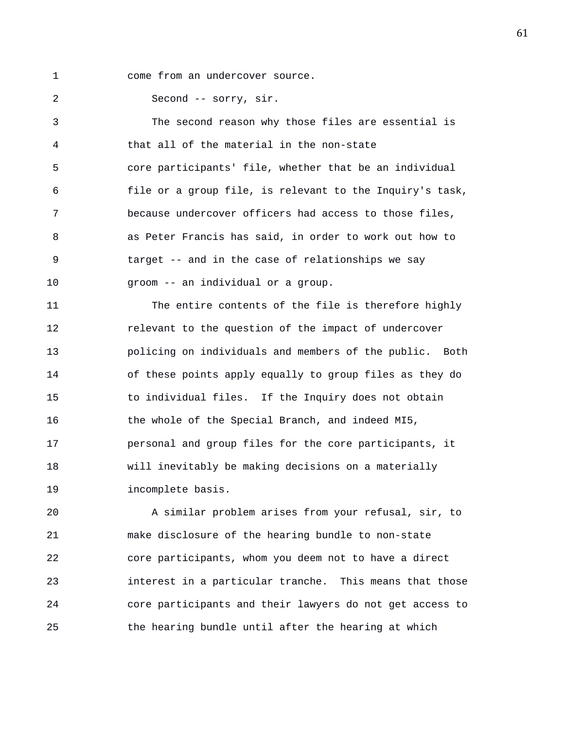- 
- 1 come from an undercover source.

2 Second -- sorry, sir.

3 The second reason why those files are essential is 4 that all of the material in the non-state 5 core participants' file, whether that be an individual 6 file or a group file, is relevant to the Inquiry's task, 7 because undercover officers had access to those files, 8 as Peter Francis has said, in order to work out how to 9 target -- and in the case of relationships we say 10 groom -- an individual or a group.

11 The entire contents of the file is therefore highly 12 **relevant to the question of the impact of undercover** 13 policing on individuals and members of the public. Both 14 of these points apply equally to group files as they do 15 to individual files. If the Inquiry does not obtain 16 the whole of the Special Branch, and indeed MI5, 17 personal and group files for the core participants, it 18 will inevitably be making decisions on a materially 19 incomplete basis.

20 A similar problem arises from your refusal, sir, to 21 make disclosure of the hearing bundle to non-state 22 core participants, whom you deem not to have a direct 23 interest in a particular tranche. This means that those 24 core participants and their lawyers do not get access to 25 the hearing bundle until after the hearing at which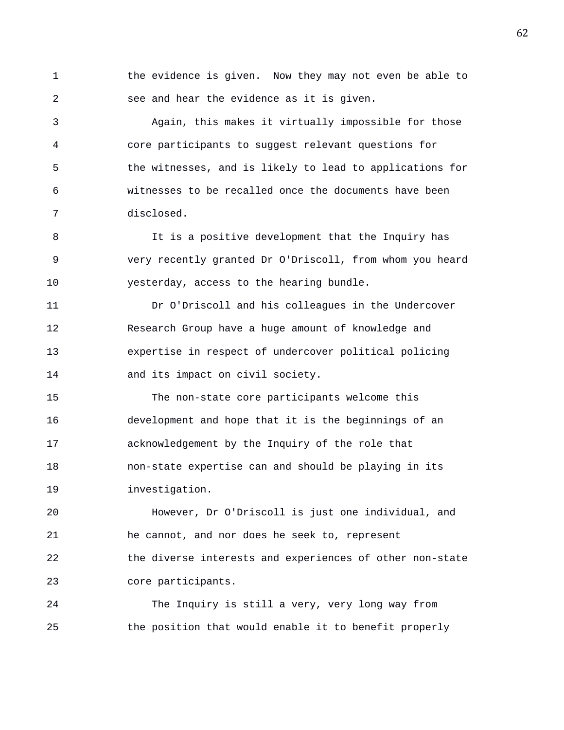1 the evidence is given. Now they may not even be able to 2 see and hear the evidence as it is given.

3 Again, this makes it virtually impossible for those 4 core participants to suggest relevant questions for 5 the witnesses, and is likely to lead to applications for 6 witnesses to be recalled once the documents have been 7 disclosed.

8 11 It is a positive development that the Inquiry has 9 very recently granted Dr O'Driscoll, from whom you heard 10 yesterday, access to the hearing bundle.

11 Dr O'Driscoll and his colleagues in the Undercover 12 Research Group have a huge amount of knowledge and 13 expertise in respect of undercover political policing 14 and its impact on civil society.

15 The non-state core participants welcome this 16 development and hope that it is the beginnings of an 17 acknowledgement by the Inquiry of the role that 18 non-state expertise can and should be playing in its 19 investigation.

20 However, Dr O'Driscoll is just one individual, and 21 he cannot, and nor does he seek to, represent 22 the diverse interests and experiences of other non-state 23 core participants.

24 The Inquiry is still a very, very long way from 25 the position that would enable it to benefit properly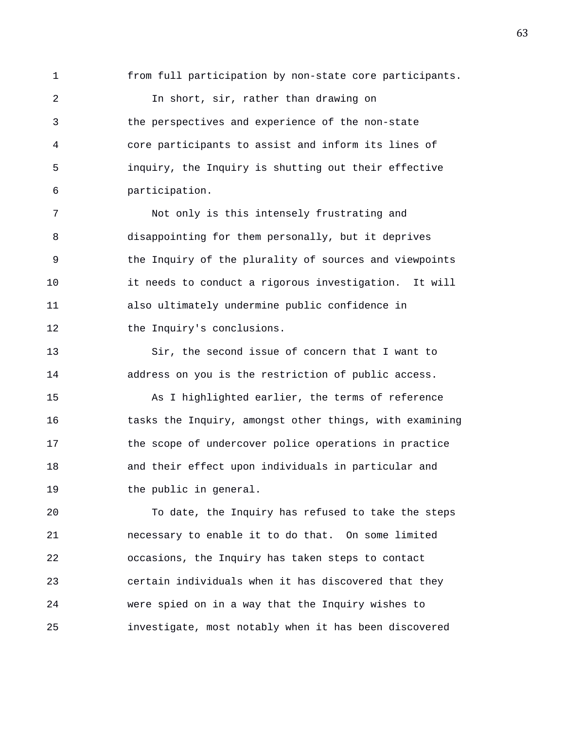1 from full participation by non-state core participants.

2 In short, sir, rather than drawing on 3 the perspectives and experience of the non-state 4 core participants to assist and inform its lines of 5 inquiry, the Inquiry is shutting out their effective 6 participation.

7 Not only is this intensely frustrating and 8 disappointing for them personally, but it deprives 9 the Inquiry of the plurality of sources and viewpoints 10 it needs to conduct a rigorous investigation. It will 11 also ultimately undermine public confidence in 12 the Inquiry's conclusions.

13 Sir, the second issue of concern that I want to 14 address on you is the restriction of public access.

15 As I highlighted earlier, the terms of reference 16 tasks the Inquiry, amongst other things, with examining 17 the scope of undercover police operations in practice 18 and their effect upon individuals in particular and 19 the public in general.

20 To date, the Inquiry has refused to take the steps 21 necessary to enable it to do that. On some limited 22 occasions, the Inquiry has taken steps to contact 23 certain individuals when it has discovered that they 24 were spied on in a way that the Inquiry wishes to 25 investigate, most notably when it has been discovered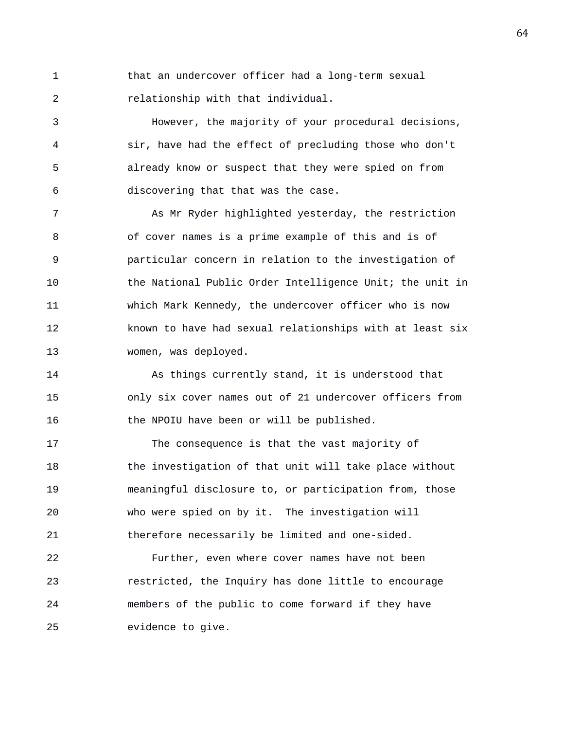1 that an undercover officer had a long-term sexual 2 relationship with that individual.

3 However, the majority of your procedural decisions, 4 sir, have had the effect of precluding those who don't 5 already know or suspect that they were spied on from 6 discovering that that was the case.

7 As Mr Ryder highlighted yesterday, the restriction 8 of cover names is a prime example of this and is of 9 particular concern in relation to the investigation of 10 the National Public Order Intelligence Unit; the unit in 11 which Mark Kennedy, the undercover officer who is now 12 known to have had sexual relationships with at least six 13 women, was deployed.

14 As things currently stand, it is understood that 15 only six cover names out of 21 undercover officers from 16 the NPOIU have been or will be published.

17 The consequence is that the vast majority of 18 the investigation of that unit will take place without 19 meaningful disclosure to, or participation from, those 20 who were spied on by it. The investigation will 21 therefore necessarily be limited and one-sided.

22 Further, even where cover names have not been 23 restricted, the Inquiry has done little to encourage 24 members of the public to come forward if they have 25 evidence to give.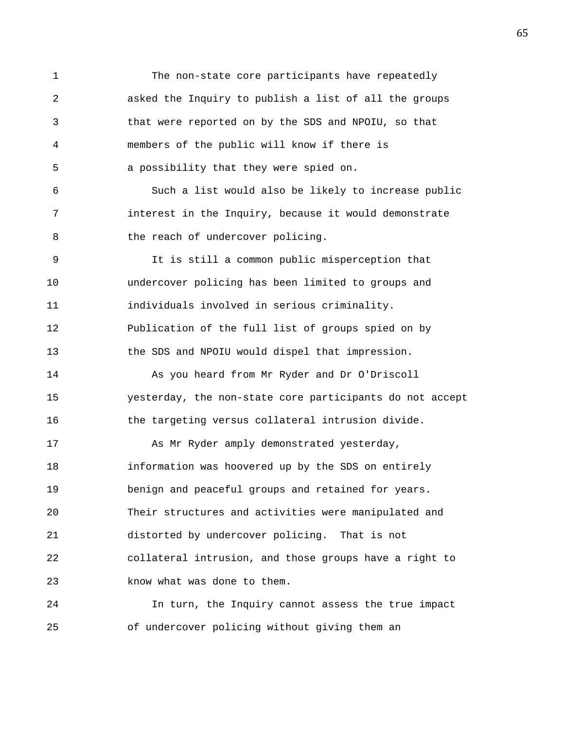1 The non-state core participants have repeatedly 2 asked the Inquiry to publish a list of all the groups 3 that were reported on by the SDS and NPOIU, so that 4 members of the public will know if there is 5 a possibility that they were spied on. 6 Such a list would also be likely to increase public 7 interest in the Inquiry, because it would demonstrate 8 the reach of undercover policing. 9 It is still a common public misperception that 10 undercover policing has been limited to groups and 11 individuals involved in serious criminality. 12 Publication of the full list of groups spied on by 13 the SDS and NPOIU would dispel that impression. 14 As you heard from Mr Ryder and Dr O'Driscoll 15 yesterday, the non-state core participants do not accept 16 the targeting versus collateral intrusion divide. 17 As Mr Ryder amply demonstrated yesterday, 18 information was hoovered up by the SDS on entirely 19 benign and peaceful groups and retained for years. 20 Their structures and activities were manipulated and 21 distorted by undercover policing. That is not 22 collateral intrusion, and those groups have a right to 23 know what was done to them. 24 In turn, the Inquiry cannot assess the true impact

25 of undercover policing without giving them an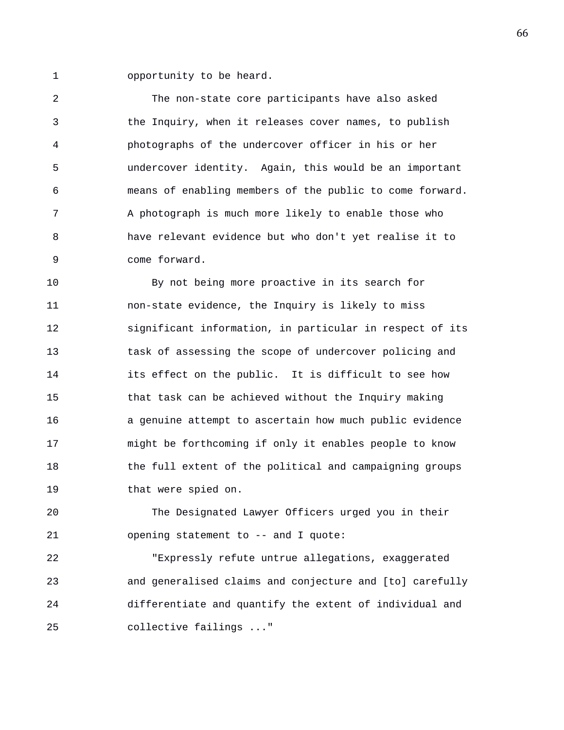1 opportunity to be heard.

2 The non-state core participants have also asked 3 the Inquiry, when it releases cover names, to publish 4 photographs of the undercover officer in his or her 5 undercover identity. Again, this would be an important 6 means of enabling members of the public to come forward. 7 A photograph is much more likely to enable those who 8 have relevant evidence but who don't yet realise it to 9 come forward.

10 By not being more proactive in its search for 11 non-state evidence, the Inquiry is likely to miss 12 significant information, in particular in respect of its 13 task of assessing the scope of undercover policing and 14 its effect on the public. It is difficult to see how 15 that task can be achieved without the Inquiry making 16 a genuine attempt to ascertain how much public evidence 17 might be forthcoming if only it enables people to know 18 the full extent of the political and campaigning groups 19 that were spied on.

20 The Designated Lawyer Officers urged you in their 21 opening statement to -- and I quote:

22 "Expressly refute untrue allegations, exaggerated 23 and generalised claims and conjecture and [to] carefully 24 differentiate and quantify the extent of individual and 25 collective failings ..."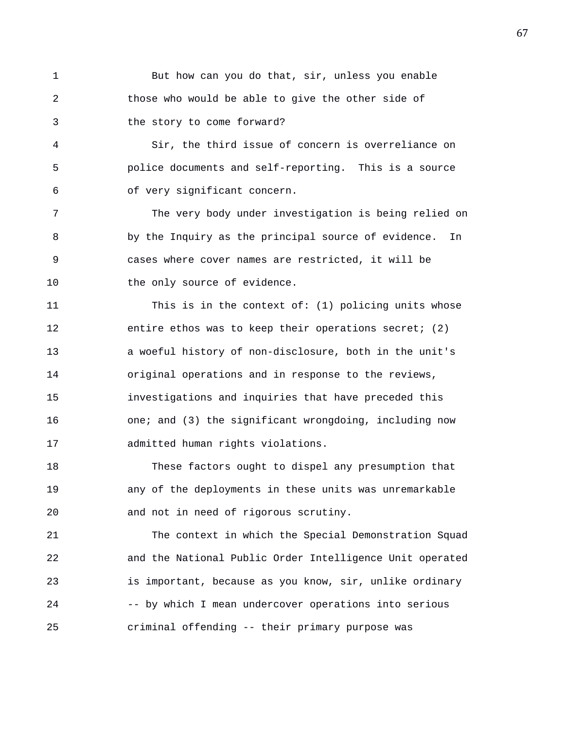1 But how can you do that, sir, unless you enable 2 those who would be able to give the other side of 3 the story to come forward?

4 Sir, the third issue of concern is overreliance on 5 police documents and self-reporting. This is a source 6 of very significant concern.

7 The very body under investigation is being relied on 8 by the Inquiry as the principal source of evidence. In 9 cases where cover names are restricted, it will be 10 the only source of evidence.

11 This is in the context of: (1) policing units whose 12 entire ethos was to keep their operations secret; (2) 13 a woeful history of non-disclosure, both in the unit's 14 original operations and in response to the reviews, 15 investigations and inquiries that have preceded this 16 one; and (3) the significant wrongdoing, including now 17 admitted human rights violations.

18 These factors ought to dispel any presumption that 19 any of the deployments in these units was unremarkable 20 and not in need of rigorous scrutiny.

21 The context in which the Special Demonstration Squad 22 and the National Public Order Intelligence Unit operated 23 is important, because as you know, sir, unlike ordinary 24 -- by which I mean undercover operations into serious 25 criminal offending -- their primary purpose was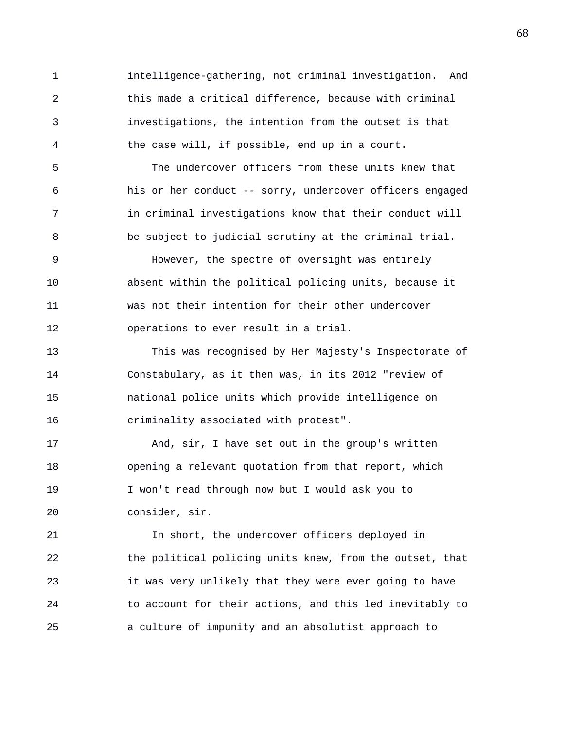1 intelligence-gathering, not criminal investigation. And 2 this made a critical difference, because with criminal 3 investigations, the intention from the outset is that 4 the case will, if possible, end up in a court.

5 The undercover officers from these units knew that 6 his or her conduct -- sorry, undercover officers engaged 7 in criminal investigations know that their conduct will 8 be subject to judicial scrutiny at the criminal trial.

9 However, the spectre of oversight was entirely 10 absent within the political policing units, because it 11 was not their intention for their other undercover 12 operations to ever result in a trial.

13 This was recognised by Her Majesty's Inspectorate of 14 Constabulary, as it then was, in its 2012 "review of 15 national police units which provide intelligence on 16 criminality associated with protest".

17 And, sir, I have set out in the group's written 18 opening a relevant quotation from that report, which 19 I won't read through now but I would ask you to 20 consider, sir.

21 In short, the undercover officers deployed in 22 the political policing units knew, from the outset, that 23 it was very unlikely that they were ever going to have 24 to account for their actions, and this led inevitably to 25 a culture of impunity and an absolutist approach to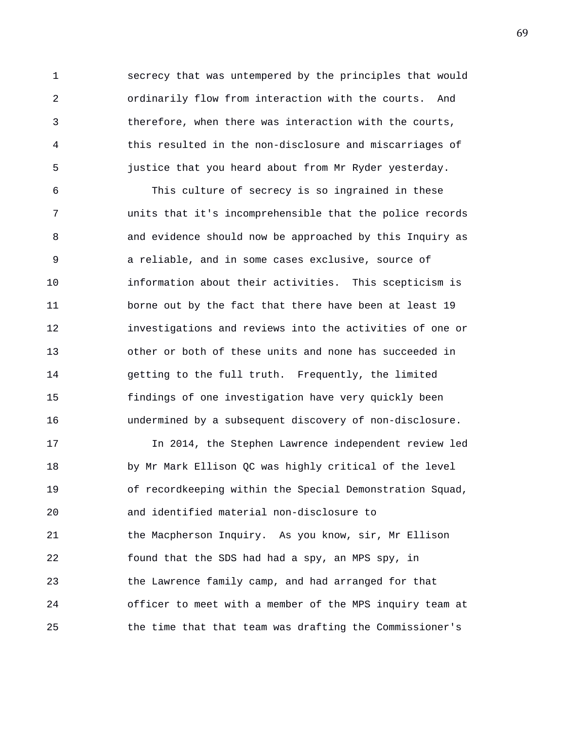1 secrecy that was untempered by the principles that would 2 ordinarily flow from interaction with the courts. And 3 therefore, when there was interaction with the courts, 4 this resulted in the non-disclosure and miscarriages of 5 justice that you heard about from Mr Ryder yesterday.

6 This culture of secrecy is so ingrained in these 7 units that it's incomprehensible that the police records 8 and evidence should now be approached by this Inquiry as 9 a reliable, and in some cases exclusive, source of 10 information about their activities. This scepticism is 11 borne out by the fact that there have been at least 19 12 investigations and reviews into the activities of one or 13 other or both of these units and none has succeeded in 14 getting to the full truth. Frequently, the limited 15 findings of one investigation have very quickly been 16 undermined by a subsequent discovery of non-disclosure.

17 In 2014, the Stephen Lawrence independent review led 18 by Mr Mark Ellison QC was highly critical of the level 19 of recordkeeping within the Special Demonstration Squad, 20 and identified material non-disclosure to 21 the Macpherson Inquiry. As you know, sir, Mr Ellison 22 found that the SDS had had a spy, an MPS spy, in 23 the Lawrence family camp, and had arranged for that 24 officer to meet with a member of the MPS inquiry team at 25 the time that that team was drafting the Commissioner's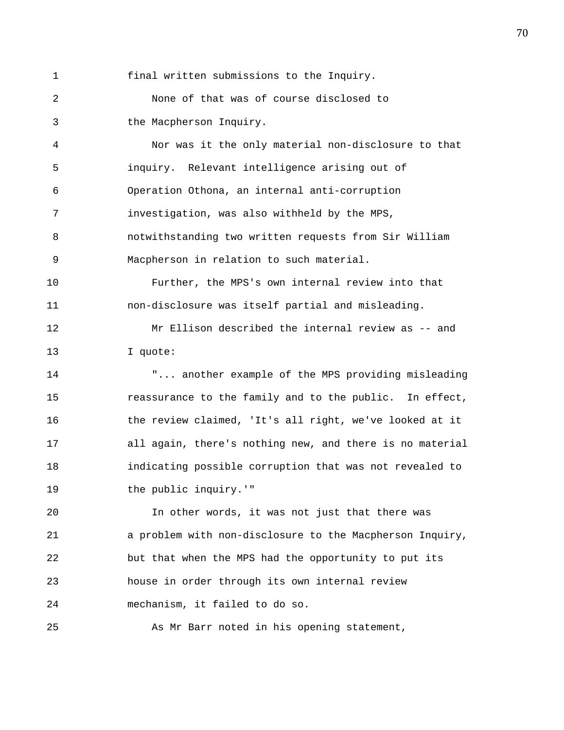1 final written submissions to the Inquiry.

2 None of that was of course disclosed to 3 the Macpherson Inquiry.

4 Nor was it the only material non-disclosure to that 5 inquiry. Relevant intelligence arising out of 6 Operation Othona, an internal anti-corruption 7 investigation, was also withheld by the MPS, 8 notwithstanding two written requests from Sir William 9 Macpherson in relation to such material.

10 Further, the MPS's own internal review into that 11 non-disclosure was itself partial and misleading.

12 Mr Ellison described the internal review as -- and 13 I quote:

14 "... another example of the MPS providing misleading 15 reassurance to the family and to the public. In effect, 16 the review claimed, 'It's all right, we've looked at it 17 all again, there's nothing new, and there is no material 18 indicating possible corruption that was not revealed to 19 the public inquiry.'"

20 In other words, it was not just that there was 21 a problem with non-disclosure to the Macpherson Inquiry, 22 but that when the MPS had the opportunity to put its 23 house in order through its own internal review 24 mechanism, it failed to do so.

25 As Mr Barr noted in his opening statement,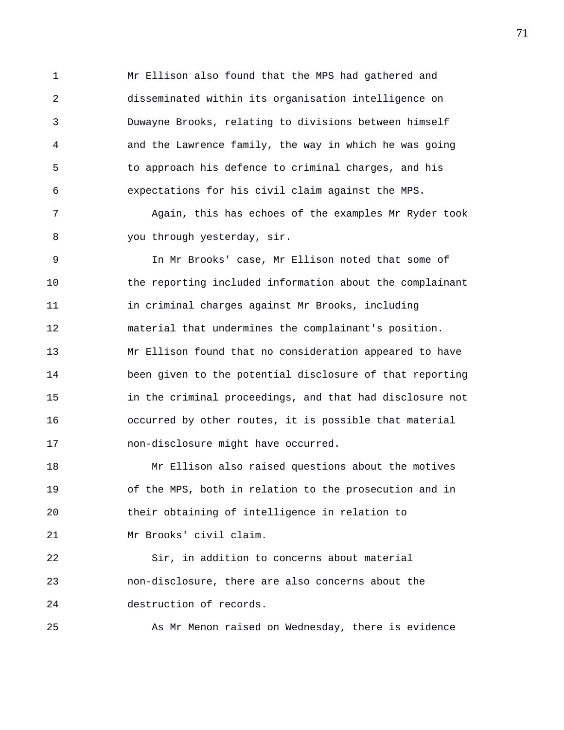1 Mr Ellison also found that the MPS had gathered and 2 disseminated within its organisation intelligence on 3 Duwayne Brooks, relating to divisions between himself 4 and the Lawrence family, the way in which he was going 5 to approach his defence to criminal charges, and his 6 expectations for his civil claim against the MPS.

7 Again, this has echoes of the examples Mr Ryder took 8 you through yesterday, sir.

9 In Mr Brooks' case, Mr Ellison noted that some of 10 the reporting included information about the complainant 11 in criminal charges against Mr Brooks, including 12 material that undermines the complainant's position. 13 Mr Ellison found that no consideration appeared to have 14 been given to the potential disclosure of that reporting 15 in the criminal proceedings, and that had disclosure not 16 occurred by other routes, it is possible that material 17 non-disclosure might have occurred.

18 Mr Ellison also raised questions about the motives 19 of the MPS, both in relation to the prosecution and in 20 their obtaining of intelligence in relation to 21 Mr Brooks' civil claim.

22 Sir, in addition to concerns about material 23 non-disclosure, there are also concerns about the 24 destruction of records.

25 As Mr Menon raised on Wednesday, there is evidence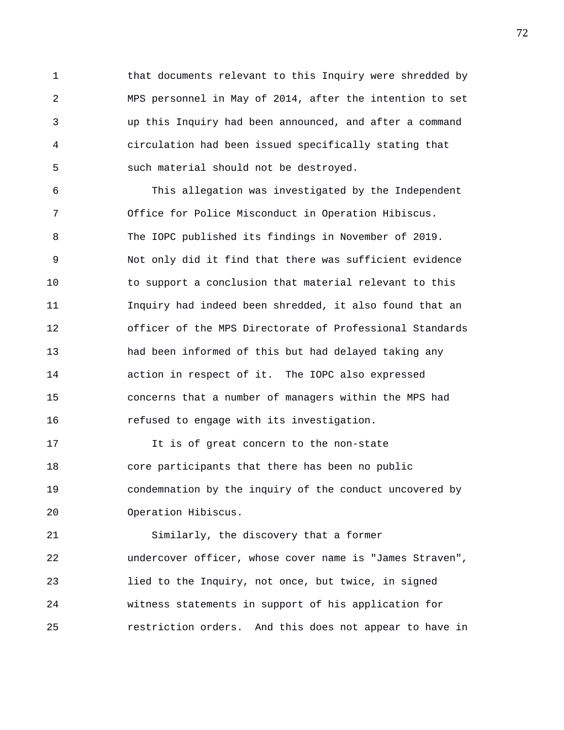1 that documents relevant to this Inquiry were shredded by 2 MPS personnel in May of 2014, after the intention to set 3 up this Inquiry had been announced, and after a command 4 circulation had been issued specifically stating that 5 such material should not be destroyed.

6 This allegation was investigated by the Independent 7 Office for Police Misconduct in Operation Hibiscus. 8 The IOPC published its findings in November of 2019. 9 Not only did it find that there was sufficient evidence 10 to support a conclusion that material relevant to this 11 Inquiry had indeed been shredded, it also found that an 12 officer of the MPS Directorate of Professional Standards 13 had been informed of this but had delayed taking any 14 action in respect of it. The IOPC also expressed 15 concerns that a number of managers within the MPS had 16 refused to engage with its investigation.

17 It is of great concern to the non-state 18 core participants that there has been no public 19 condemnation by the inquiry of the conduct uncovered by 20 Operation Hibiscus.

21 Similarly, the discovery that a former 22 undercover officer, whose cover name is "James Straven", 23 lied to the Inquiry, not once, but twice, in signed 24 witness statements in support of his application for 25 restriction orders. And this does not appear to have in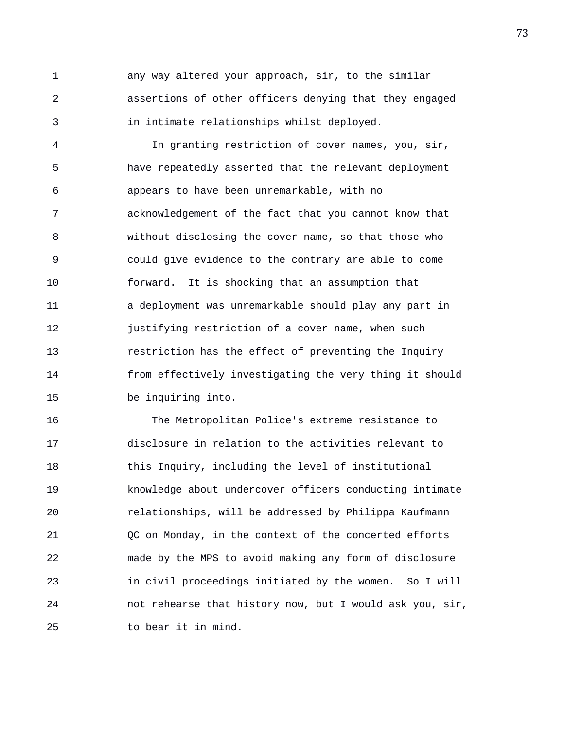1 any way altered your approach, sir, to the similar 2 assertions of other officers denying that they engaged 3 in intimate relationships whilst deployed.

4 In granting restriction of cover names, you, sir, 5 have repeatedly asserted that the relevant deployment 6 appears to have been unremarkable, with no 7 acknowledgement of the fact that you cannot know that 8 without disclosing the cover name, so that those who 9 could give evidence to the contrary are able to come 10 forward. It is shocking that an assumption that 11 a deployment was unremarkable should play any part in 12 justifying restriction of a cover name, when such 13 restriction has the effect of preventing the Inquiry 14 from effectively investigating the very thing it should 15 be inquiring into.

16 The Metropolitan Police's extreme resistance to 17 disclosure in relation to the activities relevant to 18 this Inquiry, including the level of institutional 19 knowledge about undercover officers conducting intimate 20 relationships, will be addressed by Philippa Kaufmann 21 QC on Monday, in the context of the concerted efforts 22 made by the MPS to avoid making any form of disclosure 23 in civil proceedings initiated by the women. So I will 24 not rehearse that history now, but I would ask you, sir, 25 to bear it in mind.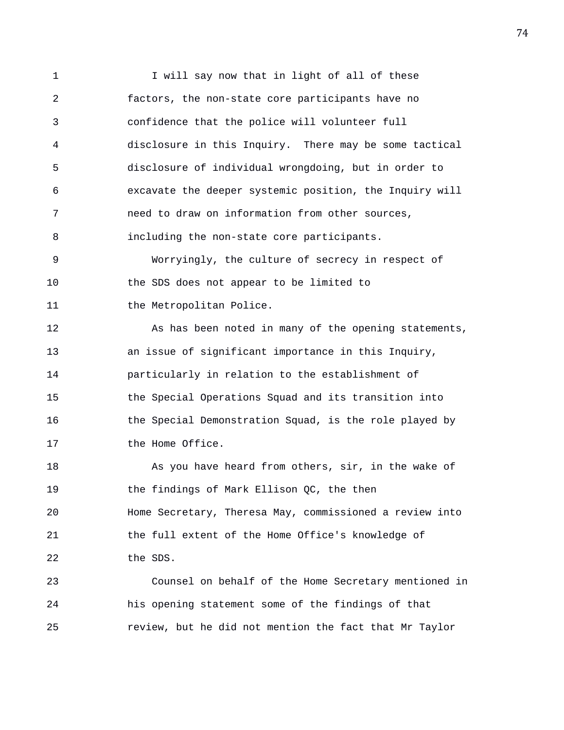1 I will say now that in light of all of these 2 factors, the non-state core participants have no 3 confidence that the police will volunteer full 4 disclosure in this Inquiry. There may be some tactical 5 disclosure of individual wrongdoing, but in order to 6 excavate the deeper systemic position, the Inquiry will 7 need to draw on information from other sources, 8 including the non-state core participants. 9 Worryingly, the culture of secrecy in respect of 10 the SDS does not appear to be limited to 11 the Metropolitan Police. 12 As has been noted in many of the opening statements, 13 an issue of significant importance in this Inquiry, 14 particularly in relation to the establishment of 15 the Special Operations Squad and its transition into 16 the Special Demonstration Squad, is the role played by 17 the Home Office. 18 As you have heard from others, sir, in the wake of 19 the findings of Mark Ellison QC, the then 20 Home Secretary, Theresa May, commissioned a review into 21 the full extent of the Home Office's knowledge of 22 the SDS. 23 Counsel on behalf of the Home Secretary mentioned in 24 his opening statement some of the findings of that 25 review, but he did not mention the fact that Mr Taylor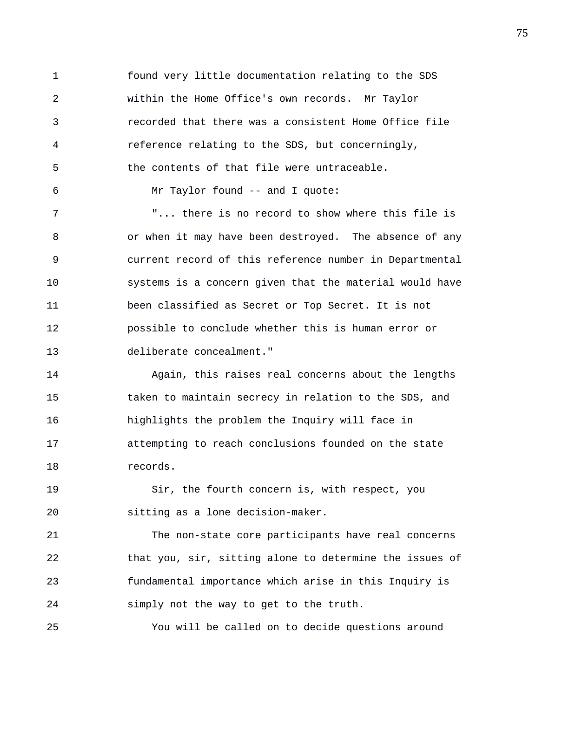1 found very little documentation relating to the SDS 2 within the Home Office's own records. Mr Taylor 3 recorded that there was a consistent Home Office file 4 reference relating to the SDS, but concerningly, 5 the contents of that file were untraceable. 6 Mr Taylor found -- and I quote: 7 "... there is no record to show where this file is 8 or when it may have been destroyed. The absence of any 9 current record of this reference number in Departmental 10 systems is a concern given that the material would have 11 been classified as Secret or Top Secret. It is not 12 possible to conclude whether this is human error or 13 deliberate concealment." 14 Again, this raises real concerns about the lengths 15 taken to maintain secrecy in relation to the SDS, and 16 highlights the problem the Inquiry will face in

17 attempting to reach conclusions founded on the state 18 records.

19 Sir, the fourth concern is, with respect, you 20 sitting as a lone decision-maker.

21 The non-state core participants have real concerns 22 that you, sir, sitting alone to determine the issues of 23 fundamental importance which arise in this Inquiry is 24 simply not the way to get to the truth.

25 You will be called on to decide questions around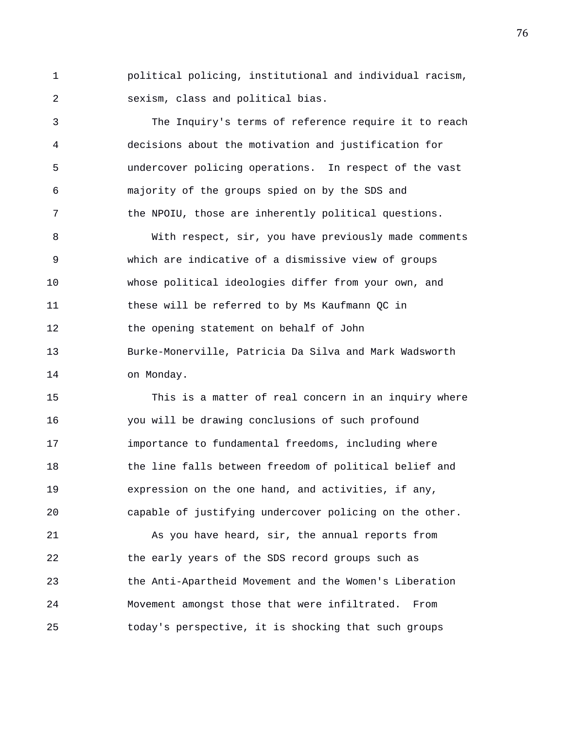1 political policing, institutional and individual racism, 2 sexism, class and political bias.

3 The Inquiry's terms of reference require it to reach 4 decisions about the motivation and justification for 5 undercover policing operations. In respect of the vast 6 majority of the groups spied on by the SDS and 7 the NPOIU, those are inherently political questions.

8 With respect, sir, you have previously made comments 9 which are indicative of a dismissive view of groups 10 whose political ideologies differ from your own, and 11 these will be referred to by Ms Kaufmann QC in 12 the opening statement on behalf of John 13 Burke-Monerville, Patricia Da Silva and Mark Wadsworth 14 on Monday.

15 This is a matter of real concern in an inquiry where 16 you will be drawing conclusions of such profound 17 importance to fundamental freedoms, including where 18 the line falls between freedom of political belief and 19 expression on the one hand, and activities, if any, 20 capable of justifying undercover policing on the other.

21 As you have heard, sir, the annual reports from 22 the early years of the SDS record groups such as 23 the Anti-Apartheid Movement and the Women's Liberation 24 Movement amongst those that were infiltrated. From 25 today's perspective, it is shocking that such groups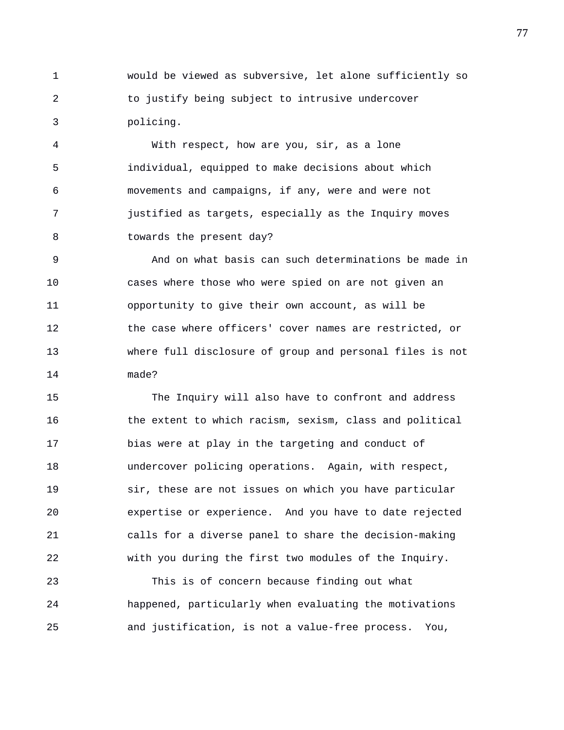1 would be viewed as subversive, let alone sufficiently so 2 to justify being subject to intrusive undercover 3 policing.

4 With respect, how are you, sir, as a lone 5 individual, equipped to make decisions about which 6 movements and campaigns, if any, were and were not 7 justified as targets, especially as the Inquiry moves 8 towards the present day?

9 And on what basis can such determinations be made in 10 cases where those who were spied on are not given an 11 opportunity to give their own account, as will be 12 the case where officers' cover names are restricted, or 13 where full disclosure of group and personal files is not 14 made?

15 The Inquiry will also have to confront and address 16 the extent to which racism, sexism, class and political 17 bias were at play in the targeting and conduct of 18 undercover policing operations. Again, with respect, 19 sir, these are not issues on which you have particular 20 expertise or experience. And you have to date rejected 21 calls for a diverse panel to share the decision-making 22 with you during the first two modules of the Inquiry.

23 This is of concern because finding out what 24 happened, particularly when evaluating the motivations 25 and justification, is not a value-free process. You,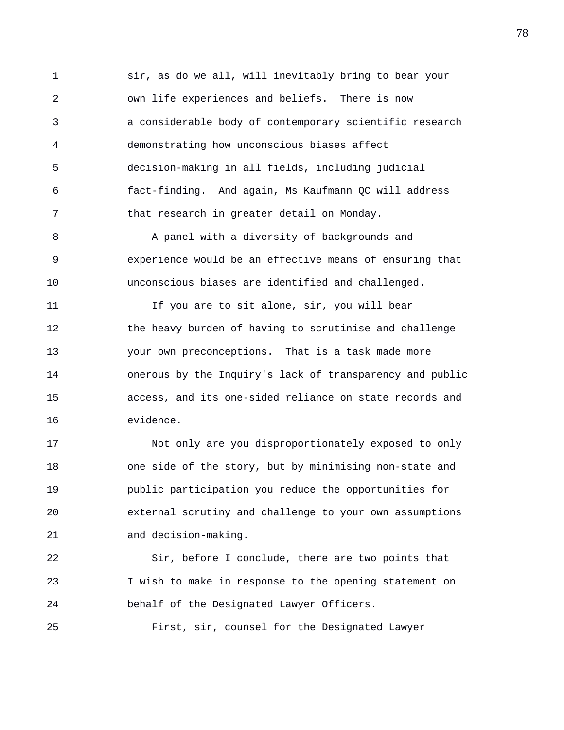1 sir, as do we all, will inevitably bring to bear your 2 own life experiences and beliefs. There is now 3 a considerable body of contemporary scientific research 4 demonstrating how unconscious biases affect 5 decision-making in all fields, including judicial 6 fact-finding. And again, Ms Kaufmann QC will address 7 that research in greater detail on Monday.

8 A panel with a diversity of backgrounds and 9 experience would be an effective means of ensuring that 10 unconscious biases are identified and challenged.

11 If you are to sit alone, sir, you will bear 12 the heavy burden of having to scrutinise and challenge 13 your own preconceptions. That is a task made more 14 onerous by the Inquiry's lack of transparency and public 15 access, and its one-sided reliance on state records and 16 evidence.

17 Not only are you disproportionately exposed to only 18 one side of the story, but by minimising non-state and 19 public participation you reduce the opportunities for 20 external scrutiny and challenge to your own assumptions 21 and decision-making.

22 Sir, before I conclude, there are two points that 23 I wish to make in response to the opening statement on 24 behalf of the Designated Lawyer Officers.

25 First, sir, counsel for the Designated Lawyer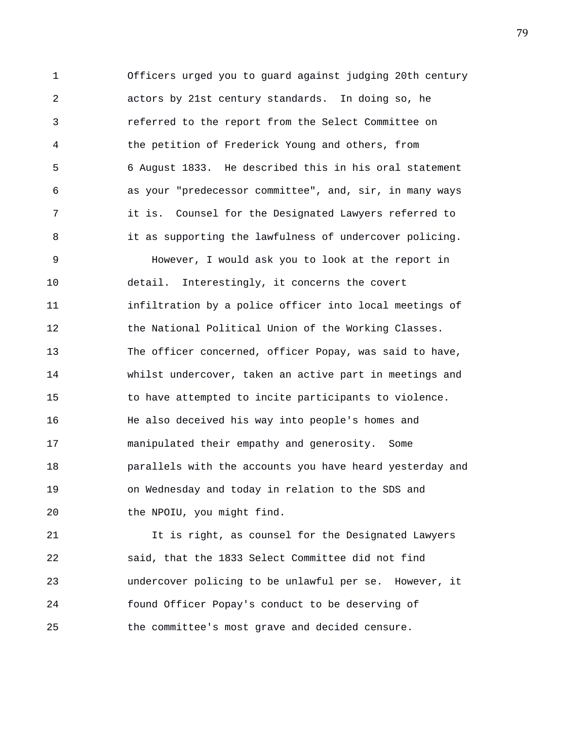1 Officers urged you to guard against judging 20th century 2 actors by 21st century standards. In doing so, he 3 referred to the report from the Select Committee on 4 the petition of Frederick Young and others, from 5 6 August 1833. He described this in his oral statement 6 as your "predecessor committee", and, sir, in many ways 7 it is. Counsel for the Designated Lawyers referred to 8 it as supporting the lawfulness of undercover policing. 9 However, I would ask you to look at the report in 10 detail. Interestingly, it concerns the covert 11 **infiltration by a police officer into local meetings of** 12 the National Political Union of the Working Classes. 13 The officer concerned, officer Popay, was said to have, 14 whilst undercover, taken an active part in meetings and 15 to have attempted to incite participants to violence. 16 He also deceived his way into people's homes and 17 manipulated their empathy and generosity. Some 18 parallels with the accounts you have heard yesterday and 19 on Wednesday and today in relation to the SDS and 20 the NPOIU, you might find.

21 It is right, as counsel for the Designated Lawyers 22 said, that the 1833 Select Committee did not find 23 undercover policing to be unlawful per se. However, it 24 found Officer Popay's conduct to be deserving of 25 the committee's most grave and decided censure.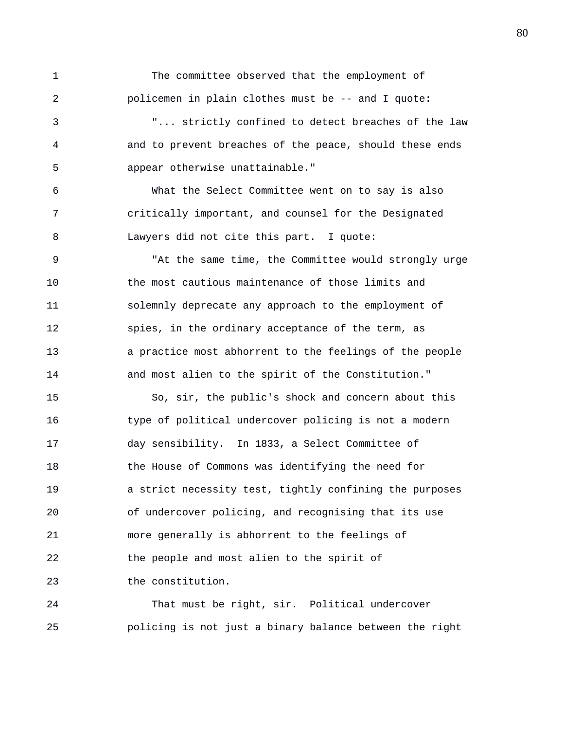1 The committee observed that the employment of 2 policemen in plain clothes must be -- and I quote: 3 "... strictly confined to detect breaches of the law

4 and to prevent breaches of the peace, should these ends 5 appear otherwise unattainable."

6 What the Select Committee went on to say is also 7 critically important, and counsel for the Designated 8 Lawyers did not cite this part. I quote:

9 "At the same time, the Committee would strongly urge 10 the most cautious maintenance of those limits and 11 solemnly deprecate any approach to the employment of 12 spies, in the ordinary acceptance of the term, as 13 a practice most abhorrent to the feelings of the people 14 and most alien to the spirit of the Constitution."

15 So, sir, the public's shock and concern about this 16 type of political undercover policing is not a modern 17 day sensibility. In 1833, a Select Committee of 18 the House of Commons was identifying the need for 19 a strict necessity test, tightly confining the purposes 20 of undercover policing, and recognising that its use 21 more generally is abhorrent to the feelings of 22 the people and most alien to the spirit of 23 the constitution.

24 That must be right, sir. Political undercover 25 policing is not just a binary balance between the right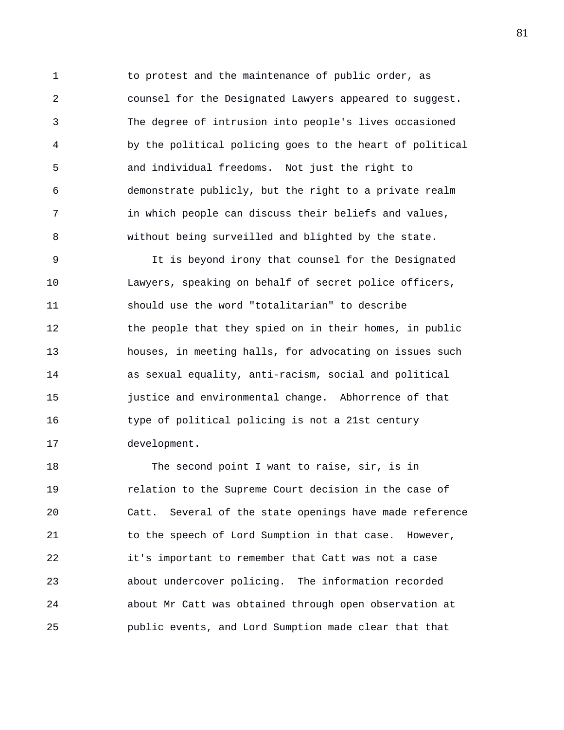1 to protest and the maintenance of public order, as 2 counsel for the Designated Lawyers appeared to suggest. 3 The degree of intrusion into people's lives occasioned 4 by the political policing goes to the heart of political 5 and individual freedoms. Not just the right to 6 demonstrate publicly, but the right to a private realm 7 in which people can discuss their beliefs and values, 8 without being surveilled and blighted by the state.

9 It is beyond irony that counsel for the Designated 10 Lawyers, speaking on behalf of secret police officers, 11 should use the word "totalitarian" to describe 12 the people that they spied on in their homes, in public 13 houses, in meeting halls, for advocating on issues such 14 as sexual equality, anti-racism, social and political 15 justice and environmental change. Abhorrence of that 16 type of political policing is not a 21st century 17 development.

18 The second point I want to raise, sir, is in 19 relation to the Supreme Court decision in the case of 20 Catt. Several of the state openings have made reference 21 to the speech of Lord Sumption in that case. However, 22 it's important to remember that Catt was not a case 23 about undercover policing. The information recorded 24 about Mr Catt was obtained through open observation at 25 public events, and Lord Sumption made clear that that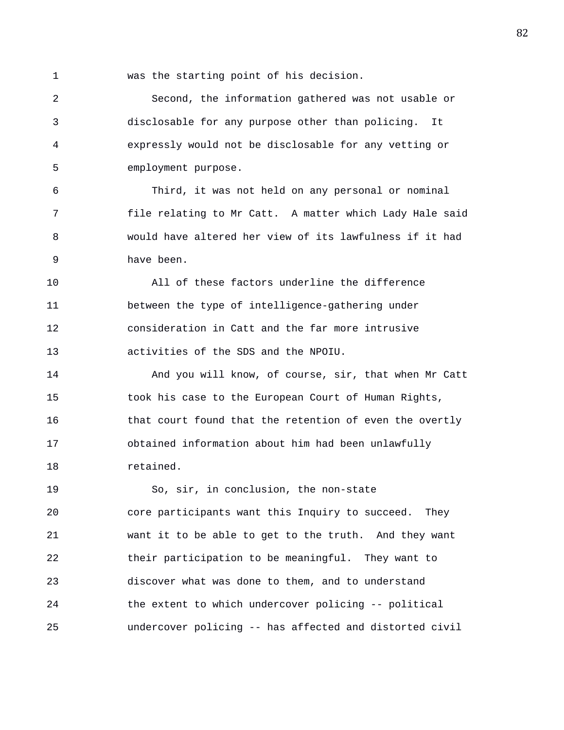1 was the starting point of his decision.

2 Second, the information gathered was not usable or 3 disclosable for any purpose other than policing. It 4 expressly would not be disclosable for any vetting or 5 employment purpose.

6 Third, it was not held on any personal or nominal 7 file relating to Mr Catt. A matter which Lady Hale said 8 would have altered her view of its lawfulness if it had 9 have been.

10 All of these factors underline the difference 11 between the type of intelligence-gathering under 12 consideration in Catt and the far more intrusive 13 activities of the SDS and the NPOIU.

14 And you will know, of course, sir, that when Mr Catt 15 took his case to the European Court of Human Rights, 16 that court found that the retention of even the overtly 17 obtained information about him had been unlawfully 18 retained.

19 So, sir, in conclusion, the non-state 20 core participants want this Inquiry to succeed. They 21 want it to be able to get to the truth. And they want 22 their participation to be meaningful. They want to 23 discover what was done to them, and to understand 24 the extent to which undercover policing -- political 25 undercover policing -- has affected and distorted civil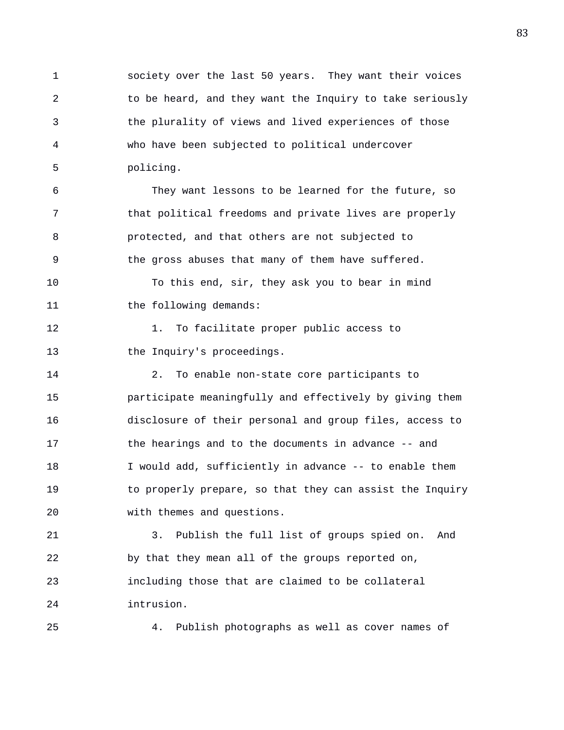1 society over the last 50 years. They want their voices 2 to be heard, and they want the Inquiry to take seriously 3 the plurality of views and lived experiences of those 4 who have been subjected to political undercover 5 policing.

6 They want lessons to be learned for the future, so 7 that political freedoms and private lives are properly 8 protected, and that others are not subjected to 9 the gross abuses that many of them have suffered. 10 To this end, sir, they ask you to bear in mind 11 the following demands:

12 1. To facilitate proper public access to 13 the Inquiry's proceedings.

14 2. To enable non-state core participants to 15 participate meaningfully and effectively by giving them 16 disclosure of their personal and group files, access to 17 the hearings and to the documents in advance -- and 18 I would add, sufficiently in advance -- to enable them 19 to properly prepare, so that they can assist the Inquiry 20 with themes and questions.

21 3. Publish the full list of groups spied on. And 22 by that they mean all of the groups reported on, 23 including those that are claimed to be collateral 24 intrusion.

25 4. Publish photographs as well as cover names of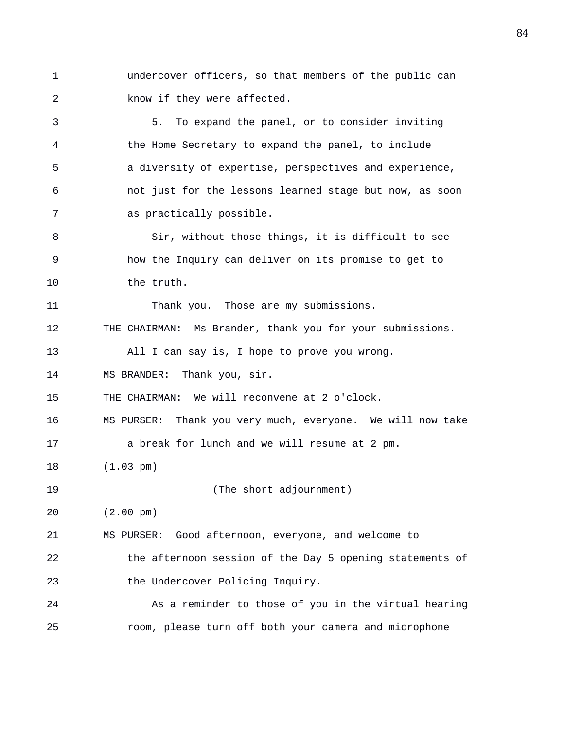1 undercover officers, so that members of the public can 2 know if they were affected.

3 5. To expand the panel, or to consider inviting 4 the Home Secretary to expand the panel, to include 5 a diversity of expertise, perspectives and experience, 6 not just for the lessons learned stage but now, as soon 7 as practically possible.

8 Sir, without those things, it is difficult to see 9 how the Inquiry can deliver on its promise to get to 10 the truth.

11 Thank you. Those are my submissions.

12 THE CHAIRMAN: Ms Brander, thank you for your submissions.

13 All I can say is, I hope to prove you wrong.

14 MS BRANDER: Thank you, sir.

15 THE CHAIRMAN: We will reconvene at 2 o'clock.

16 MS PURSER: Thank you very much, everyone. We will now take

17 a break for lunch and we will resume at 2 pm.

18 (1.03 pm)

19 (The short adjournment)

20 (2.00 pm)

21 MS PURSER: Good afternoon, everyone, and welcome to

22 the afternoon session of the Day 5 opening statements of 23 the Undercover Policing Inquiry.

24 As a reminder to those of you in the virtual hearing 25 room, please turn off both your camera and microphone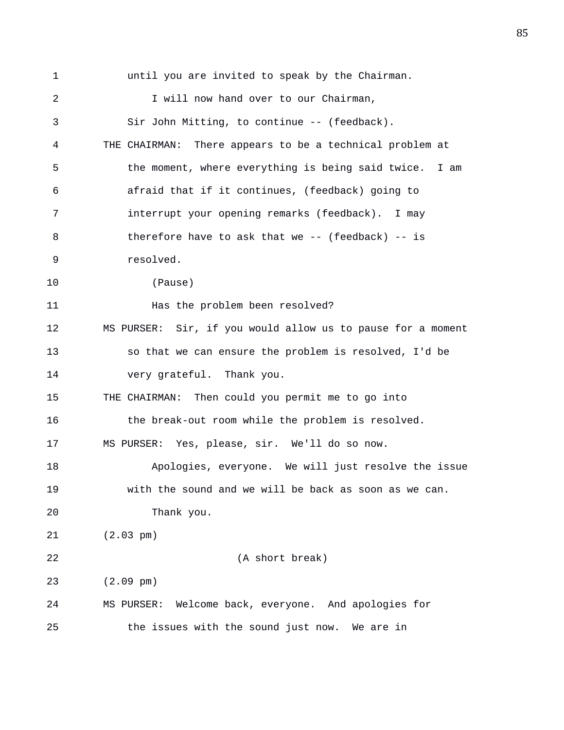1 until you are invited to speak by the Chairman. 2 I will now hand over to our Chairman, 3 Sir John Mitting, to continue -- (feedback). 4 THE CHAIRMAN: There appears to be a technical problem at 5 the moment, where everything is being said twice. I am 6 afraid that if it continues, (feedback) going to 7 interrupt your opening remarks (feedback). I may 8 therefore have to ask that we -- (feedback) -- is 9 resolved. 10 (Pause) 11 Has the problem been resolved? 12 MS PURSER: Sir, if you would allow us to pause for a moment 13 so that we can ensure the problem is resolved, I'd be 14 very grateful. Thank you. 15 THE CHAIRMAN: Then could you permit me to go into 16 the break-out room while the problem is resolved. 17 MS PURSER: Yes, please, sir. We'll do so now. 18 Apologies, everyone. We will just resolve the issue 19 with the sound and we will be back as soon as we can. 20 Thank you. 21 (2.03 pm) 22 (A short break) 23 (2.09 pm) 24 MS PURSER: Welcome back, everyone. And apologies for 25 the issues with the sound just now. We are in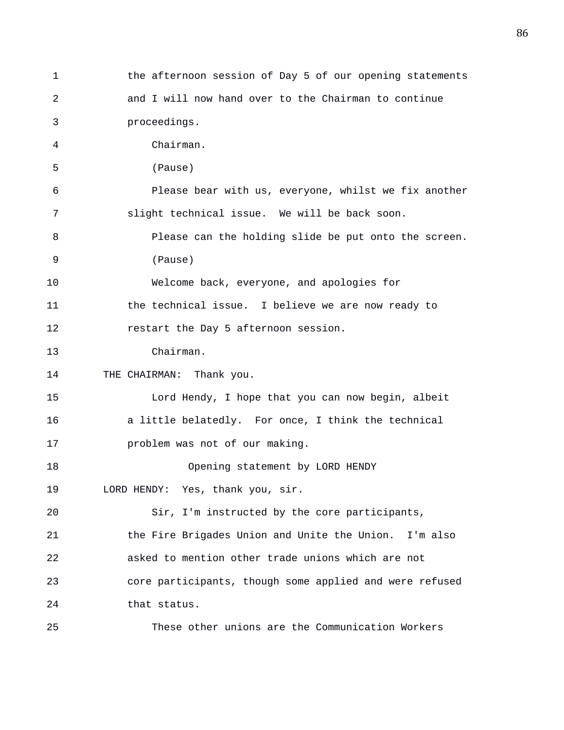1 the afternoon session of Day 5 of our opening statements 2 and I will now hand over to the Chairman to continue 3 proceedings. 4 Chairman. 5 (Pause) 6 Please bear with us, everyone, whilst we fix another 7 slight technical issue. We will be back soon. 8 Please can the holding slide be put onto the screen. 9 (Pause) 10 Welcome back, everyone, and apologies for 11 the technical issue. I believe we are now ready to 12 restart the Day 5 afternoon session. 13 Chairman. 14 THE CHAIRMAN: Thank you. 15 Lord Hendy, I hope that you can now begin, albeit 16 a little belatedly. For once, I think the technical 17 problem was not of our making. 18 Opening statement by LORD HENDY 19 LORD HENDY: Yes, thank you, sir. 20 Sir, I'm instructed by the core participants, 21 the Fire Brigades Union and Unite the Union. I'm also 22 asked to mention other trade unions which are not 23 core participants, though some applied and were refused 24 that status. 25 These other unions are the Communication Workers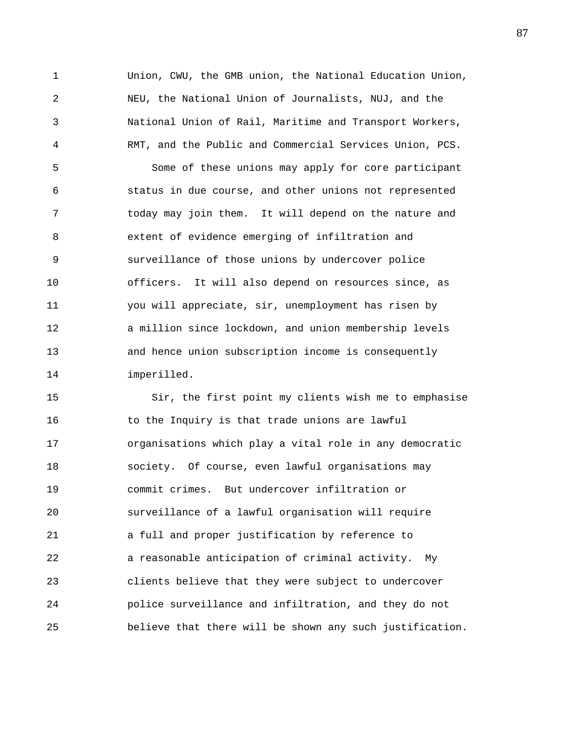1 Union, CWU, the GMB union, the National Education Union, 2 NEU, the National Union of Journalists, NUJ, and the 3 National Union of Rail, Maritime and Transport Workers, 4 RMT, and the Public and Commercial Services Union, PCS. 5 Some of these unions may apply for core participant 6 status in due course, and other unions not represented 7 today may join them. It will depend on the nature and 8 extent of evidence emerging of infiltration and 9 surveillance of those unions by undercover police 10 officers. It will also depend on resources since, as 11 you will appreciate, sir, unemployment has risen by 12 a million since lockdown, and union membership levels 13 and hence union subscription income is consequently 14 imperilled.

15 Sir, the first point my clients wish me to emphasise 16 to the Inquiry is that trade unions are lawful 17 organisations which play a vital role in any democratic 18 society. Of course, even lawful organisations may 19 commit crimes. But undercover infiltration or 20 surveillance of a lawful organisation will require 21 a full and proper justification by reference to 22 a reasonable anticipation of criminal activity. My 23 clients believe that they were subject to undercover 24 police surveillance and infiltration, and they do not 25 believe that there will be shown any such justification.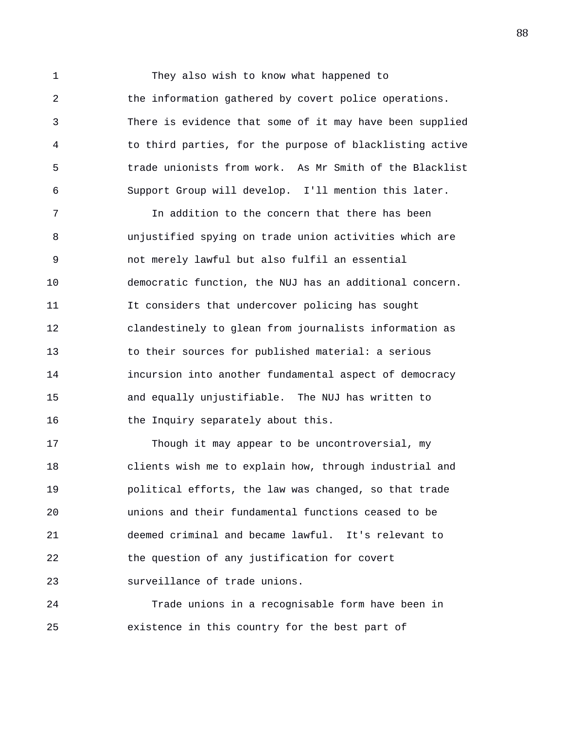1 They also wish to know what happened to 2 the information gathered by covert police operations. 3 There is evidence that some of it may have been supplied 4 to third parties, for the purpose of blacklisting active 5 trade unionists from work. As Mr Smith of the Blacklist 6 Support Group will develop. I'll mention this later.

7 In addition to the concern that there has been 8 unjustified spying on trade union activities which are 9 not merely lawful but also fulfil an essential 10 democratic function, the NUJ has an additional concern. 11 It considers that undercover policing has sought 12 clandestinely to glean from journalists information as 13 to their sources for published material: a serious 14 incursion into another fundamental aspect of democracy 15 and equally unjustifiable. The NUJ has written to 16 the Inquiry separately about this.

17 Though it may appear to be uncontroversial, my 18 clients wish me to explain how, through industrial and 19 political efforts, the law was changed, so that trade 20 unions and their fundamental functions ceased to be 21 deemed criminal and became lawful. It's relevant to 22 the question of any justification for covert 23 surveillance of trade unions.

24 Trade unions in a recognisable form have been in 25 existence in this country for the best part of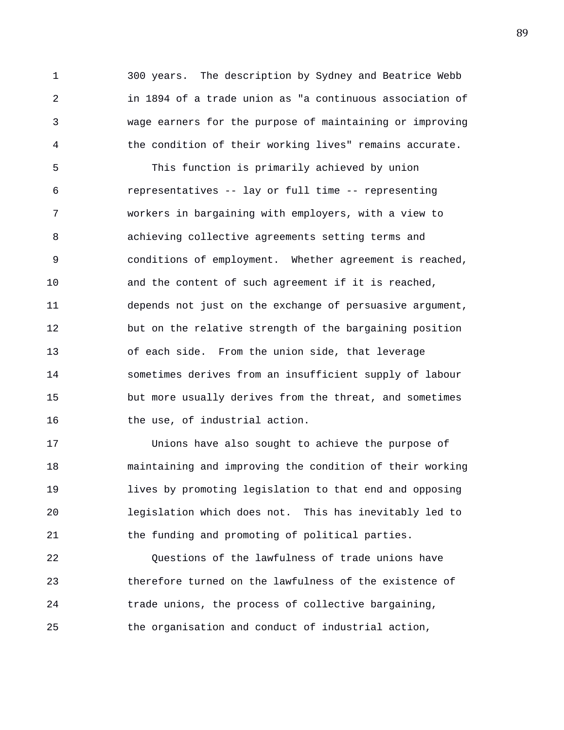1 300 years. The description by Sydney and Beatrice Webb 2 in 1894 of a trade union as "a continuous association of 3 wage earners for the purpose of maintaining or improving 4 the condition of their working lives" remains accurate.

5 This function is primarily achieved by union 6 representatives -- lay or full time -- representing 7 workers in bargaining with employers, with a view to 8 achieving collective agreements setting terms and 9 conditions of employment. Whether agreement is reached, 10 and the content of such agreement if it is reached, 11 depends not just on the exchange of persuasive argument, 12 but on the relative strength of the bargaining position 13 of each side. From the union side, that leverage 14 sometimes derives from an insufficient supply of labour 15 but more usually derives from the threat, and sometimes 16 the use, of industrial action.

17 Unions have also sought to achieve the purpose of 18 maintaining and improving the condition of their working 19 lives by promoting legislation to that end and opposing 20 legislation which does not. This has inevitably led to 21 the funding and promoting of political parties.

22 Questions of the lawfulness of trade unions have 23 therefore turned on the lawfulness of the existence of 24 trade unions, the process of collective bargaining, 25 the organisation and conduct of industrial action,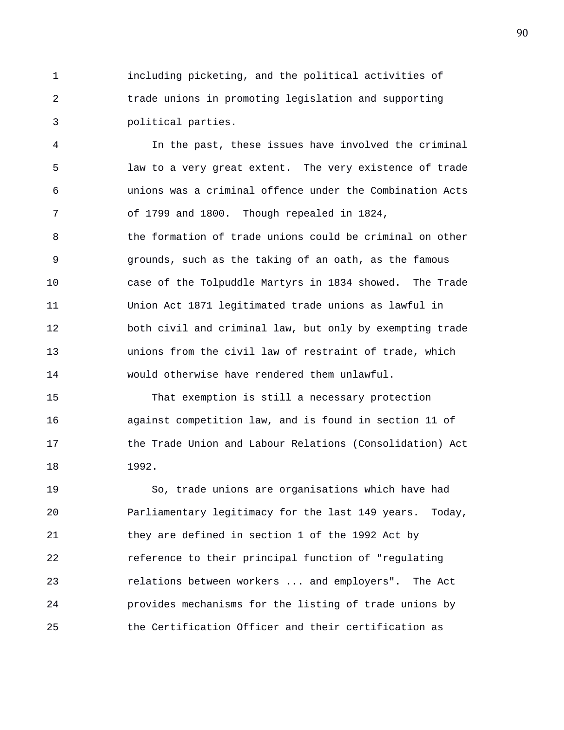1 including picketing, and the political activities of 2 trade unions in promoting legislation and supporting 3 political parties.

4 In the past, these issues have involved the criminal 5 law to a very great extent. The very existence of trade 6 unions was a criminal offence under the Combination Acts 7 of 1799 and 1800. Though repealed in 1824, 8 the formation of trade unions could be criminal on other 9 grounds, such as the taking of an oath, as the famous 10 case of the Tolpuddle Martyrs in 1834 showed. The Trade 11 Union Act 1871 legitimated trade unions as lawful in 12 both civil and criminal law, but only by exempting trade 13 unions from the civil law of restraint of trade, which 14 would otherwise have rendered them unlawful.

15 That exemption is still a necessary protection 16 against competition law, and is found in section 11 of 17 the Trade Union and Labour Relations (Consolidation) Act 18 1992.

19 So, trade unions are organisations which have had 20 Parliamentary legitimacy for the last 149 years. Today, 21 they are defined in section 1 of the 1992 Act by 22 reference to their principal function of "regulating 23 relations between workers ... and employers". The Act 24 provides mechanisms for the listing of trade unions by 25 the Certification Officer and their certification as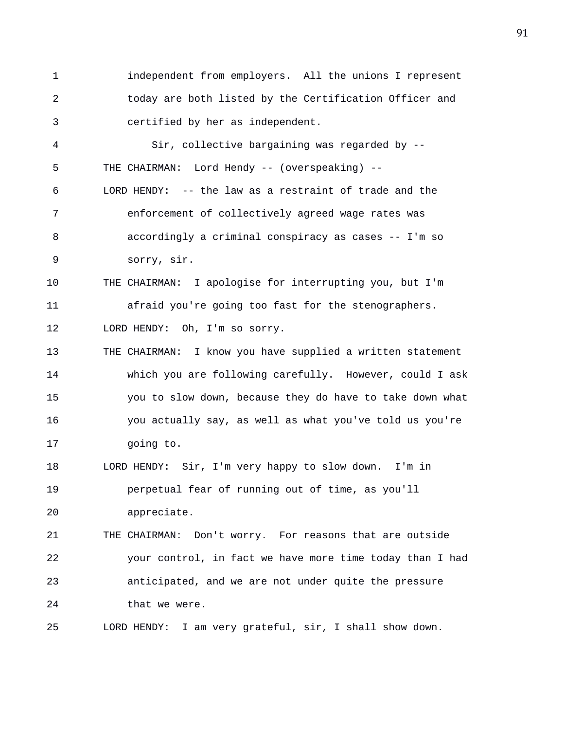1 independent from employers. All the unions I represent 2 today are both listed by the Certification Officer and 3 certified by her as independent.

4 Sir, collective bargaining was regarded by -- 5 THE CHAIRMAN: Lord Hendy -- (overspeaking) -- 6 LORD HENDY: -- the law as a restraint of trade and the 7 enforcement of collectively agreed wage rates was 8 accordingly a criminal conspiracy as cases -- I'm so 9 sorry, sir.

10 THE CHAIRMAN: I apologise for interrupting you, but I'm 11 afraid you're going too fast for the stenographers. 12 LORD HENDY: Oh, I'm so sorry.

13 THE CHAIRMAN: I know you have supplied a written statement 14 which you are following carefully. However, could I ask 15 you to slow down, because they do have to take down what 16 you actually say, as well as what you've told us you're 17 going to.

18 LORD HENDY: Sir, I'm very happy to slow down. I'm in 19 perpetual fear of running out of time, as you'll 20 appreciate.

21 THE CHAIRMAN: Don't worry. For reasons that are outside 22 your control, in fact we have more time today than I had 23 anticipated, and we are not under quite the pressure 24 that we were.

25 LORD HENDY: I am very grateful, sir, I shall show down.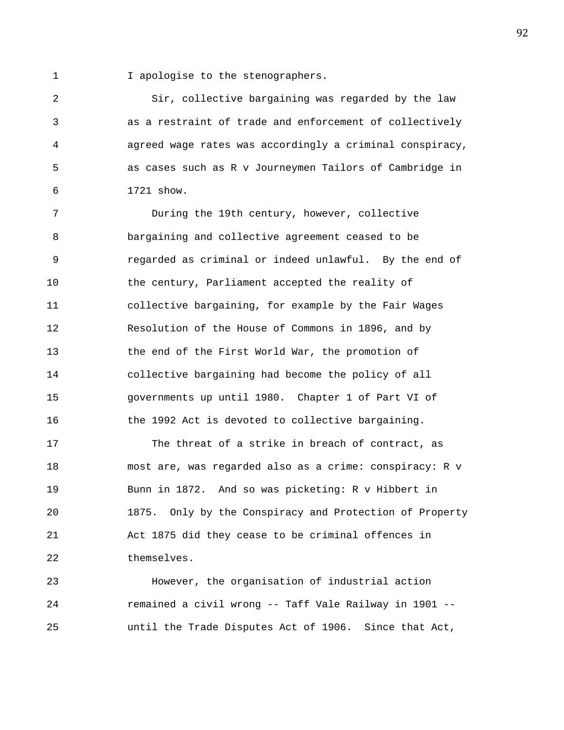1 **I** apologise to the stenographers.

2 Sir, collective bargaining was regarded by the law 3 as a restraint of trade and enforcement of collectively 4 agreed wage rates was accordingly a criminal conspiracy, 5 as cases such as R v Journeymen Tailors of Cambridge in 6 1721 show.

7 During the 19th century, however, collective 8 bargaining and collective agreement ceased to be 9 regarded as criminal or indeed unlawful. By the end of 10 the century, Parliament accepted the reality of 11 collective bargaining, for example by the Fair Wages 12 Resolution of the House of Commons in 1896, and by 13 the end of the First World War, the promotion of 14 collective bargaining had become the policy of all 15 governments up until 1980. Chapter 1 of Part VI of 16 the 1992 Act is devoted to collective bargaining.

17 The threat of a strike in breach of contract, as 18 most are, was regarded also as a crime: conspiracy: R v 19 Bunn in 1872. And so was picketing: R v Hibbert in 20 1875. Only by the Conspiracy and Protection of Property 21 Act 1875 did they cease to be criminal offences in 22 themselves.

23 However, the organisation of industrial action 24 remained a civil wrong -- Taff Vale Railway in 1901 -- 25 until the Trade Disputes Act of 1906. Since that Act,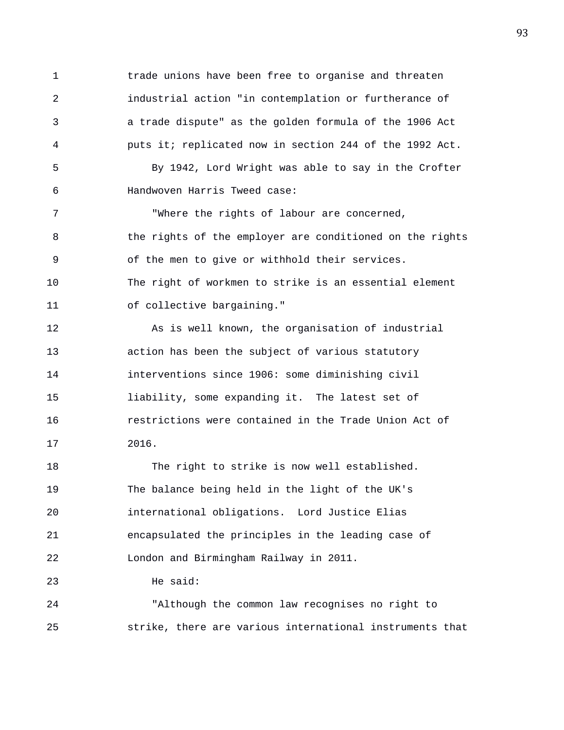1 trade unions have been free to organise and threaten 2 industrial action "in contemplation or furtherance of 3 a trade dispute" as the golden formula of the 1906 Act 4 puts it; replicated now in section 244 of the 1992 Act. 5 By 1942, Lord Wright was able to say in the Crofter 6 Handwoven Harris Tweed case: 7 "Where the rights of labour are concerned, 8 the rights of the employer are conditioned on the rights 9 of the men to give or withhold their services. 10 The right of workmen to strike is an essential element 11 of collective bargaining." 12 As is well known, the organisation of industrial 13 action has been the subject of various statutory

14 interventions since 1906: some diminishing civil 15 liability, some expanding it. The latest set of 16 restrictions were contained in the Trade Union Act of 17 2016.

18 The right to strike is now well established. 19 The balance being held in the light of the UK's 20 international obligations. Lord Justice Elias 21 encapsulated the principles in the leading case of 22 London and Birmingham Railway in 2011.

23 He said:

24 "Although the common law recognises no right to 25 strike, there are various international instruments that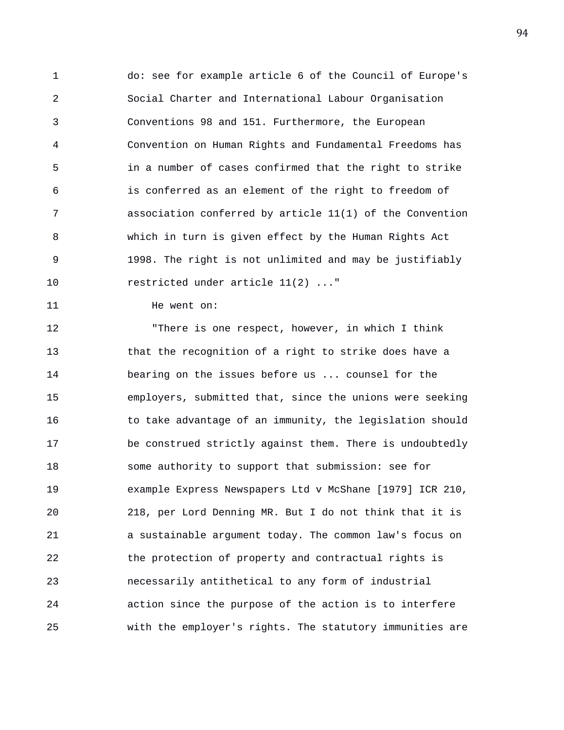1 do: see for example article 6 of the Council of Europe's 2 Social Charter and International Labour Organisation 3 Conventions 98 and 151. Furthermore, the European 4 Convention on Human Rights and Fundamental Freedoms has 5 in a number of cases confirmed that the right to strike 6 is conferred as an element of the right to freedom of 7 association conferred by article 11(1) of the Convention 8 which in turn is given effect by the Human Rights Act 9 1998. The right is not unlimited and may be justifiably 10 restricted under article 11(2) ..."

11 He went on:

12 "There is one respect, however, in which I think 13 that the recognition of a right to strike does have a 14 bearing on the issues before us ... counsel for the 15 employers, submitted that, since the unions were seeking 16 to take advantage of an immunity, the legislation should 17 be construed strictly against them. There is undoubtedly 18 some authority to support that submission: see for 19 example Express Newspapers Ltd v McShane [1979] ICR 210, 20 218, per Lord Denning MR. But I do not think that it is 21 a sustainable argument today. The common law's focus on 22 the protection of property and contractual rights is 23 necessarily antithetical to any form of industrial 24 action since the purpose of the action is to interfere 25 with the employer's rights. The statutory immunities are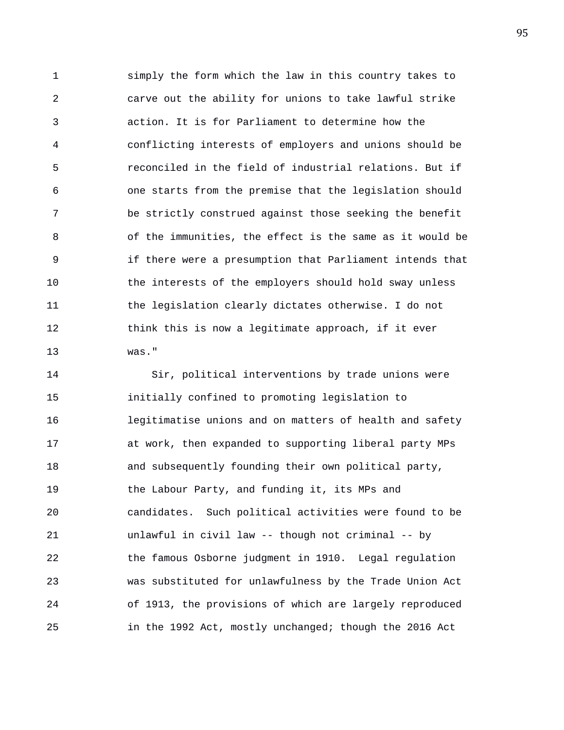1 simply the form which the law in this country takes to 2 carve out the ability for unions to take lawful strike 3 action. It is for Parliament to determine how the 4 conflicting interests of employers and unions should be 5 reconciled in the field of industrial relations. But if 6 one starts from the premise that the legislation should 7 be strictly construed against those seeking the benefit 8 of the immunities, the effect is the same as it would be 9 if there were a presumption that Parliament intends that 10 the interests of the employers should hold sway unless 11 the legislation clearly dictates otherwise. I do not 12 think this is now a legitimate approach, if it ever 13 was."

14 Sir, political interventions by trade unions were 15 initially confined to promoting legislation to 16 legitimatise unions and on matters of health and safety 17 at work, then expanded to supporting liberal party MPs 18 and subsequently founding their own political party, 19 the Labour Party, and funding it, its MPs and 20 candidates. Such political activities were found to be 21 unlawful in civil law -- though not criminal -- by 22 the famous Osborne judgment in 1910. Legal regulation 23 was substituted for unlawfulness by the Trade Union Act 24 of 1913, the provisions of which are largely reproduced 25 in the 1992 Act, mostly unchanged; though the 2016 Act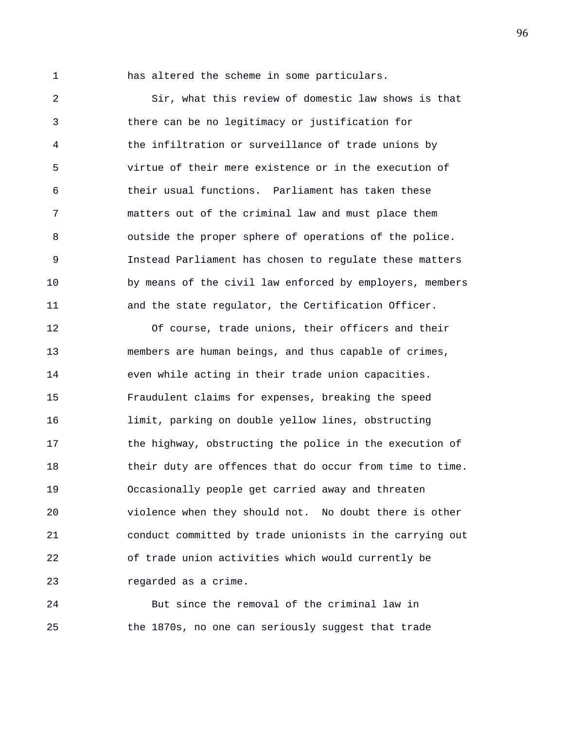1 has altered the scheme in some particulars.

2 Sir, what this review of domestic law shows is that 3 there can be no legitimacy or justification for 4 the infiltration or surveillance of trade unions by 5 virtue of their mere existence or in the execution of 6 their usual functions. Parliament has taken these 7 matters out of the criminal law and must place them 8 outside the proper sphere of operations of the police. 9 Instead Parliament has chosen to regulate these matters 10 by means of the civil law enforced by employers, members 11 and the state regulator, the Certification Officer.

12 Of course, trade unions, their officers and their 13 members are human beings, and thus capable of crimes, 14 even while acting in their trade union capacities. 15 Fraudulent claims for expenses, breaking the speed 16 limit, parking on double yellow lines, obstructing 17 the highway, obstructing the police in the execution of 18 their duty are offences that do occur from time to time. 19 Occasionally people get carried away and threaten 20 violence when they should not. No doubt there is other 21 conduct committed by trade unionists in the carrying out 22 of trade union activities which would currently be 23 regarded as a crime.

24 But since the removal of the criminal law in 25 the 1870s, no one can seriously suggest that trade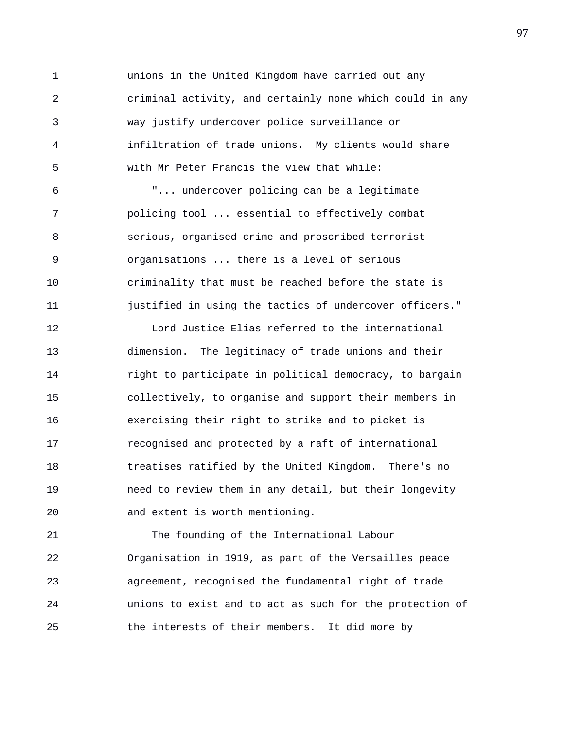1 unions in the United Kingdom have carried out any 2 criminal activity, and certainly none which could in any 3 way justify undercover police surveillance or 4 infiltration of trade unions. My clients would share 5 with Mr Peter Francis the view that while:

6 "... undercover policing can be a legitimate 7 policing tool ... essential to effectively combat 8 serious, organised crime and proscribed terrorist 9 organisations ... there is a level of serious 10 criminality that must be reached before the state is 11 **justified in using the tactics of undercover officers.**"

12 Lord Justice Elias referred to the international 13 dimension. The legitimacy of trade unions and their 14 right to participate in political democracy, to bargain 15 collectively, to organise and support their members in 16 exercising their right to strike and to picket is 17 recognised and protected by a raft of international 18 treatises ratified by the United Kingdom. There's no 19 need to review them in any detail, but their longevity 20 and extent is worth mentioning.

21 The founding of the International Labour 22 Organisation in 1919, as part of the Versailles peace 23 agreement, recognised the fundamental right of trade 24 unions to exist and to act as such for the protection of 25 the interests of their members. It did more by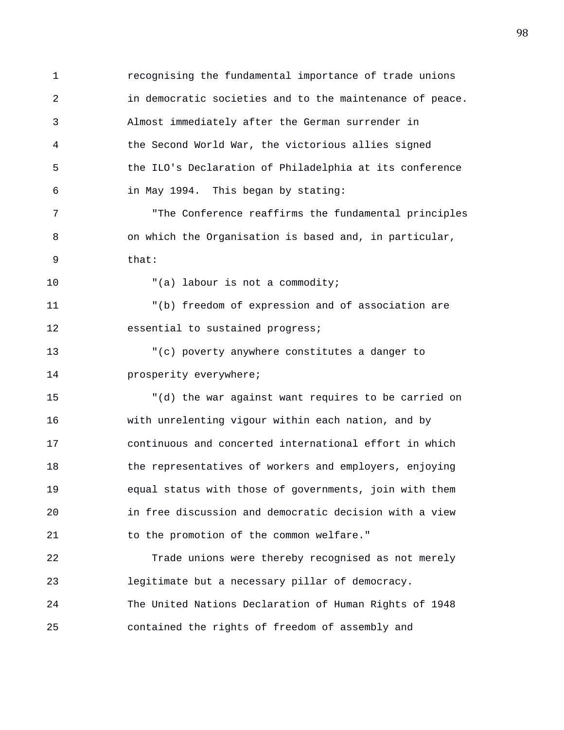1 recognising the fundamental importance of trade unions 2 in democratic societies and to the maintenance of peace. 3 Almost immediately after the German surrender in 4 the Second World War, the victorious allies signed 5 the ILO's Declaration of Philadelphia at its conference 6 in May 1994. This began by stating: 7 "The Conference reaffirms the fundamental principles 8 on which the Organisation is based and, in particular, 9 that: 10  $( a )$  labour is not a commodity; 11 "(b) freedom of expression and of association are 12 essential to sustained progress; 13 "(c) poverty anywhere constitutes a danger to 14 **prosperity** everywhere; 15 "(d) the war against want requires to be carried on 16 with unrelenting vigour within each nation, and by 17 continuous and concerted international effort in which 18 the representatives of workers and employers, enjoying 19 equal status with those of governments, join with them 20 in free discussion and democratic decision with a view 21 to the promotion of the common welfare." 22 Trade unions were thereby recognised as not merely 23 legitimate but a necessary pillar of democracy. 24 The United Nations Declaration of Human Rights of 1948

25 contained the rights of freedom of assembly and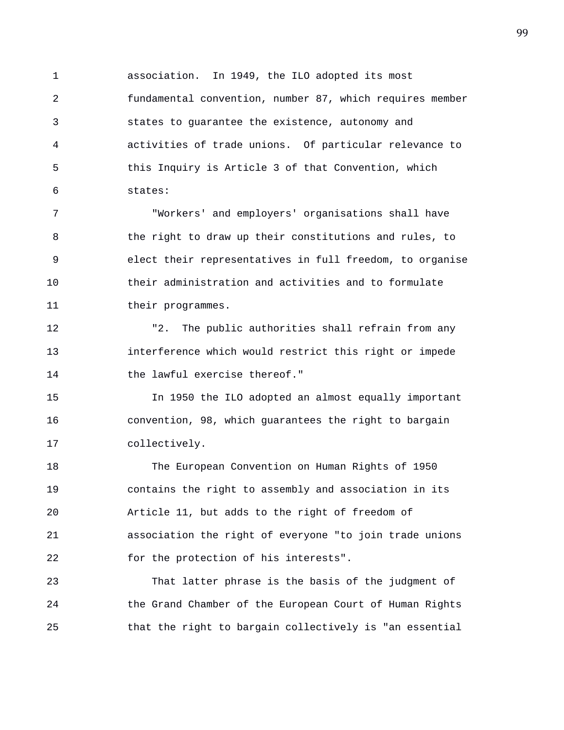1 association. In 1949, the ILO adopted its most 2 fundamental convention, number 87, which requires member 3 states to guarantee the existence, autonomy and 4 activities of trade unions. Of particular relevance to 5 this Inquiry is Article 3 of that Convention, which 6 states:

7 "Workers' and employers' organisations shall have 8 the right to draw up their constitutions and rules, to 9 elect their representatives in full freedom, to organise 10 their administration and activities and to formulate 11 their programmes.

12 "2. The public authorities shall refrain from any 13 interference which would restrict this right or impede 14 the lawful exercise thereof."

15 In 1950 the ILO adopted an almost equally important 16 convention, 98, which guarantees the right to bargain 17 collectively.

18 The European Convention on Human Rights of 1950 19 contains the right to assembly and association in its 20 Article 11, but adds to the right of freedom of 21 association the right of everyone "to join trade unions 22 for the protection of his interests".

23 That latter phrase is the basis of the judgment of 24 the Grand Chamber of the European Court of Human Rights 25 that the right to bargain collectively is "an essential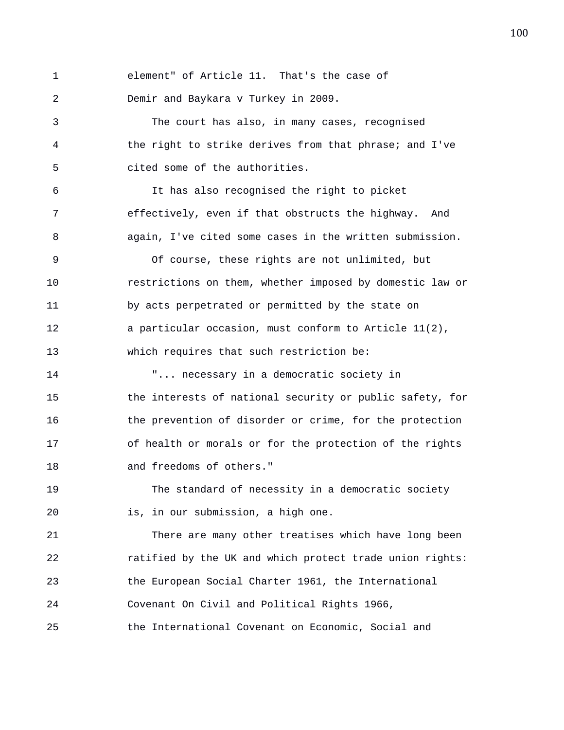| 1  | element" of Article 11. That's the case of               |
|----|----------------------------------------------------------|
| 2  | Demir and Baykara v Turkey in 2009.                      |
| 3  | The court has also, in many cases, recognised            |
| 4  | the right to strike derives from that phrase; and I've   |
| 5  | cited some of the authorities.                           |
| 6  | It has also recognised the right to picket               |
| 7  | effectively, even if that obstructs the highway. And     |
| 8  | again, I've cited some cases in the written submission.  |
| 9  | Of course, these rights are not unlimited, but           |
| 10 | restrictions on them, whether imposed by domestic law or |
| 11 | by acts perpetrated or permitted by the state on         |
| 12 | a particular occasion, must conform to Article 11(2),    |
| 13 | which requires that such restriction be:                 |
| 14 | " necessary in a democratic society in                   |
| 15 | the interests of national security or public safety, for |
| 16 | the prevention of disorder or crime, for the protection  |
| 17 | of health or morals or for the protection of the rights  |
| 18 | and freedoms of others."                                 |
| 19 | The standard of necessity in a democratic society        |
| 20 | is, in our submission, a high one.                       |
| 21 | There are many other treatises which have long been      |
| 22 | ratified by the UK and which protect trade union rights: |
| 23 | the European Social Charter 1961, the International      |

24 Covenant On Civil and Political Rights 1966,

25 the International Covenant on Economic, Social and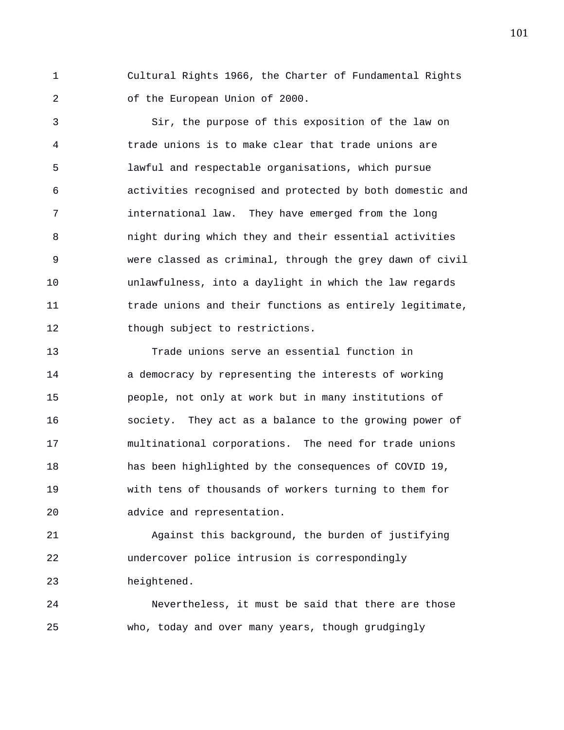1 Cultural Rights 1966, the Charter of Fundamental Rights 2 of the European Union of 2000.

3 Sir, the purpose of this exposition of the law on 4 trade unions is to make clear that trade unions are 5 lawful and respectable organisations, which pursue 6 activities recognised and protected by both domestic and 7 international law. They have emerged from the long 8 night during which they and their essential activities 9 were classed as criminal, through the grey dawn of civil 10 unlawfulness, into a daylight in which the law regards 11 trade unions and their functions as entirely legitimate, 12 though subject to restrictions.

13 Trade unions serve an essential function in 14 a democracy by representing the interests of working 15 people, not only at work but in many institutions of 16 society. They act as a balance to the growing power of 17 multinational corporations. The need for trade unions 18 has been highlighted by the consequences of COVID 19, 19 with tens of thousands of workers turning to them for 20 advice and representation.

21 Against this background, the burden of justifying 22 undercover police intrusion is correspondingly 23 heightened.

24 Nevertheless, it must be said that there are those 25 who, today and over many years, though grudgingly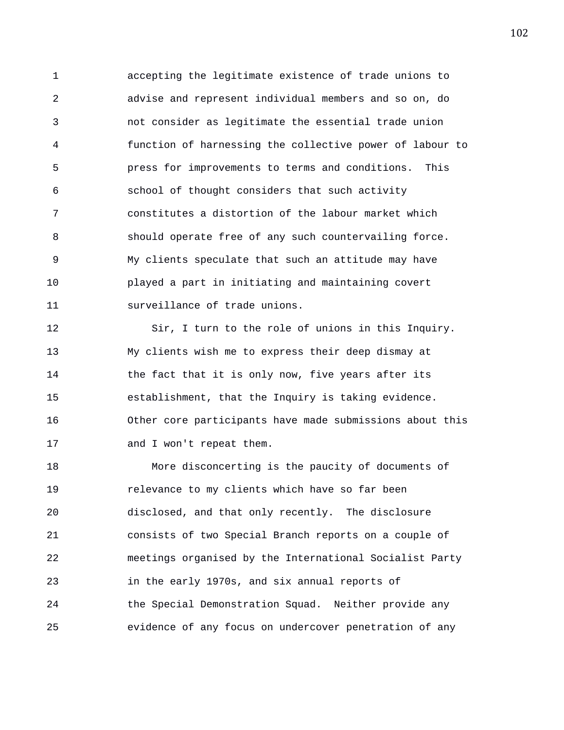1 accepting the legitimate existence of trade unions to 2 advise and represent individual members and so on, do 3 not consider as legitimate the essential trade union 4 function of harnessing the collective power of labour to 5 press for improvements to terms and conditions. This 6 school of thought considers that such activity 7 constitutes a distortion of the labour market which 8 should operate free of any such countervailing force. 9 My clients speculate that such an attitude may have 10 played a part in initiating and maintaining covert 11 surveillance of trade unions.

12 Sir, I turn to the role of unions in this Inquiry. 13 My clients wish me to express their deep dismay at 14 the fact that it is only now, five years after its 15 establishment, that the Inquiry is taking evidence. 16 Other core participants have made submissions about this 17 and I won't repeat them.

18 More disconcerting is the paucity of documents of 19 relevance to my clients which have so far been 20 disclosed, and that only recently. The disclosure 21 consists of two Special Branch reports on a couple of 22 meetings organised by the International Socialist Party 23 in the early 1970s, and six annual reports of 24 the Special Demonstration Squad. Neither provide any 25 evidence of any focus on undercover penetration of any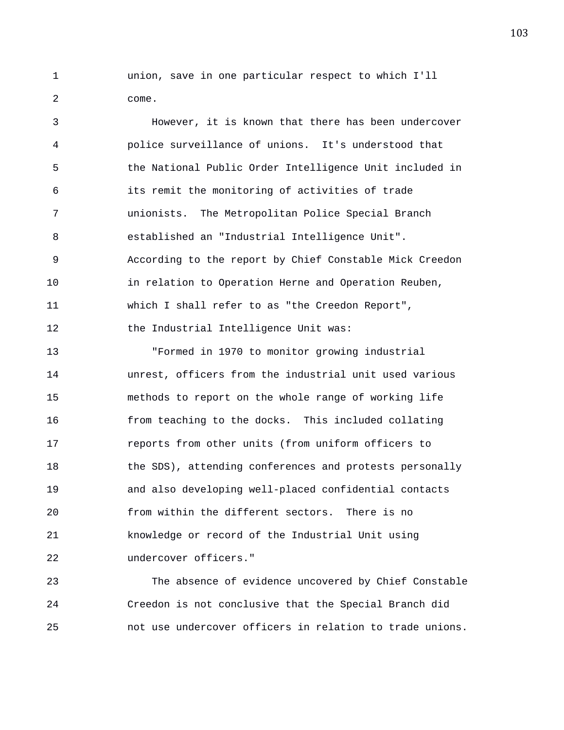1 union, save in one particular respect to which I'll 2 come.

3 However, it is known that there has been undercover 4 police surveillance of unions. It's understood that 5 the National Public Order Intelligence Unit included in 6 its remit the monitoring of activities of trade 7 unionists. The Metropolitan Police Special Branch 8 established an "Industrial Intelligence Unit". 9 According to the report by Chief Constable Mick Creedon 10 in relation to Operation Herne and Operation Reuben, 11 which I shall refer to as "the Creedon Report", 12 the Industrial Intelligence Unit was: 13 "Formed in 1970 to monitor growing industrial 14 unrest, officers from the industrial unit used various 15 methods to report on the whole range of working life 16 from teaching to the docks. This included collating 17 reports from other units (from uniform officers to 18 the SDS), attending conferences and protests personally 19 and also developing well-placed confidential contacts 20 from within the different sectors. There is no 21 knowledge or record of the Industrial Unit using

22 undercover officers."

23 The absence of evidence uncovered by Chief Constable 24 Creedon is not conclusive that the Special Branch did 25 not use undercover officers in relation to trade unions.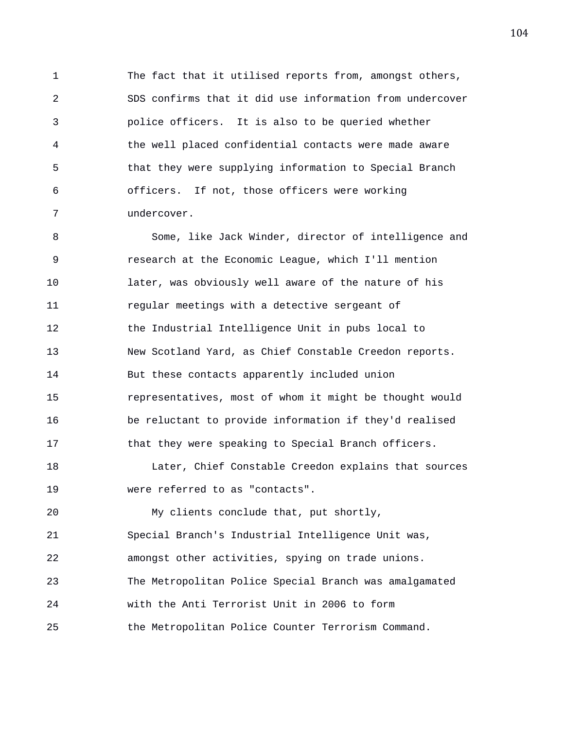1 The fact that it utilised reports from, amongst others, 2 SDS confirms that it did use information from undercover 3 police officers. It is also to be queried whether 4 the well placed confidential contacts were made aware 5 that they were supplying information to Special Branch 6 officers. If not, those officers were working 7 undercover.

8 Some, like Jack Winder, director of intelligence and 9 research at the Economic League, which I'll mention 10 later, was obviously well aware of the nature of his 11 regular meetings with a detective sergeant of 12 the Industrial Intelligence Unit in pubs local to 13 New Scotland Yard, as Chief Constable Creedon reports. 14 But these contacts apparently included union 15 representatives, most of whom it might be thought would 16 be reluctant to provide information if they'd realised 17 that they were speaking to Special Branch officers. 18 Later, Chief Constable Creedon explains that sources 19 were referred to as "contacts". 20 My clients conclude that, put shortly, 21 Special Branch's Industrial Intelligence Unit was, 22 amongst other activities, spying on trade unions.

23 The Metropolitan Police Special Branch was amalgamated

24 with the Anti Terrorist Unit in 2006 to form

25 the Metropolitan Police Counter Terrorism Command.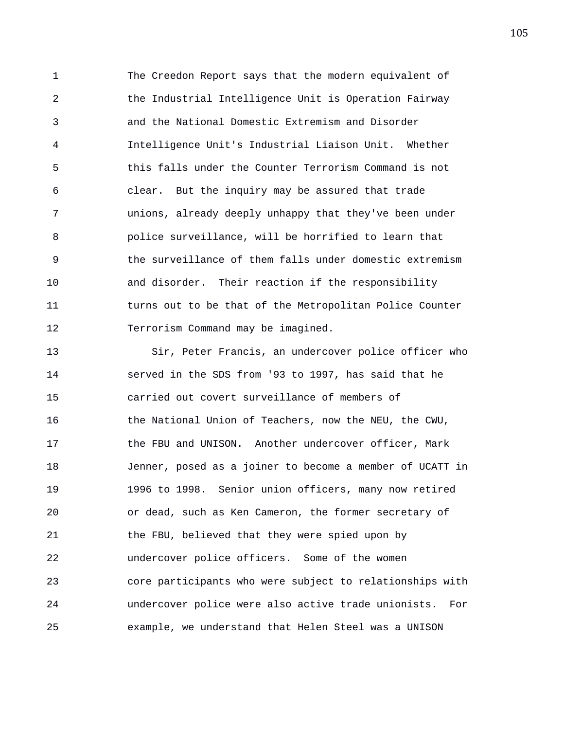1 The Creedon Report says that the modern equivalent of 2 the Industrial Intelligence Unit is Operation Fairway 3 and the National Domestic Extremism and Disorder 4 Intelligence Unit's Industrial Liaison Unit. Whether 5 this falls under the Counter Terrorism Command is not 6 clear. But the inquiry may be assured that trade 7 unions, already deeply unhappy that they've been under 8 police surveillance, will be horrified to learn that 9 the surveillance of them falls under domestic extremism 10 and disorder. Their reaction if the responsibility 11 turns out to be that of the Metropolitan Police Counter 12 Terrorism Command may be imagined.

13 Sir, Peter Francis, an undercover police officer who 14 served in the SDS from '93 to 1997, has said that he 15 carried out covert surveillance of members of 16 the National Union of Teachers, now the NEU, the CWU, 17 the FBU and UNISON. Another undercover officer, Mark 18 Jenner, posed as a joiner to become a member of UCATT in 19 1996 to 1998. Senior union officers, many now retired 20 or dead, such as Ken Cameron, the former secretary of 21 the FBU, believed that they were spied upon by 22 undercover police officers. Some of the women 23 core participants who were subject to relationships with 24 undercover police were also active trade unionists. For 25 example, we understand that Helen Steel was a UNISON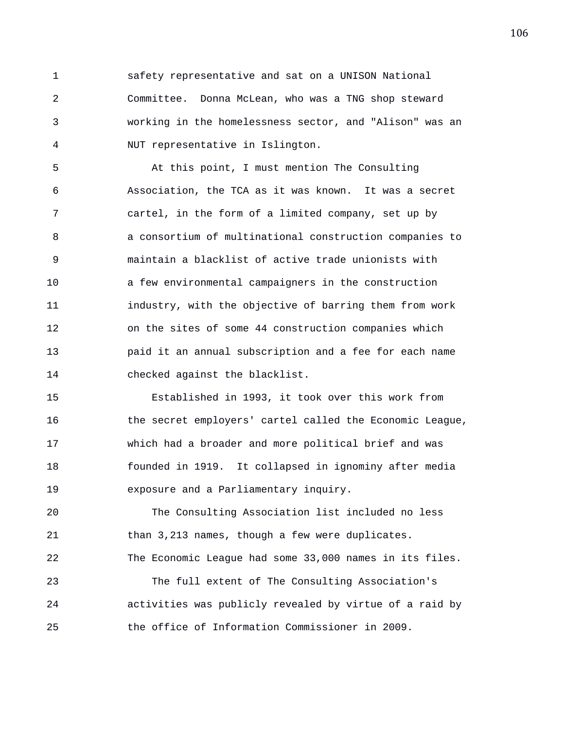1 safety representative and sat on a UNISON National 2 Committee. Donna McLean, who was a TNG shop steward 3 working in the homelessness sector, and "Alison" was an 4 NUT representative in Islington.

5 At this point, I must mention The Consulting 6 Association, the TCA as it was known. It was a secret 7 cartel, in the form of a limited company, set up by 8 a consortium of multinational construction companies to 9 maintain a blacklist of active trade unionists with 10 a few environmental campaigners in the construction 11 industry, with the objective of barring them from work 12 on the sites of some 44 construction companies which 13 paid it an annual subscription and a fee for each name 14 checked against the blacklist.

15 Established in 1993, it took over this work from 16 the secret employers' cartel called the Economic League, 17 which had a broader and more political brief and was 18 founded in 1919. It collapsed in ignominy after media 19 exposure and a Parliamentary inquiry.

20 The Consulting Association list included no less 21 than 3,213 names, though a few were duplicates. 22 The Economic League had some 33,000 names in its files.

23 The full extent of The Consulting Association's 24 activities was publicly revealed by virtue of a raid by 25 the office of Information Commissioner in 2009.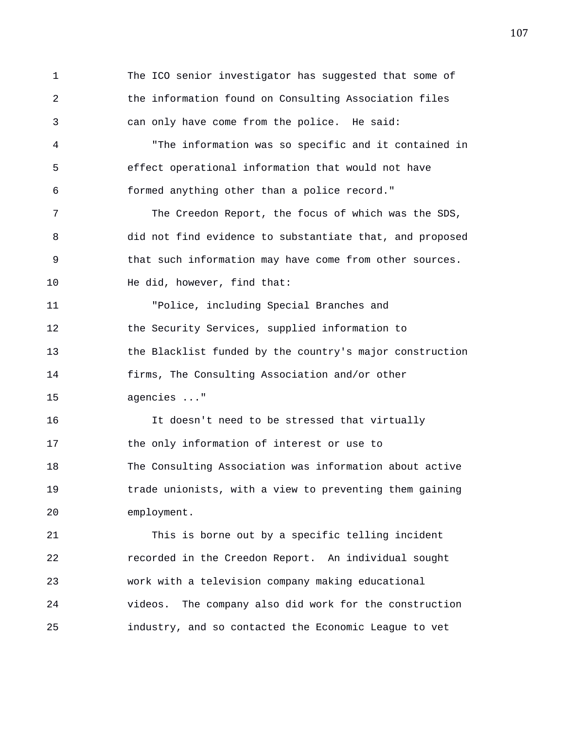1 The ICO senior investigator has suggested that some of 2 the information found on Consulting Association files 3 can only have come from the police. He said: 4 "The information was so specific and it contained in 5 effect operational information that would not have 6 formed anything other than a police record." 7 The Creedon Report, the focus of which was the SDS, 8 did not find evidence to substantiate that, and proposed 9 that such information may have come from other sources. 10 He did, however, find that: 11 "Police, including Special Branches and 12 the Security Services, supplied information to 13 the Blacklist funded by the country's major construction 14 firms, The Consulting Association and/or other 15 agencies ..." 16 It doesn't need to be stressed that virtually 17 the only information of interest or use to 18 The Consulting Association was information about active 19 trade unionists, with a view to preventing them gaining 20 employment. 21 This is borne out by a specific telling incident 22 recorded in the Creedon Report. An individual sought 23 work with a television company making educational 24 videos. The company also did work for the construction 25 industry, and so contacted the Economic League to vet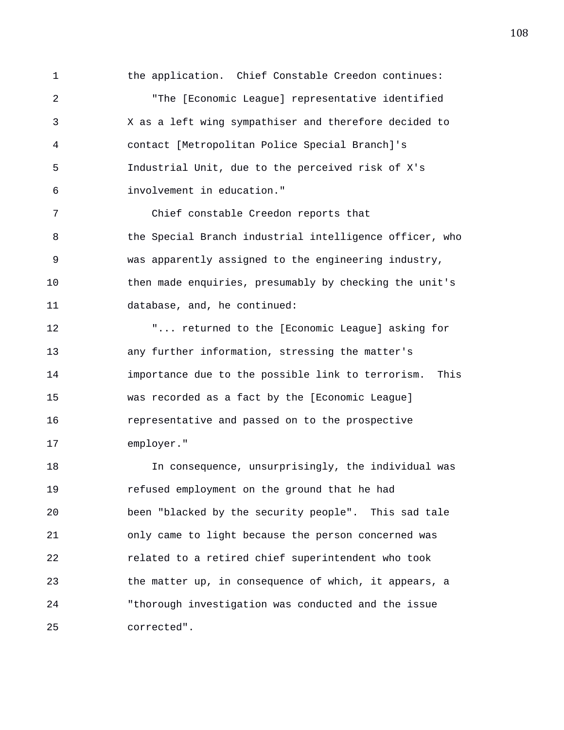1 the application. Chief Constable Creedon continues: 2 "The [Economic League] representative identified 3 X as a left wing sympathiser and therefore decided to 4 contact [Metropolitan Police Special Branch]'s 5 Industrial Unit, due to the perceived risk of X's 6 involvement in education."

7 Chief constable Creedon reports that 8 the Special Branch industrial intelligence officer, who 9 was apparently assigned to the engineering industry, 10 then made enquiries, presumably by checking the unit's 11 database, and, he continued:

12 "... returned to the [Economic League] asking for 13 any further information, stressing the matter's 14 importance due to the possible link to terrorism. This 15 was recorded as a fact by the [Economic League] 16 representative and passed on to the prospective 17 employer."

18 In consequence, unsurprisingly, the individual was 19 refused employment on the ground that he had 20 been "blacked by the security people". This sad tale 21 only came to light because the person concerned was 22 related to a retired chief superintendent who took 23 the matter up, in consequence of which, it appears, a 24 "thorough investigation was conducted and the issue 25 corrected".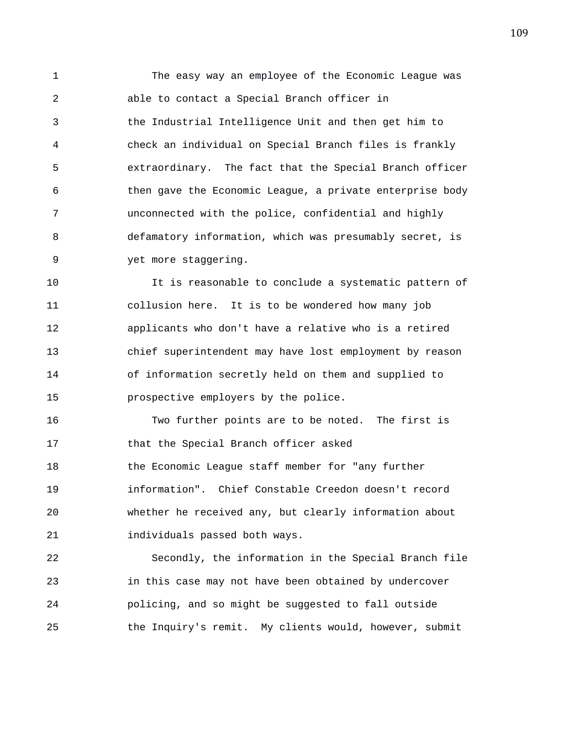1 The easy way an employee of the Economic League was 2 able to contact a Special Branch officer in 3 the Industrial Intelligence Unit and then get him to 4 check an individual on Special Branch files is frankly 5 extraordinary. The fact that the Special Branch officer 6 then gave the Economic League, a private enterprise body 7 unconnected with the police, confidential and highly 8 defamatory information, which was presumably secret, is 9 yet more staggering.

10 It is reasonable to conclude a systematic pattern of 11 collusion here. It is to be wondered how many job 12 applicants who don't have a relative who is a retired 13 chief superintendent may have lost employment by reason 14 of information secretly held on them and supplied to 15 prospective employers by the police.

16 Two further points are to be noted. The first is 17 that the Special Branch officer asked 18 the Economic League staff member for "any further 19 information". Chief Constable Creedon doesn't record 20 whether he received any, but clearly information about 21 individuals passed both ways.

22 Secondly, the information in the Special Branch file 23 in this case may not have been obtained by undercover 24 policing, and so might be suggested to fall outside 25 the Inquiry's remit. My clients would, however, submit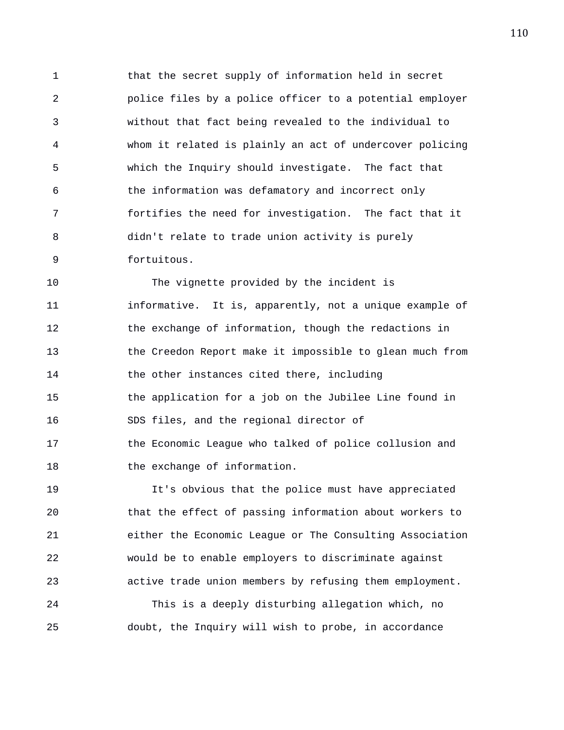1 that the secret supply of information held in secret 2 police files by a police officer to a potential employer 3 without that fact being revealed to the individual to 4 whom it related is plainly an act of undercover policing 5 which the Inquiry should investigate. The fact that 6 the information was defamatory and incorrect only 7 fortifies the need for investigation. The fact that it 8 didn't relate to trade union activity is purely 9 fortuitous.

10 The vignette provided by the incident is 11 informative. It is, apparently, not a unique example of 12 the exchange of information, though the redactions in 13 the Creedon Report make it impossible to glean much from 14 the other instances cited there, including 15 the application for a job on the Jubilee Line found in 16 SDS files, and the regional director of 17 the Economic League who talked of police collusion and 18 the exchange of information.

19 It's obvious that the police must have appreciated 20 that the effect of passing information about workers to 21 either the Economic League or The Consulting Association 22 would be to enable employers to discriminate against 23 active trade union members by refusing them employment.

24 This is a deeply disturbing allegation which, no 25 doubt, the Inquiry will wish to probe, in accordance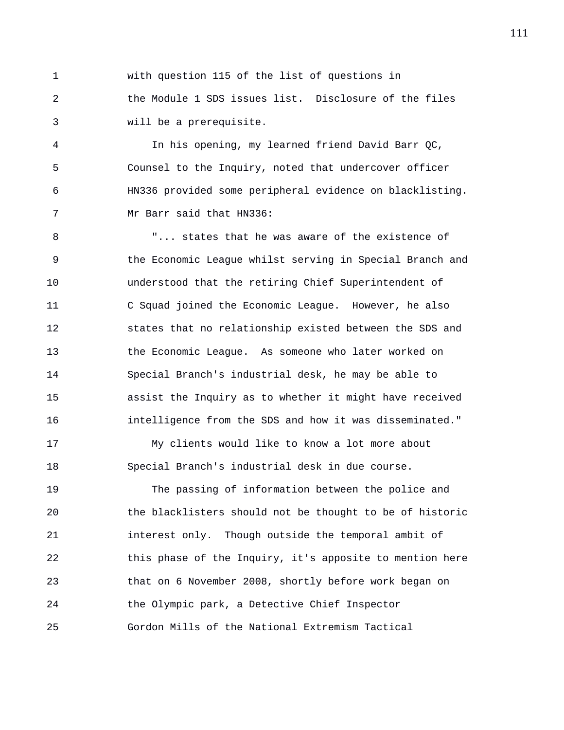1 with question 115 of the list of questions in 2 the Module 1 SDS issues list. Disclosure of the files 3 will be a prerequisite.

4 In his opening, my learned friend David Barr QC, 5 Counsel to the Inquiry, noted that undercover officer 6 HN336 provided some peripheral evidence on blacklisting. 7 Mr Barr said that HN336:

8 "... states that he was aware of the existence of 9 the Economic League whilst serving in Special Branch and 10 understood that the retiring Chief Superintendent of 11 C Squad joined the Economic League. However, he also 12 states that no relationship existed between the SDS and 13 the Economic League. As someone who later worked on 14 Special Branch's industrial desk, he may be able to 15 assist the Inquiry as to whether it might have received 16 intelligence from the SDS and how it was disseminated."

17 My clients would like to know a lot more about 18 Special Branch's industrial desk in due course.

19 The passing of information between the police and 20 the blacklisters should not be thought to be of historic 21 interest only. Though outside the temporal ambit of 22 this phase of the Inquiry, it's apposite to mention here 23 that on 6 November 2008, shortly before work began on 24 the Olympic park, a Detective Chief Inspector 25 Gordon Mills of the National Extremism Tactical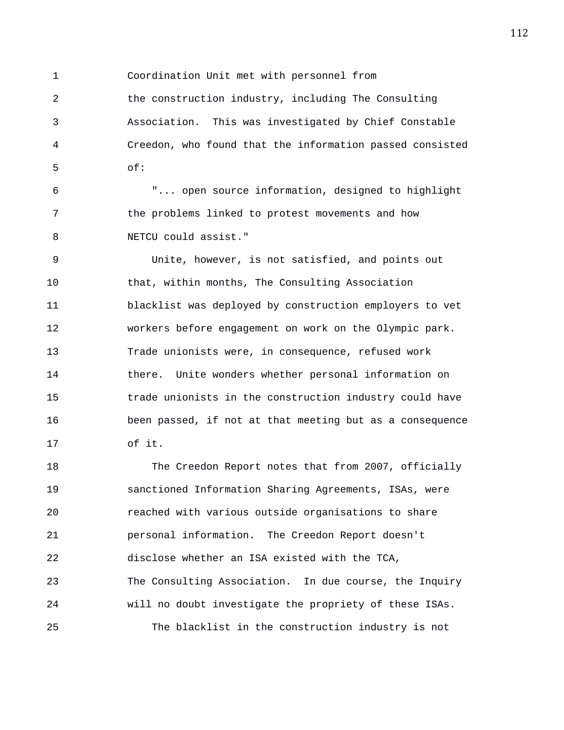1 Coordination Unit met with personnel from

2 the construction industry, including The Consulting 3 Association. This was investigated by Chief Constable 4 Creedon, who found that the information passed consisted 5 of:

6 "... open source information, designed to highlight 7 the problems linked to protest movements and how 8 NETCU could assist."

9 Unite, however, is not satisfied, and points out 10 that, within months, The Consulting Association 11 blacklist was deployed by construction employers to vet 12 workers before engagement on work on the Olympic park. 13 Trade unionists were, in consequence, refused work 14 there. Unite wonders whether personal information on 15 trade unionists in the construction industry could have 16 been passed, if not at that meeting but as a consequence 17 of it.

18 The Creedon Report notes that from 2007, officially 19 sanctioned Information Sharing Agreements, ISAs, were 20 reached with various outside organisations to share 21 personal information. The Creedon Report doesn't 22 disclose whether an ISA existed with the TCA, 23 The Consulting Association. In due course, the Inquiry 24 will no doubt investigate the propriety of these ISAs. 25 The blacklist in the construction industry is not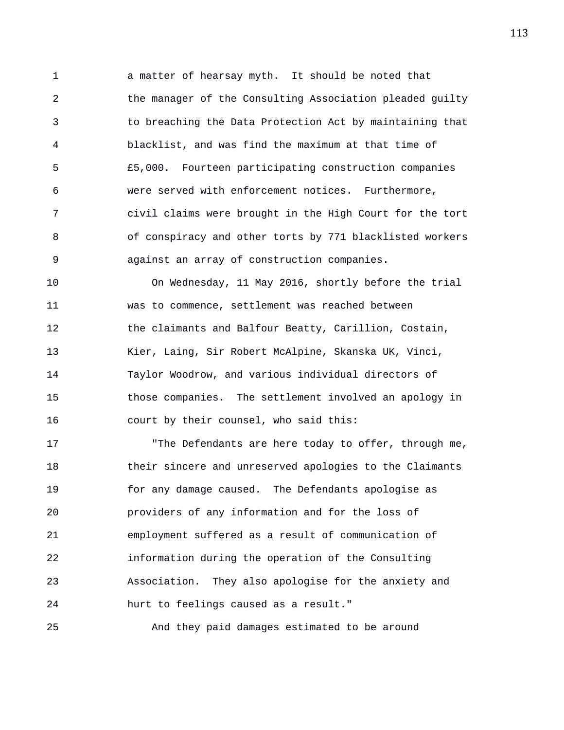1 a matter of hearsay myth. It should be noted that 2 the manager of the Consulting Association pleaded guilty 3 to breaching the Data Protection Act by maintaining that 4 blacklist, and was find the maximum at that time of 5 £5,000. Fourteen participating construction companies 6 were served with enforcement notices. Furthermore, 7 civil claims were brought in the High Court for the tort 8 of conspiracy and other torts by 771 blacklisted workers 9 against an array of construction companies.

10 On Wednesday, 11 May 2016, shortly before the trial 11 was to commence, settlement was reached between 12 the claimants and Balfour Beatty, Carillion, Costain, 13 Kier, Laing, Sir Robert McAlpine, Skanska UK, Vinci, 14 Taylor Woodrow, and various individual directors of 15 those companies. The settlement involved an apology in 16 court by their counsel, who said this:

17 The Defendants are here today to offer, through me, 18 their sincere and unreserved apologies to the Claimants 19 for any damage caused. The Defendants apologise as 20 providers of any information and for the loss of 21 employment suffered as a result of communication of 22 information during the operation of the Consulting 23 Association. They also apologise for the anxiety and 24 hurt to feelings caused as a result."

25 And they paid damages estimated to be around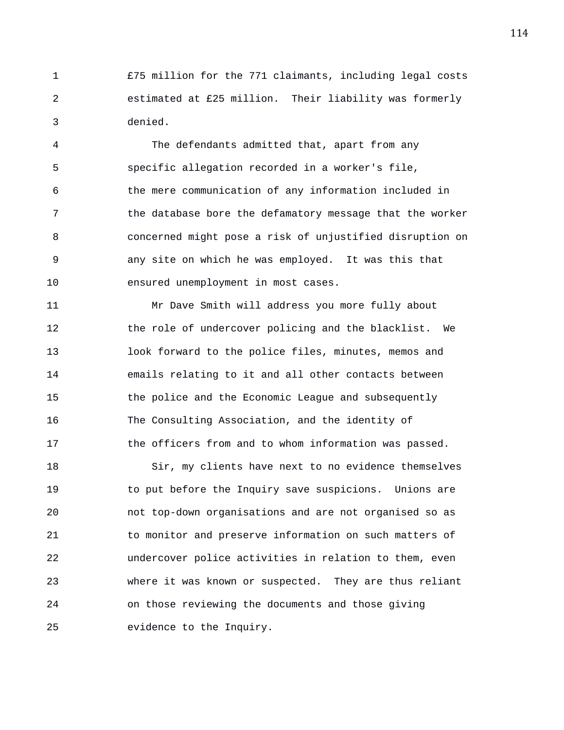1 £75 million for the 771 claimants, including legal costs 2 estimated at £25 million. Their liability was formerly 3 denied.

4 The defendants admitted that, apart from any 5 specific allegation recorded in a worker's file, 6 the mere communication of any information included in 7 the database bore the defamatory message that the worker 8 concerned might pose a risk of unjustified disruption on 9 any site on which he was employed. It was this that 10 ensured unemployment in most cases.

11 Mr Dave Smith will address you more fully about 12 the role of undercover policing and the blacklist. We 13 look forward to the police files, minutes, memos and 14 emails relating to it and all other contacts between 15 the police and the Economic League and subsequently 16 The Consulting Association, and the identity of 17 the officers from and to whom information was passed.

18 Sir, my clients have next to no evidence themselves 19 to put before the Inquiry save suspicions. Unions are 20 not top-down organisations and are not organised so as 21 to monitor and preserve information on such matters of 22 undercover police activities in relation to them, even 23 where it was known or suspected. They are thus reliant 24 on those reviewing the documents and those giving 25 evidence to the Inquiry.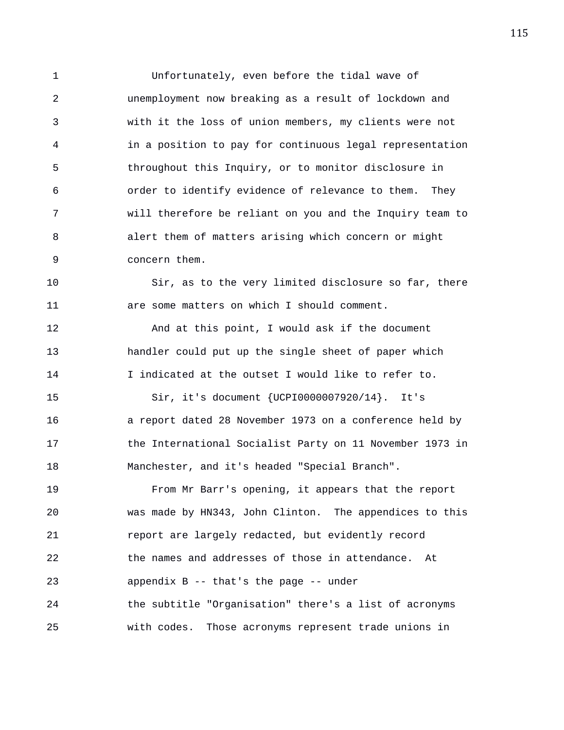1 Unfortunately, even before the tidal wave of 2 unemployment now breaking as a result of lockdown and 3 with it the loss of union members, my clients were not 4 in a position to pay for continuous legal representation 5 throughout this Inquiry, or to monitor disclosure in 6 order to identify evidence of relevance to them. They 7 will therefore be reliant on you and the Inquiry team to 8 alert them of matters arising which concern or might 9 concern them.

10 Sir, as to the very limited disclosure so far, there 11 are some matters on which I should comment.

12 And at this point, I would ask if the document 13 handler could put up the single sheet of paper which 14 I indicated at the outset I would like to refer to.

15 Sir, it's document {UCPI0000007920/14}. It's 16 a report dated 28 November 1973 on a conference held by 17 the International Socialist Party on 11 November 1973 in 18 Manchester, and it's headed "Special Branch".

19 From Mr Barr's opening, it appears that the report 20 was made by HN343, John Clinton. The appendices to this 21 report are largely redacted, but evidently record 22 the names and addresses of those in attendance. At 23 appendix B -- that's the page -- under 24 the subtitle "Organisation" there's a list of acronyms 25 with codes. Those acronyms represent trade unions in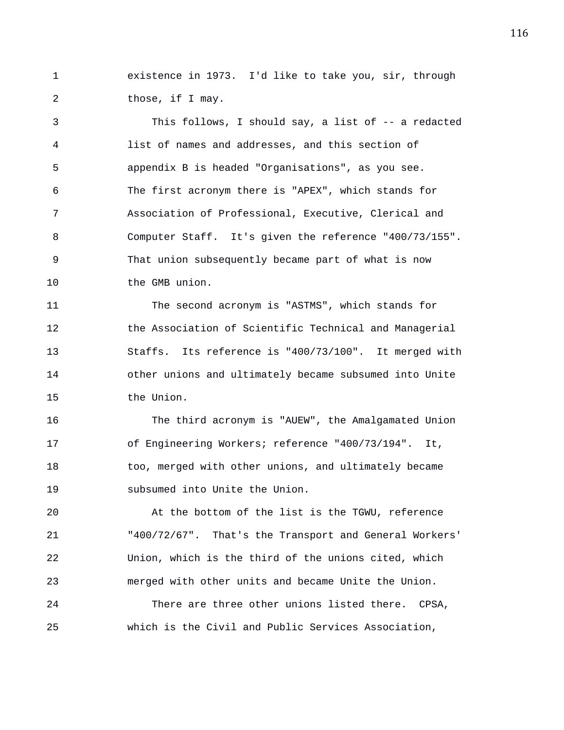1 existence in 1973. I'd like to take you, sir, through 2 those, if I may.

3 This follows, I should say, a list of -- a redacted 4 list of names and addresses, and this section of 5 appendix B is headed "Organisations", as you see. 6 The first acronym there is "APEX", which stands for 7 Association of Professional, Executive, Clerical and 8 Computer Staff. It's given the reference "400/73/155". 9 That union subsequently became part of what is now 10 the GMB union.

11 The second acronym is "ASTMS", which stands for 12 the Association of Scientific Technical and Managerial 13 Staffs. Its reference is "400/73/100". It merged with 14 other unions and ultimately became subsumed into Unite 15 the Union.

16 The third acronym is "AUEW", the Amalgamated Union 17 of Engineering Workers; reference "400/73/194". It, 18 too, merged with other unions, and ultimately became 19 subsumed into Unite the Union.

20 At the bottom of the list is the TGWU, reference 21 "400/72/67". That's the Transport and General Workers' 22 Union, which is the third of the unions cited, which 23 merged with other units and became Unite the Union.

24 There are three other unions listed there. CPSA, 25 which is the Civil and Public Services Association,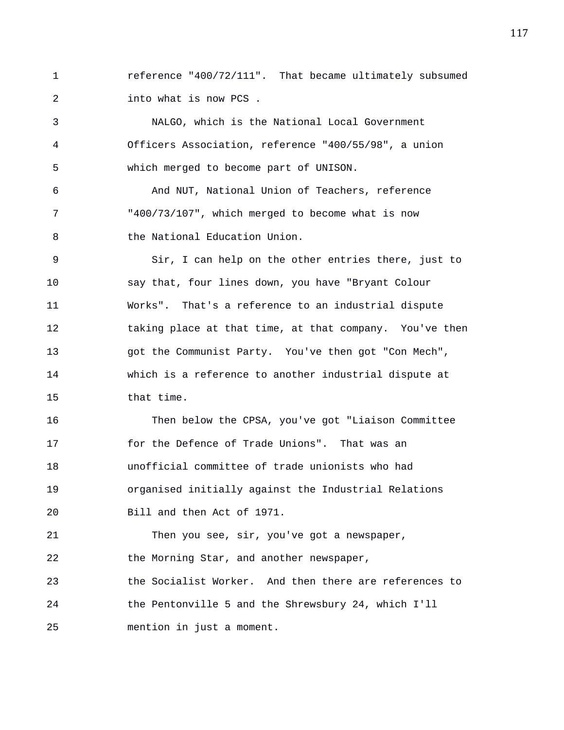1 reference "400/72/111". That became ultimately subsumed 2 into what is now PCS .

3 NALGO, which is the National Local Government 4 Officers Association, reference "400/55/98", a union 5 which merged to become part of UNISON.

6 And NUT, National Union of Teachers, reference 7 "400/73/107", which merged to become what is now 8 the National Education Union.

9 Sir, I can help on the other entries there, just to 10 say that, four lines down, you have "Bryant Colour 11 Works". That's a reference to an industrial dispute 12 taking place at that time, at that company. You've then 13 got the Communist Party. You've then got "Con Mech", 14 which is a reference to another industrial dispute at 15 that time.

16 Then below the CPSA, you've got "Liaison Committee 17 for the Defence of Trade Unions". That was an 18 unofficial committee of trade unionists who had 19 organised initially against the Industrial Relations 20 Bill and then Act of 1971.

21 Then you see, sir, you've got a newspaper, 22 the Morning Star, and another newspaper, 23 the Socialist Worker. And then there are references to 24 the Pentonville 5 and the Shrewsbury 24, which I'll 25 mention in just a moment.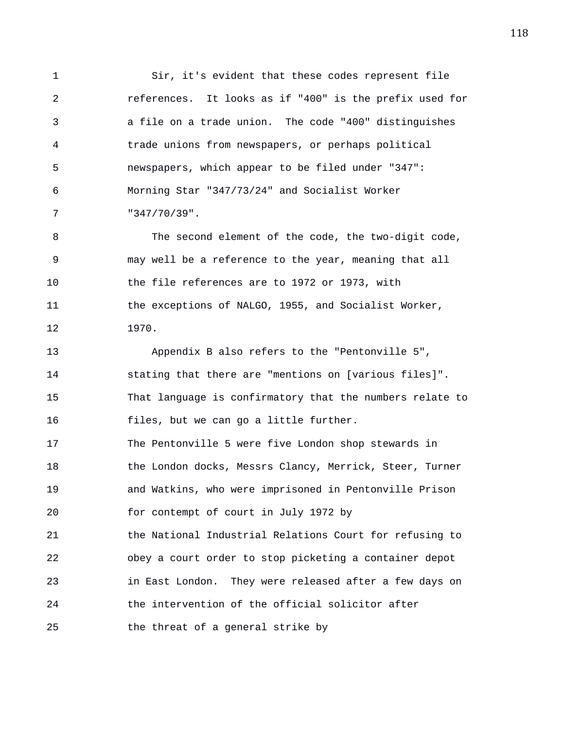1 Sir, it's evident that these codes represent file 2 references. It looks as if "400" is the prefix used for 3 a file on a trade union. The code "400" distinguishes 4 trade unions from newspapers, or perhaps political 5 newspapers, which appear to be filed under "347": 6 Morning Star "347/73/24" and Socialist Worker 7 "347/70/39".

8 The second element of the code, the two-digit code, 9 may well be a reference to the year, meaning that all 10 the file references are to 1972 or 1973, with 11 the exceptions of NALGO, 1955, and Socialist Worker, 12 1970.

13 Appendix B also refers to the "Pentonville 5", 14 stating that there are "mentions on [various files]". 15 That language is confirmatory that the numbers relate to 16 files, but we can go a little further. 17 The Pentonville 5 were five London shop stewards in 18 the London docks, Messrs Clancy, Merrick, Steer, Turner 19 and Watkins, who were imprisoned in Pentonville Prison 20 for contempt of court in July 1972 by 21 the National Industrial Relations Court for refusing to 22 obey a court order to stop picketing a container depot 23 in East London. They were released after a few days on 24 the intervention of the official solicitor after 25 the threat of a general strike by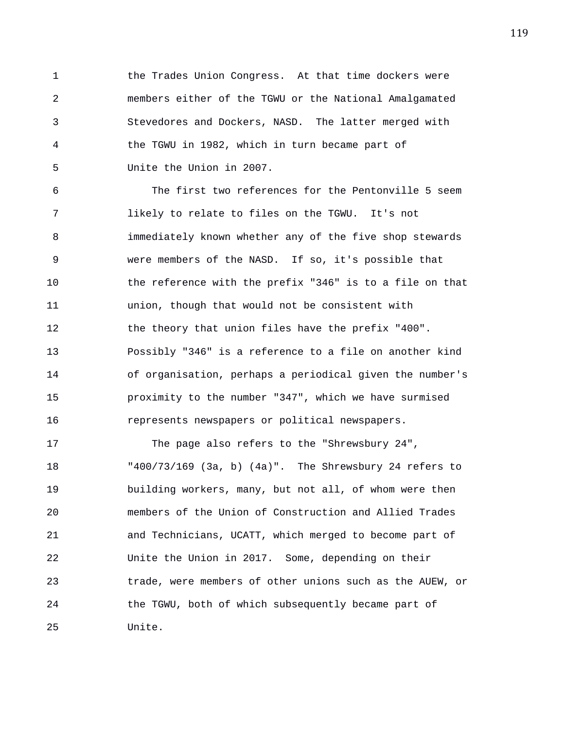1 the Trades Union Congress. At that time dockers were 2 members either of the TGWU or the National Amalgamated 3 Stevedores and Dockers, NASD. The latter merged with 4 the TGWU in 1982, which in turn became part of 5 Unite the Union in 2007.

6 The first two references for the Pentonville 5 seem 7 likely to relate to files on the TGWU. It's not 8 immediately known whether any of the five shop stewards 9 were members of the NASD. If so, it's possible that 10 the reference with the prefix "346" is to a file on that 11 union, though that would not be consistent with 12 the theory that union files have the prefix "400". 13 Possibly "346" is a reference to a file on another kind 14 of organisation, perhaps a periodical given the number's 15 proximity to the number "347", which we have surmised 16 represents newspapers or political newspapers.

17 The page also refers to the "Shrewsbury 24", 18 "400/73/169 (3a, b) (4a)". The Shrewsbury 24 refers to 19 building workers, many, but not all, of whom were then 20 members of the Union of Construction and Allied Trades 21 and Technicians, UCATT, which merged to become part of 22 Unite the Union in 2017. Some, depending on their 23 trade, were members of other unions such as the AUEW, or 24 the TGWU, both of which subsequently became part of 25 Unite.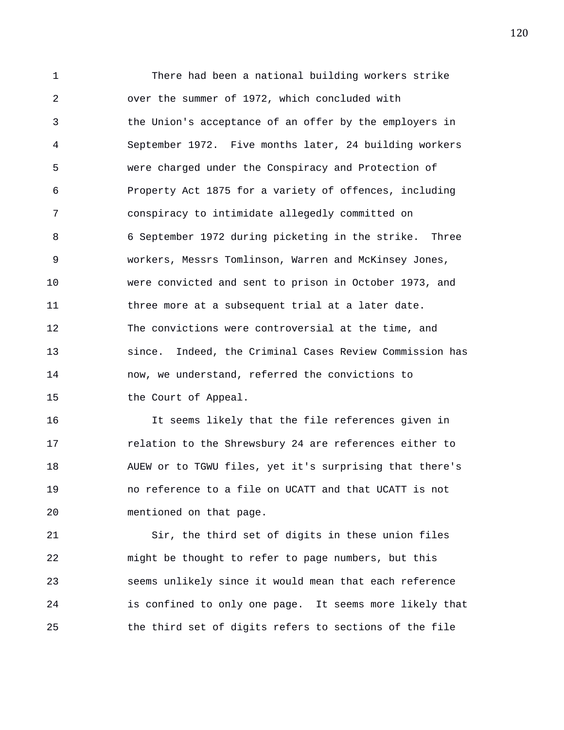1 There had been a national building workers strike 2 over the summer of 1972, which concluded with 3 the Union's acceptance of an offer by the employers in 4 September 1972. Five months later, 24 building workers 5 were charged under the Conspiracy and Protection of 6 Property Act 1875 for a variety of offences, including 7 conspiracy to intimidate allegedly committed on 8 6 September 1972 during picketing in the strike. Three 9 workers, Messrs Tomlinson, Warren and McKinsey Jones, 10 were convicted and sent to prison in October 1973, and 11 three more at a subsequent trial at a later date. 12 The convictions were controversial at the time, and 13 since. Indeed, the Criminal Cases Review Commission has 14 now, we understand, referred the convictions to 15 the Court of Appeal.

16 It seems likely that the file references given in 17 relation to the Shrewsbury 24 are references either to 18 AUEW or to TGWU files, yet it's surprising that there's 19 no reference to a file on UCATT and that UCATT is not 20 mentioned on that page.

21 Sir, the third set of digits in these union files 22 might be thought to refer to page numbers, but this 23 seems unlikely since it would mean that each reference 24 is confined to only one page. It seems more likely that 25 the third set of digits refers to sections of the file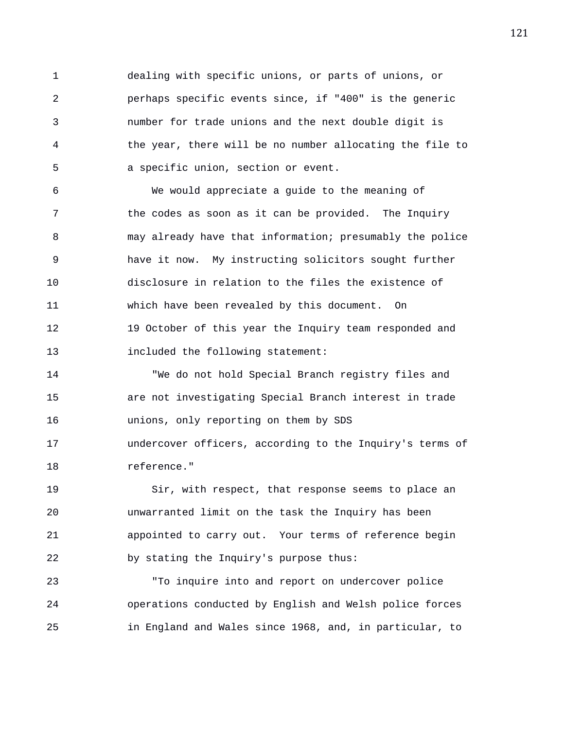1 dealing with specific unions, or parts of unions, or 2 perhaps specific events since, if "400" is the generic 3 number for trade unions and the next double digit is 4 the year, there will be no number allocating the file to 5 a specific union, section or event.

6 We would appreciate a guide to the meaning of 7 the codes as soon as it can be provided. The Inquiry 8 may already have that information; presumably the police 9 have it now. My instructing solicitors sought further 10 disclosure in relation to the files the existence of 11 which have been revealed by this document. On 12 19 October of this year the Inquiry team responded and 13 included the following statement:

14 "We do not hold Special Branch registry files and 15 are not investigating Special Branch interest in trade 16 unions, only reporting on them by SDS 17 undercover officers, according to the Inquiry's terms of 18 reference."

19 Sir, with respect, that response seems to place an 20 unwarranted limit on the task the Inquiry has been 21 appointed to carry out. Your terms of reference begin 22 by stating the Inquiry's purpose thus:

23 "To inquire into and report on undercover police 24 operations conducted by English and Welsh police forces 25 in England and Wales since 1968, and, in particular, to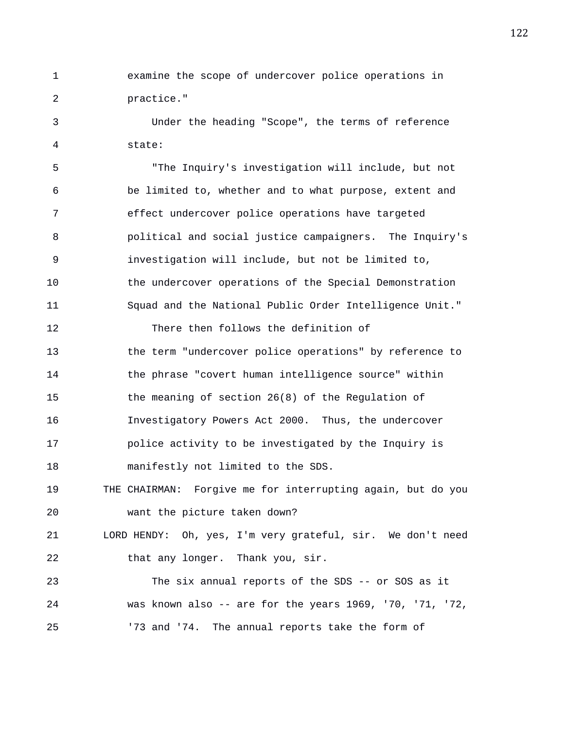1 examine the scope of undercover police operations in 2 practice."

3 Under the heading "Scope", the terms of reference 4 state:

5 "The Inquiry's investigation will include, but not 6 be limited to, whether and to what purpose, extent and 7 effect undercover police operations have targeted 8 political and social justice campaigners. The Inquiry's 9 investigation will include, but not be limited to, 10 the undercover operations of the Special Demonstration 11 Squad and the National Public Order Intelligence Unit."

13 the term "undercover police operations" by reference to 14 the phrase "covert human intelligence source" within 15 the meaning of section 26(8) of the Regulation of 16 Investigatory Powers Act 2000. Thus, the undercover 17 police activity to be investigated by the Inquiry is 18 manifestly not limited to the SDS.

12 There then follows the definition of

19 THE CHAIRMAN: Forgive me for interrupting again, but do you 20 want the picture taken down?

21 LORD HENDY: Oh, yes, I'm very grateful, sir. We don't need 22 that any longer. Thank you, sir.

23 The six annual reports of the SDS -- or SOS as it 24 was known also -- are for the years 1969, '70, '71, '72, 25 '73 and '74. The annual reports take the form of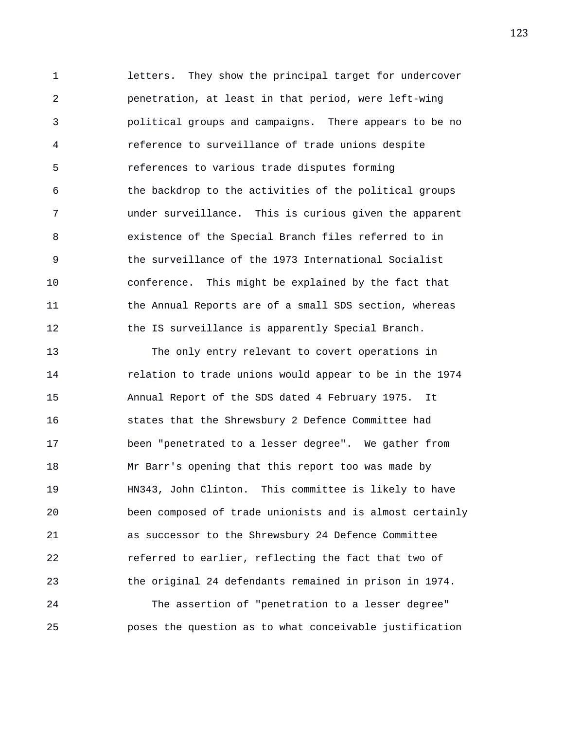1 letters. They show the principal target for undercover 2 penetration, at least in that period, were left-wing 3 political groups and campaigns. There appears to be no 4 reference to surveillance of trade unions despite 5 references to various trade disputes forming 6 the backdrop to the activities of the political groups 7 under surveillance. This is curious given the apparent 8 existence of the Special Branch files referred to in 9 the surveillance of the 1973 International Socialist 10 conference. This might be explained by the fact that 11 the Annual Reports are of a small SDS section, whereas 12 the IS surveillance is apparently Special Branch.

13 The only entry relevant to covert operations in 14 relation to trade unions would appear to be in the 1974 15 Annual Report of the SDS dated 4 February 1975. It 16 states that the Shrewsbury 2 Defence Committee had 17 been "penetrated to a lesser degree". We gather from 18 Mr Barr's opening that this report too was made by 19 HN343, John Clinton. This committee is likely to have 20 been composed of trade unionists and is almost certainly 21 as successor to the Shrewsbury 24 Defence Committee 22 referred to earlier, reflecting the fact that two of 23 the original 24 defendants remained in prison in 1974. 24 The assertion of "penetration to a lesser degree" 25 poses the question as to what conceivable justification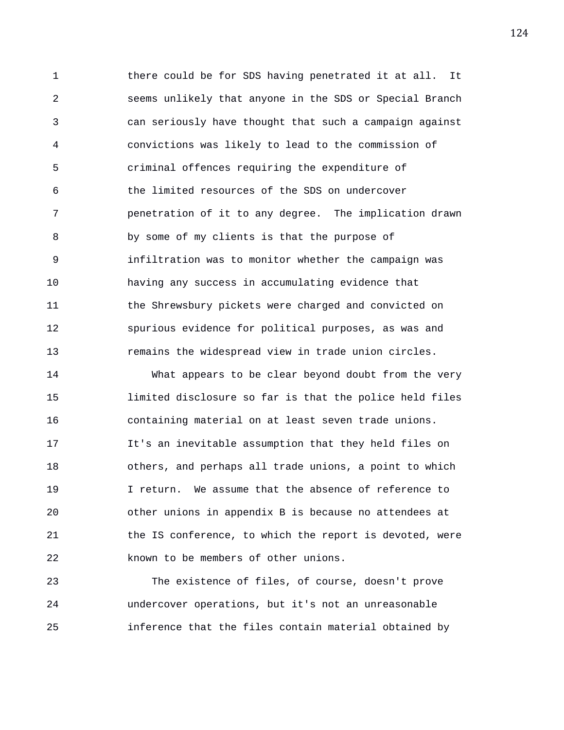1 there could be for SDS having penetrated it at all. It 2 seems unlikely that anyone in the SDS or Special Branch 3 can seriously have thought that such a campaign against 4 convictions was likely to lead to the commission of 5 criminal offences requiring the expenditure of 6 the limited resources of the SDS on undercover 7 penetration of it to any degree. The implication drawn 8 by some of my clients is that the purpose of 9 infiltration was to monitor whether the campaign was 10 having any success in accumulating evidence that 11 the Shrewsbury pickets were charged and convicted on 12 spurious evidence for political purposes, as was and 13 remains the widespread view in trade union circles.

14 What appears to be clear beyond doubt from the very 15 limited disclosure so far is that the police held files 16 containing material on at least seven trade unions. 17 It's an inevitable assumption that they held files on 18 others, and perhaps all trade unions, a point to which 19 10 I return. We assume that the absence of reference to 20 other unions in appendix B is because no attendees at 21 the IS conference, to which the report is devoted, were 22 known to be members of other unions.

23 The existence of files, of course, doesn't prove 24 undercover operations, but it's not an unreasonable 25 inference that the files contain material obtained by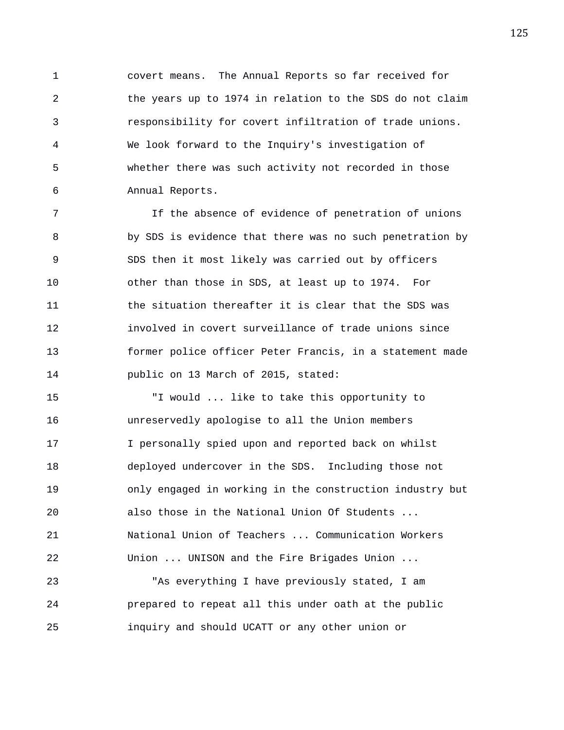1 covert means. The Annual Reports so far received for 2 the years up to 1974 in relation to the SDS do not claim 3 responsibility for covert infiltration of trade unions. 4 We look forward to the Inquiry's investigation of 5 whether there was such activity not recorded in those 6 Annual Reports.

7 If the absence of evidence of penetration of unions 8 by SDS is evidence that there was no such penetration by 9 SDS then it most likely was carried out by officers 10 other than those in SDS, at least up to 1974. For 11 the situation thereafter it is clear that the SDS was 12 involved in covert surveillance of trade unions since 13 former police officer Peter Francis, in a statement made 14 public on 13 March of 2015, stated:

15 "I would ... like to take this opportunity to 16 unreservedly apologise to all the Union members 17 I personally spied upon and reported back on whilst 18 deployed undercover in the SDS. Including those not 19 only engaged in working in the construction industry but 20 also those in the National Union Of Students ... 21 National Union of Teachers ... Communication Workers 22 Union ... UNISON and the Fire Brigades Union ...

23 "As everything I have previously stated, I am 24 prepared to repeat all this under oath at the public 25 inquiry and should UCATT or any other union or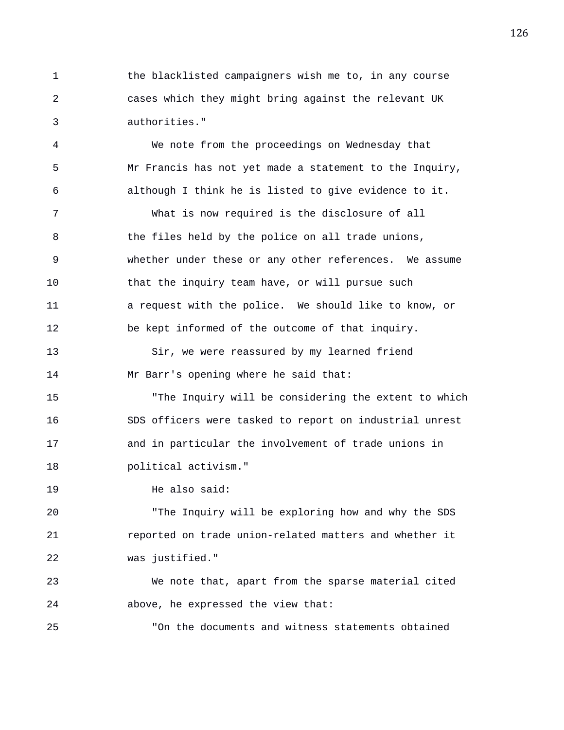1 the blacklisted campaigners wish me to, in any course 2 cases which they might bring against the relevant UK 3 authorities."

4 We note from the proceedings on Wednesday that 5 Mr Francis has not yet made a statement to the Inquiry, 6 although I think he is listed to give evidence to it. 7 What is now required is the disclosure of all 8 b the files held by the police on all trade unions, 9 whether under these or any other references. We assume 10 that the inquiry team have, or will pursue such 11 a request with the police. We should like to know, or 12 be kept informed of the outcome of that inquiry.

13 Sir, we were reassured by my learned friend 14 Mr Barr's opening where he said that:

15 "The Inquiry will be considering the extent to which 16 SDS officers were tasked to report on industrial unrest 17 and in particular the involvement of trade unions in 18 political activism."

19 He also said:

20 "The Inquiry will be exploring how and why the SDS 21 reported on trade union-related matters and whether it 22 was justified."

23 We note that, apart from the sparse material cited 24 above, he expressed the view that:

25 "On the documents and witness statements obtained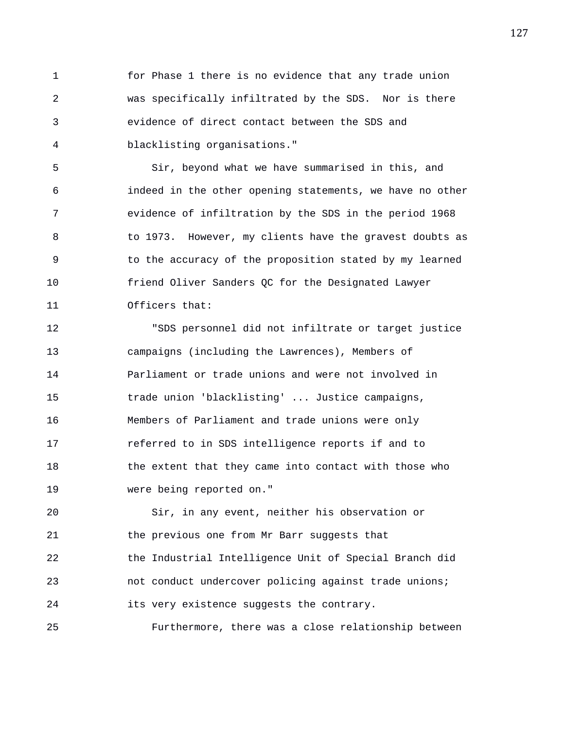1 for Phase 1 there is no evidence that any trade union 2 was specifically infiltrated by the SDS. Nor is there 3 evidence of direct contact between the SDS and 4 blacklisting organisations."

5 Sir, beyond what we have summarised in this, and 6 indeed in the other opening statements, we have no other 7 evidence of infiltration by the SDS in the period 1968 8 to 1973. However, my clients have the gravest doubts as 9 to the accuracy of the proposition stated by my learned 10 friend Oliver Sanders QC for the Designated Lawyer 11 Officers that:

12 "SDS personnel did not infiltrate or target justice 13 campaigns (including the Lawrences), Members of 14 Parliament or trade unions and were not involved in 15 trade union 'blacklisting' ... Justice campaigns, 16 Members of Parliament and trade unions were only 17 referred to in SDS intelligence reports if and to 18 the extent that they came into contact with those who 19 were being reported on."

20 Sir, in any event, neither his observation or 21 the previous one from Mr Barr suggests that 22 the Industrial Intelligence Unit of Special Branch did 23 not conduct undercover policing against trade unions; 24 its very existence suggests the contrary.

25 Furthermore, there was a close relationship between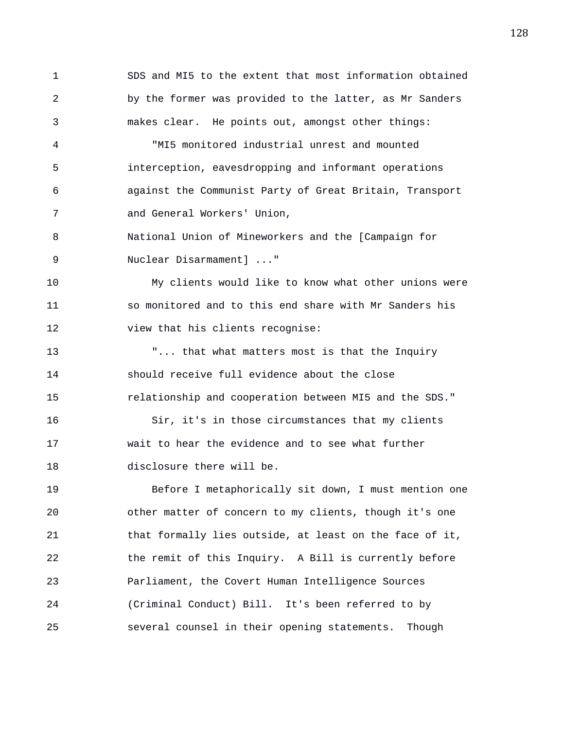1 SDS and MI5 to the extent that most information obtained 2 by the former was provided to the latter, as Mr Sanders 3 makes clear. He points out, amongst other things:

4 "MI5 monitored industrial unrest and mounted 5 interception, eavesdropping and informant operations 6 against the Communist Party of Great Britain, Transport 7 and General Workers' Union,

8 National Union of Mineworkers and the [Campaign for 9 Nuclear Disarmament] ..."

10 My clients would like to know what other unions were 11 so monitored and to this end share with Mr Sanders his 12 view that his clients recognise:

13 "... that what matters most is that the Inquiry 14 should receive full evidence about the close 15 relationship and cooperation between MI5 and the SDS."

16 Sir, it's in those circumstances that my clients 17 wait to hear the evidence and to see what further 18 disclosure there will be.

19 Before I metaphorically sit down, I must mention one 20 other matter of concern to my clients, though it's one 21 that formally lies outside, at least on the face of it, 22 the remit of this Inquiry. A Bill is currently before 23 Parliament, the Covert Human Intelligence Sources 24 (Criminal Conduct) Bill. It's been referred to by 25 several counsel in their opening statements. Though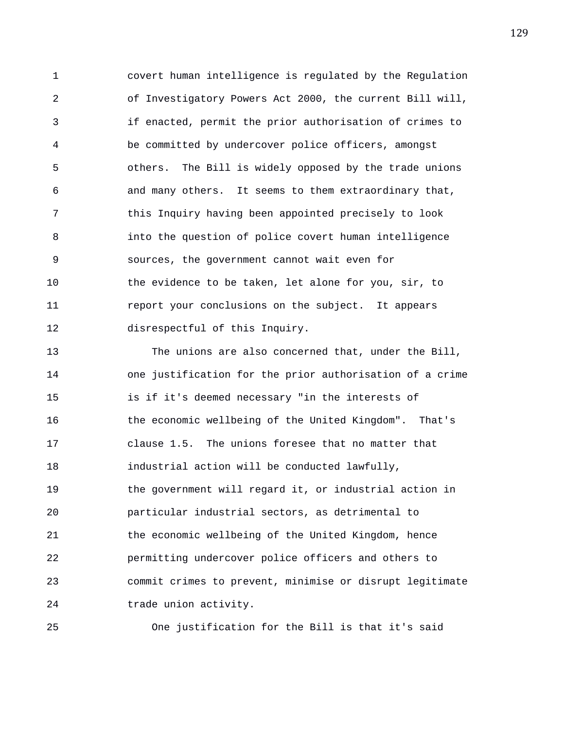1 covert human intelligence is regulated by the Regulation 2 of Investigatory Powers Act 2000, the current Bill will, 3 if enacted, permit the prior authorisation of crimes to 4 be committed by undercover police officers, amongst 5 others. The Bill is widely opposed by the trade unions 6 and many others. It seems to them extraordinary that, 7 this Inquiry having been appointed precisely to look 8 into the question of police covert human intelligence 9 sources, the government cannot wait even for 10 the evidence to be taken, let alone for you, sir, to 11 report your conclusions on the subject. It appears 12 disrespectful of this Inquiry.

13 The unions are also concerned that, under the Bill, 14 one justification for the prior authorisation of a crime 15 is if it's deemed necessary "in the interests of 16 the economic wellbeing of the United Kingdom". That's 17 clause 1.5. The unions foresee that no matter that 18 industrial action will be conducted lawfully, 19 the government will regard it, or industrial action in 20 particular industrial sectors, as detrimental to 21 the economic wellbeing of the United Kingdom, hence 22 permitting undercover police officers and others to 23 commit crimes to prevent, minimise or disrupt legitimate 24 trade union activity.

25 One justification for the Bill is that it's said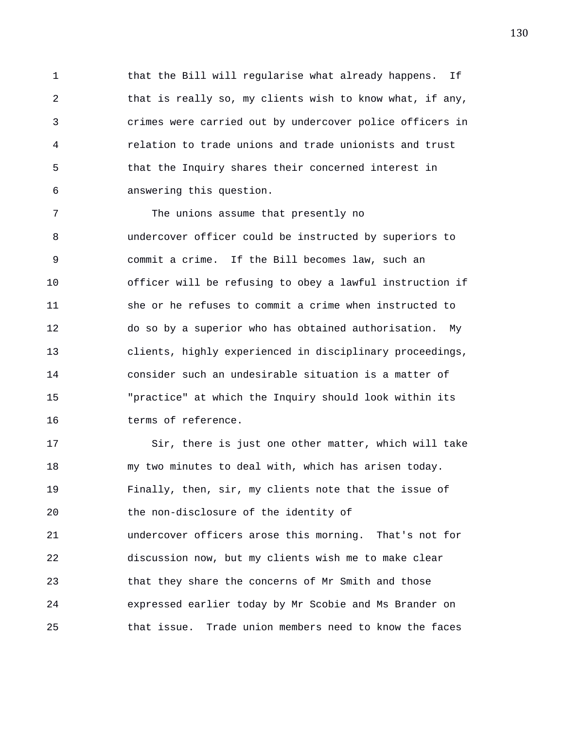1 that the Bill will regularise what already happens. If 2 that is really so, my clients wish to know what, if any, 3 crimes were carried out by undercover police officers in 4 relation to trade unions and trade unionists and trust 5 that the Inquiry shares their concerned interest in 6 answering this question.

7 The unions assume that presently no 8 undercover officer could be instructed by superiors to 9 commit a crime. If the Bill becomes law, such an 10 officer will be refusing to obey a lawful instruction if 11 she or he refuses to commit a crime when instructed to 12 do so by a superior who has obtained authorisation. My 13 clients, highly experienced in disciplinary proceedings, 14 consider such an undesirable situation is a matter of 15 "practice" at which the Inquiry should look within its 16 terms of reference.

17 Sir, there is just one other matter, which will take 18 my two minutes to deal with, which has arisen today. 19 Finally, then, sir, my clients note that the issue of 20 the non-disclosure of the identity of 21 undercover officers arose this morning. That's not for 22 discussion now, but my clients wish me to make clear 23 that they share the concerns of Mr Smith and those 24 expressed earlier today by Mr Scobie and Ms Brander on 25 that issue. Trade union members need to know the faces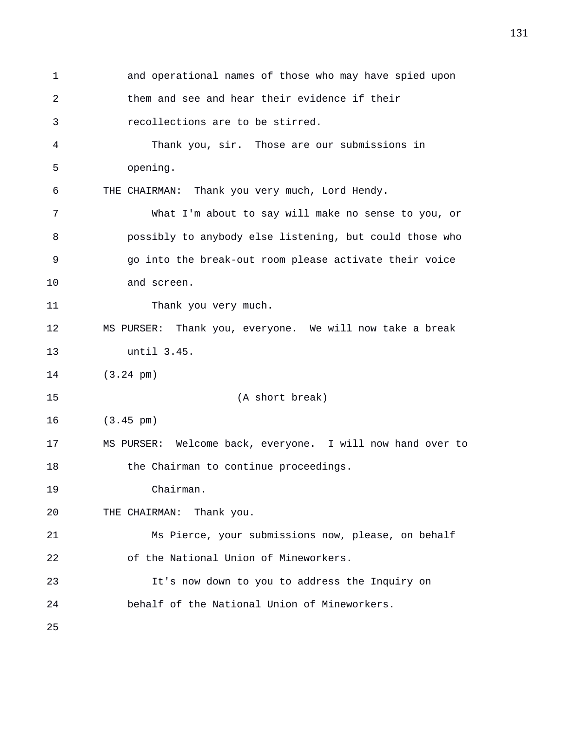1 and operational names of those who may have spied upon 2 them and see and hear their evidence if their 3 recollections are to be stirred. 4 Thank you, sir. Those are our submissions in 5 opening. 6 THE CHAIRMAN: Thank you very much, Lord Hendy. 7 What I'm about to say will make no sense to you, or 8 possibly to anybody else listening, but could those who 9 go into the break-out room please activate their voice 10 and screen. 11 Thank you very much. 12 MS PURSER: Thank you, everyone. We will now take a break 13 until 3.45. 14 (3.24 pm) 15 (A short break) 16 (3.45 pm) 17 MS PURSER: Welcome back, everyone. I will now hand over to 18 the Chairman to continue proceedings. 19 Chairman. 20 THE CHAIRMAN: Thank you. 21 Ms Pierce, your submissions now, please, on behalf 22 of the National Union of Mineworkers. 23 It's now down to you to address the Inquiry on 24 behalf of the National Union of Mineworkers. 25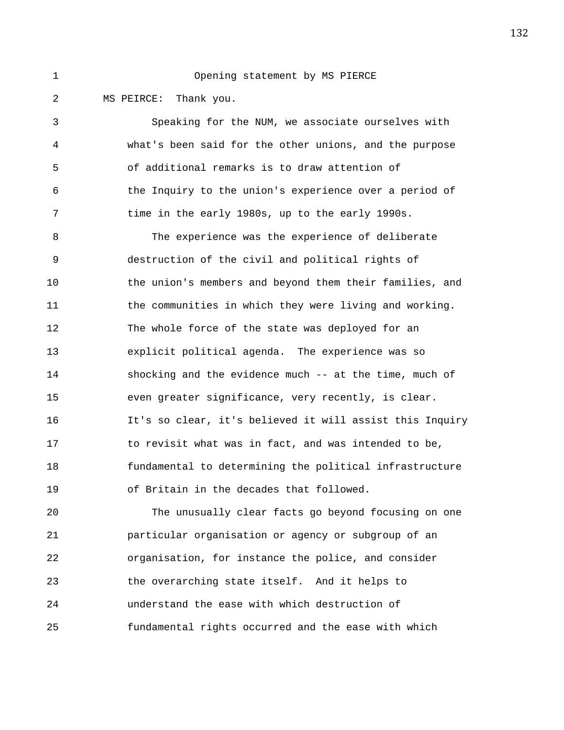## 1 Opening statement by MS PIERCE

2 MS PEIRCE: Thank you.

3 Speaking for the NUM, we associate ourselves with 4 what's been said for the other unions, and the purpose 5 of additional remarks is to draw attention of 6 the Inquiry to the union's experience over a period of 7 time in the early 1980s, up to the early 1990s.

8 The experience was the experience of deliberate 9 destruction of the civil and political rights of 10 the union's members and beyond them their families, and 11 the communities in which they were living and working. 12 The whole force of the state was deployed for an 13 explicit political agenda. The experience was so 14 shocking and the evidence much -- at the time, much of 15 even greater significance, very recently, is clear. 16 It's so clear, it's believed it will assist this Inquiry 17 to revisit what was in fact, and was intended to be, 18 fundamental to determining the political infrastructure 19 of Britain in the decades that followed.

20 The unusually clear facts go beyond focusing on one 21 particular organisation or agency or subgroup of an 22 organisation, for instance the police, and consider 23 the overarching state itself. And it helps to 24 understand the ease with which destruction of 25 fundamental rights occurred and the ease with which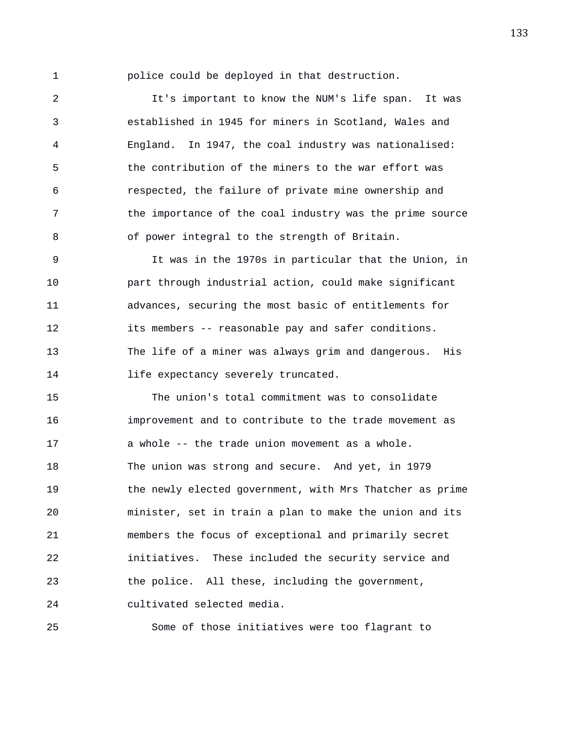1 police could be deployed in that destruction.

2 It's important to know the NUM's life span. It was 3 established in 1945 for miners in Scotland, Wales and 4 England. In 1947, the coal industry was nationalised: 5 the contribution of the miners to the war effort was 6 respected, the failure of private mine ownership and 7 the importance of the coal industry was the prime source 8 of power integral to the strength of Britain.

9 It was in the 1970s in particular that the Union, in 10 part through industrial action, could make significant 11 advances, securing the most basic of entitlements for 12 its members -- reasonable pay and safer conditions. 13 The life of a miner was always grim and dangerous. His 14 **life expectancy severely truncated.** 

15 The union's total commitment was to consolidate 16 improvement and to contribute to the trade movement as 17 a whole -- the trade union movement as a whole. 18 The union was strong and secure. And yet, in 1979 19 the newly elected government, with Mrs Thatcher as prime 20 minister, set in train a plan to make the union and its 21 members the focus of exceptional and primarily secret 22 initiatives. These included the security service and 23 the police. All these, including the government, 24 cultivated selected media.

25 Some of those initiatives were too flagrant to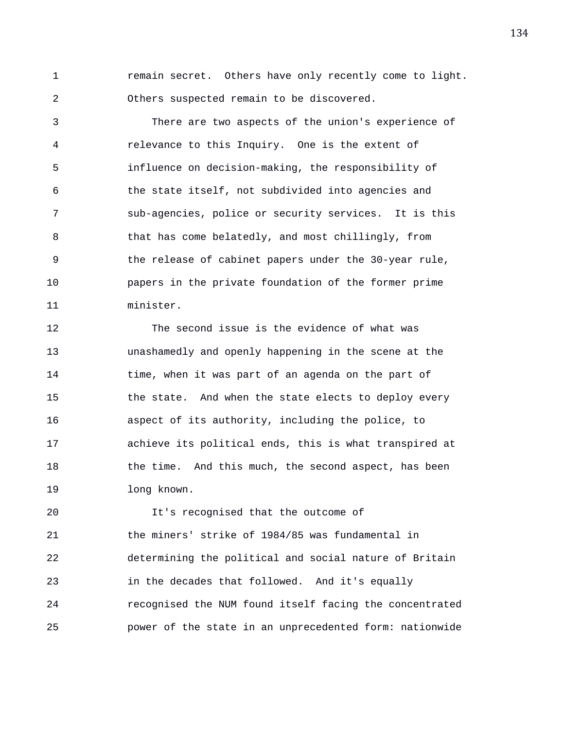1 remain secret. Others have only recently come to light. 2 Others suspected remain to be discovered.

3 There are two aspects of the union's experience of 4 relevance to this Inquiry. One is the extent of 5 influence on decision-making, the responsibility of 6 the state itself, not subdivided into agencies and 7 sub-agencies, police or security services. It is this 8 that has come belatedly, and most chillingly, from 9 the release of cabinet papers under the 30-year rule, 10 papers in the private foundation of the former prime 11 minister.

12 The second issue is the evidence of what was 13 unashamedly and openly happening in the scene at the 14 time, when it was part of an agenda on the part of 15 the state. And when the state elects to deploy every 16 aspect of its authority, including the police, to 17 achieve its political ends, this is what transpired at 18 the time. And this much, the second aspect, has been 19 long known.

20 It's recognised that the outcome of 21 the miners' strike of 1984/85 was fundamental in 22 determining the political and social nature of Britain 23 in the decades that followed. And it's equally 24 recognised the NUM found itself facing the concentrated 25 power of the state in an unprecedented form: nationwide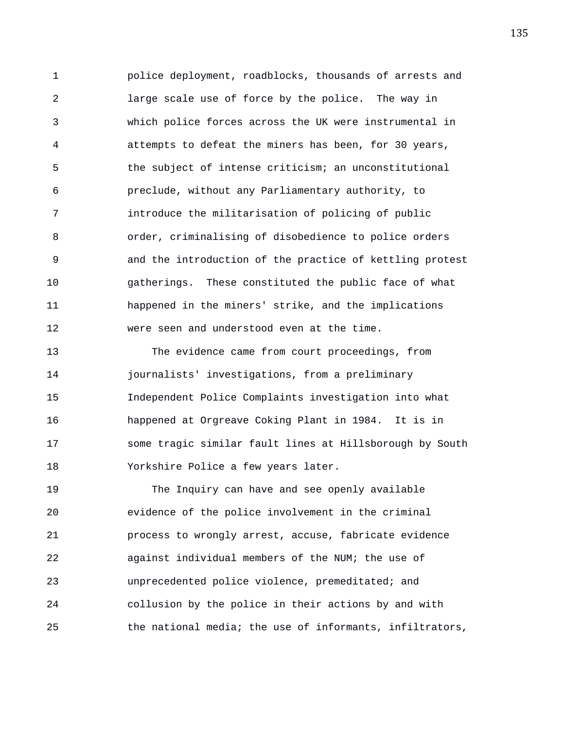1 police deployment, roadblocks, thousands of arrests and 2 large scale use of force by the police. The way in 3 which police forces across the UK were instrumental in 4 attempts to defeat the miners has been, for 30 years, 5 the subject of intense criticism; an unconstitutional 6 preclude, without any Parliamentary authority, to 7 introduce the militarisation of policing of public 8 order, criminalising of disobedience to police orders 9 and the introduction of the practice of kettling protest 10 gatherings. These constituted the public face of what 11 happened in the miners' strike, and the implications 12 were seen and understood even at the time.

13 The evidence came from court proceedings, from 14 journalists' investigations, from a preliminary 15 Independent Police Complaints investigation into what 16 happened at Orgreave Coking Plant in 1984. It is in 17 some tragic similar fault lines at Hillsborough by South 18 Yorkshire Police a few years later.

19 The Inquiry can have and see openly available 20 evidence of the police involvement in the criminal 21 process to wrongly arrest, accuse, fabricate evidence 22 against individual members of the NUM; the use of 23 unprecedented police violence, premeditated; and 24 collusion by the police in their actions by and with 25 the national media; the use of informants, infiltrators,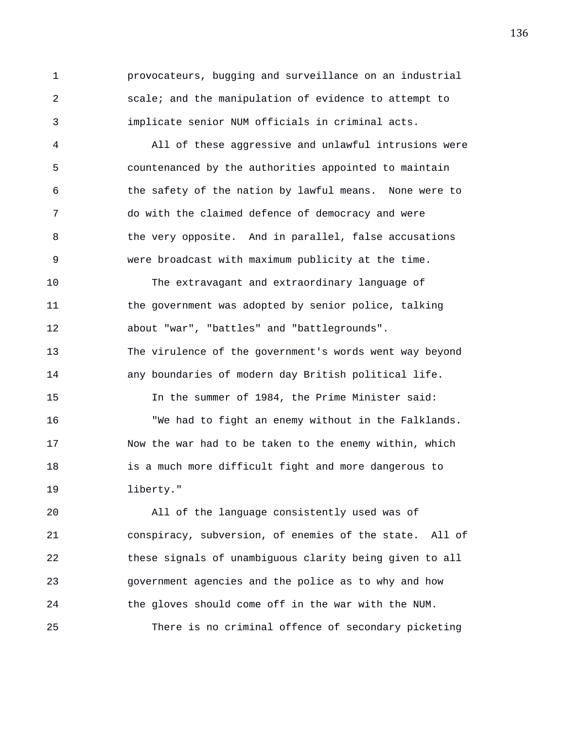1 provocateurs, bugging and surveillance on an industrial 2 scale; and the manipulation of evidence to attempt to 3 implicate senior NUM officials in criminal acts.

4 All of these aggressive and unlawful intrusions were 5 countenanced by the authorities appointed to maintain 6 the safety of the nation by lawful means. None were to 7 do with the claimed defence of democracy and were 8 6 1 the very opposite. And in parallel, false accusations 9 were broadcast with maximum publicity at the time.

10 The extravagant and extraordinary language of 11 the government was adopted by senior police, talking 12 about "war", "battles" and "battlegrounds". 13 The virulence of the government's words went way beyond 14 any boundaries of modern day British political life. 15 In the summer of 1984, the Prime Minister said: 16 "We had to fight an enemy without in the Falklands. 17 Now the war had to be taken to the enemy within, which 18 is a much more difficult fight and more dangerous to 19 liberty."

20 All of the language consistently used was of 21 conspiracy, subversion, of enemies of the state. All of 22 these signals of unambiguous clarity being given to all 23 government agencies and the police as to why and how 24 the gloves should come off in the war with the NUM. 25 There is no criminal offence of secondary picketing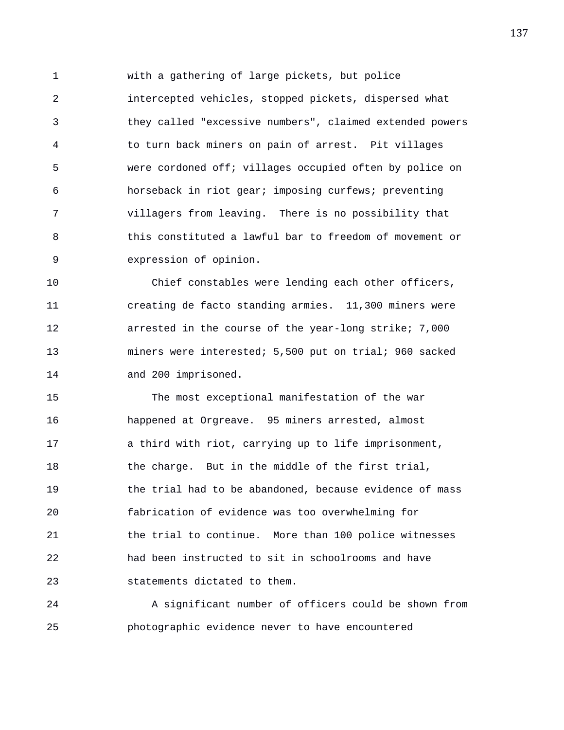1 with a gathering of large pickets, but police 2 intercepted vehicles, stopped pickets, dispersed what 3 they called "excessive numbers", claimed extended powers 4 to turn back miners on pain of arrest. Pit villages 5 were cordoned off; villages occupied often by police on 6 horseback in riot gear; imposing curfews; preventing 7 villagers from leaving. There is no possibility that 8 this constituted a lawful bar to freedom of movement or 9 expression of opinion.

10 Chief constables were lending each other officers, 11 creating de facto standing armies. 11,300 miners were 12 arrested in the course of the year-long strike; 7,000 13 miners were interested; 5,500 put on trial; 960 sacked 14 and 200 imprisoned.

15 The most exceptional manifestation of the war 16 happened at Orgreave. 95 miners arrested, almost 17 a third with riot, carrying up to life imprisonment, 18 the charge. But in the middle of the first trial, 19 the trial had to be abandoned, because evidence of mass 20 fabrication of evidence was too overwhelming for 21 the trial to continue. More than 100 police witnesses 22 had been instructed to sit in schoolrooms and have 23 statements dictated to them.

24 A significant number of officers could be shown from 25 photographic evidence never to have encountered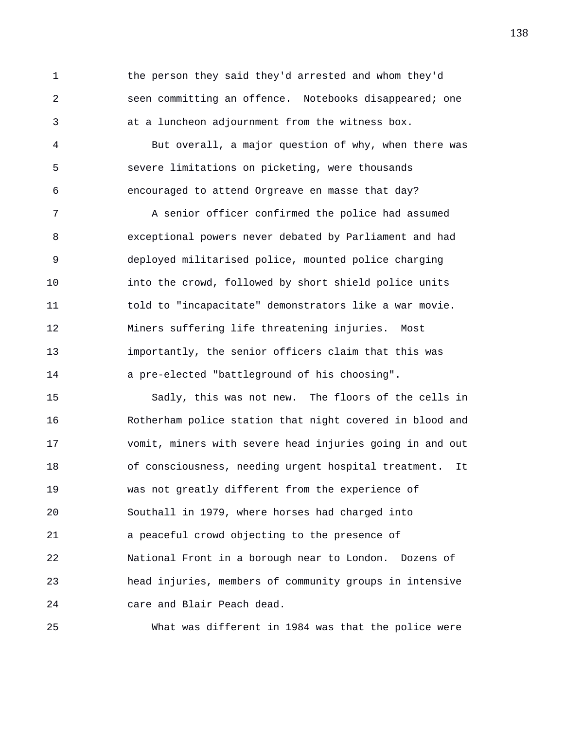1 the person they said they'd arrested and whom they'd 2 seen committing an offence. Notebooks disappeared; one 3 at a luncheon adjournment from the witness box.

4 But overall, a major question of why, when there was 5 severe limitations on picketing, were thousands 6 encouraged to attend Orgreave en masse that day?

7 A senior officer confirmed the police had assumed 8 exceptional powers never debated by Parliament and had 9 deployed militarised police, mounted police charging 10 into the crowd, followed by short shield police units 11 told to "incapacitate" demonstrators like a war movie. 12 Miners suffering life threatening injuries. Most 13 importantly, the senior officers claim that this was 14 a pre-elected "battleground of his choosing".

15 Sadly, this was not new. The floors of the cells in 16 Rotherham police station that night covered in blood and 17 vomit, miners with severe head injuries going in and out 18 of consciousness, needing urgent hospital treatment. It 19 was not greatly different from the experience of 20 Southall in 1979, where horses had charged into 21 a peaceful crowd objecting to the presence of 22 National Front in a borough near to London. Dozens of 23 head injuries, members of community groups in intensive 24 care and Blair Peach dead.

25 What was different in 1984 was that the police were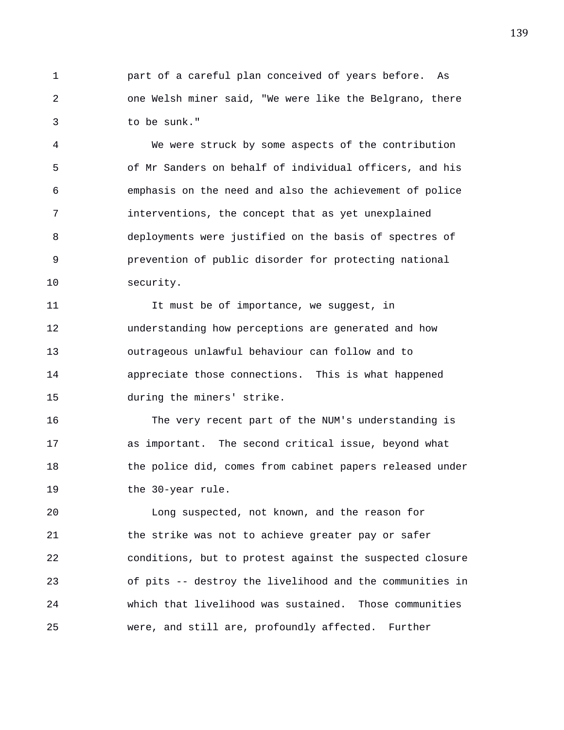1 part of a careful plan conceived of years before. As 2 one Welsh miner said, "We were like the Belgrano, there 3 to be sunk."

4 We were struck by some aspects of the contribution 5 of Mr Sanders on behalf of individual officers, and his 6 emphasis on the need and also the achievement of police 7 interventions, the concept that as yet unexplained 8 deployments were justified on the basis of spectres of 9 prevention of public disorder for protecting national 10 security.

11 11 It must be of importance, we suqqest, in 12 understanding how perceptions are generated and how 13 outrageous unlawful behaviour can follow and to 14 appreciate those connections. This is what happened 15 during the miners' strike.

16 The very recent part of the NUM's understanding is 17 as important. The second critical issue, beyond what 18 the police did, comes from cabinet papers released under 19 the 30-year rule.

20 Long suspected, not known, and the reason for 21 the strike was not to achieve greater pay or safer 22 conditions, but to protest against the suspected closure 23 of pits -- destroy the livelihood and the communities in 24 which that livelihood was sustained. Those communities 25 were, and still are, profoundly affected. Further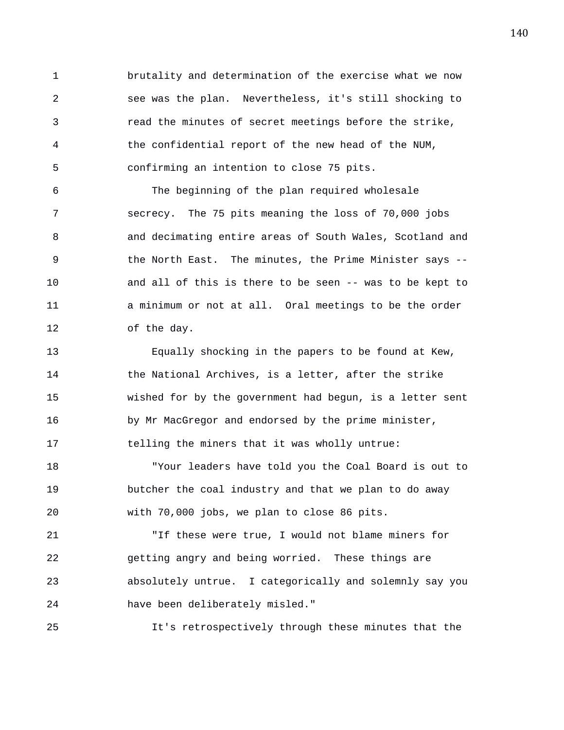1 brutality and determination of the exercise what we now 2 see was the plan. Nevertheless, it's still shocking to 3 read the minutes of secret meetings before the strike, 4 the confidential report of the new head of the NUM, 5 confirming an intention to close 75 pits.

6 The beginning of the plan required wholesale 7 secrecy. The 75 pits meaning the loss of 70,000 jobs 8 and decimating entire areas of South Wales, Scotland and 9 the North East. The minutes, the Prime Minister says -- 10 and all of this is there to be seen -- was to be kept to 11 a minimum or not at all. Oral meetings to be the order 12 of the day.

13 Equally shocking in the papers to be found at Kew, 14 the National Archives, is a letter, after the strike 15 wished for by the government had begun, is a letter sent 16 by Mr MacGregor and endorsed by the prime minister, 17 telling the miners that it was wholly untrue:

18 "Your leaders have told you the Coal Board is out to 19 butcher the coal industry and that we plan to do away 20 with 70,000 jobs, we plan to close 86 pits.

21 "If these were true, I would not blame miners for 22 getting angry and being worried. These things are 23 absolutely untrue. I categorically and solemnly say you 24 have been deliberately misled."

25 It's retrospectively through these minutes that the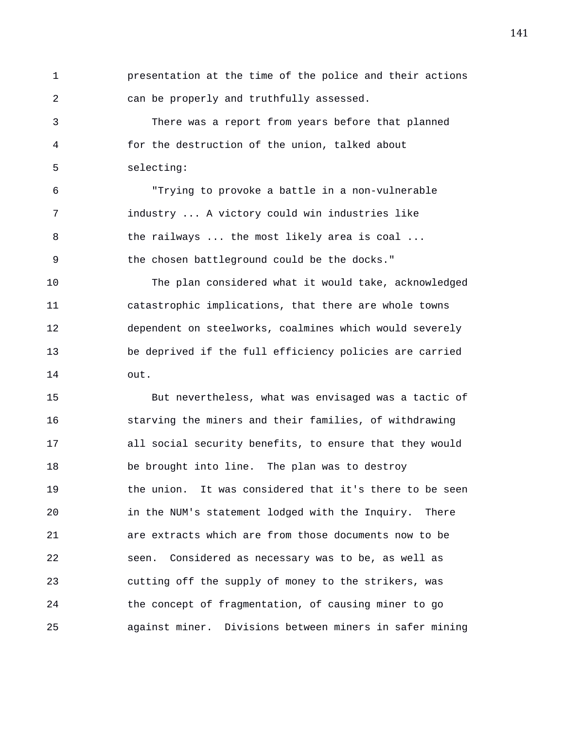1 presentation at the time of the police and their actions 2 can be properly and truthfully assessed. 3 There was a report from years before that planned 4 for the destruction of the union, talked about 5 selecting: 6 "Trying to provoke a battle in a non-vulnerable 7 industry ... A victory could win industries like 8 the railways ... the most likely area is coal ... 9 the chosen battleground could be the docks." 10 The plan considered what it would take, acknowledged 11 catastrophic implications, that there are whole towns 12 dependent on steelworks, coalmines which would severely 13 be deprived if the full efficiency policies are carried

15 But nevertheless, what was envisaged was a tactic of 16 starving the miners and their families, of withdrawing 17 all social security benefits, to ensure that they would 18 be brought into line. The plan was to destroy 19 the union. It was considered that it's there to be seen 20 in the NUM's statement lodged with the Inquiry. There 21 are extracts which are from those documents now to be 22 seen. Considered as necessary was to be, as well as 23 cutting off the supply of money to the strikers, was 24 the concept of fragmentation, of causing miner to go 25 against miner. Divisions between miners in safer mining

14 out.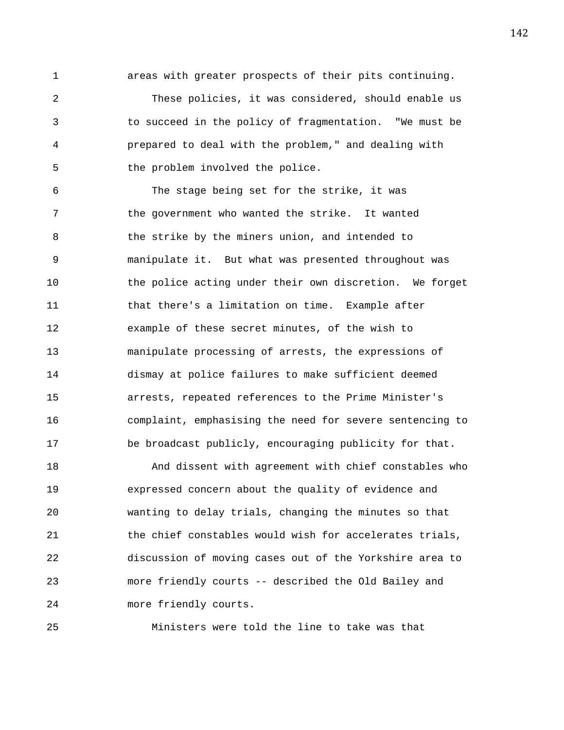1 areas with greater prospects of their pits continuing.

2 These policies, it was considered, should enable us 3 to succeed in the policy of fragmentation. "We must be 4 prepared to deal with the problem," and dealing with 5 the problem involved the police.

6 The stage being set for the strike, it was 7 the government who wanted the strike. It wanted 8 the strike by the miners union, and intended to 9 manipulate it. But what was presented throughout was 10 the police acting under their own discretion. We forget 11 that there's a limitation on time. Example after 12 example of these secret minutes, of the wish to 13 manipulate processing of arrests, the expressions of 14 dismay at police failures to make sufficient deemed 15 arrests, repeated references to the Prime Minister's 16 complaint, emphasising the need for severe sentencing to 17 be broadcast publicly, encouraging publicity for that.

18 And dissent with agreement with chief constables who 19 expressed concern about the quality of evidence and 20 wanting to delay trials, changing the minutes so that 21 the chief constables would wish for accelerates trials, 22 discussion of moving cases out of the Yorkshire area to 23 more friendly courts -- described the Old Bailey and 24 more friendly courts.

25 Ministers were told the line to take was that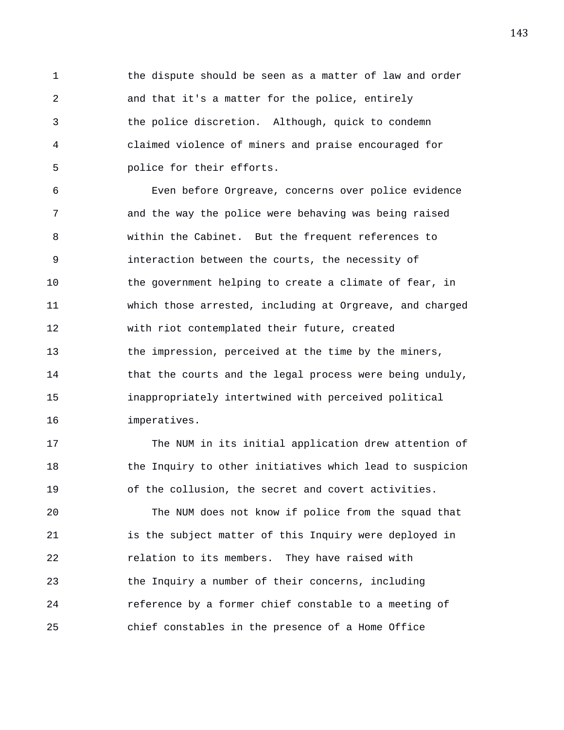1 the dispute should be seen as a matter of law and order 2 and that it's a matter for the police, entirely 3 the police discretion. Although, quick to condemn 4 claimed violence of miners and praise encouraged for 5 police for their efforts.

6 Even before Orgreave, concerns over police evidence 7 and the way the police were behaving was being raised 8 within the Cabinet. But the frequent references to 9 interaction between the courts, the necessity of 10 the government helping to create a climate of fear, in 11 which those arrested, including at Orgreave, and charged 12 with riot contemplated their future, created 13 the impression, perceived at the time by the miners, 14 that the courts and the legal process were being unduly, 15 inappropriately intertwined with perceived political 16 imperatives.

17 The NUM in its initial application drew attention of 18 the Inquiry to other initiatives which lead to suspicion 19 of the collusion, the secret and covert activities.

20 The NUM does not know if police from the squad that 21 is the subject matter of this Inquiry were deployed in 22 relation to its members. They have raised with 23 the Inquiry a number of their concerns, including 24 reference by a former chief constable to a meeting of 25 chief constables in the presence of a Home Office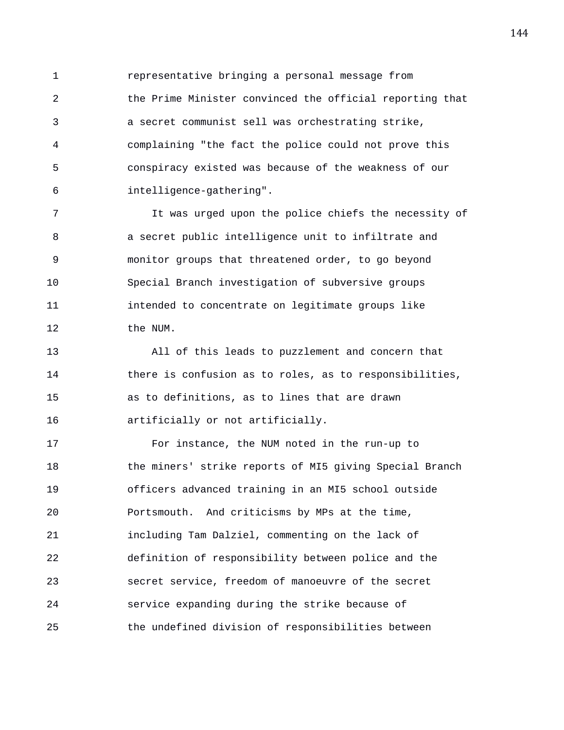1 representative bringing a personal message from 2 the Prime Minister convinced the official reporting that 3 a secret communist sell was orchestrating strike, 4 complaining "the fact the police could not prove this 5 conspiracy existed was because of the weakness of our 6 intelligence-gathering".

7 It was urged upon the police chiefs the necessity of 8 a secret public intelligence unit to infiltrate and 9 monitor groups that threatened order, to go beyond 10 Special Branch investigation of subversive groups 11 intended to concentrate on legitimate groups like 12 the NUM.

13 All of this leads to puzzlement and concern that 14 there is confusion as to roles, as to responsibilities, 15 as to definitions, as to lines that are drawn 16 artificially or not artificially.

17 For instance, the NUM noted in the run-up to 18 the miners' strike reports of MI5 giving Special Branch 19 officers advanced training in an MI5 school outside 20 Portsmouth. And criticisms by MPs at the time, 21 including Tam Dalziel, commenting on the lack of 22 definition of responsibility between police and the 23 secret service, freedom of manoeuvre of the secret 24 service expanding during the strike because of 25 the undefined division of responsibilities between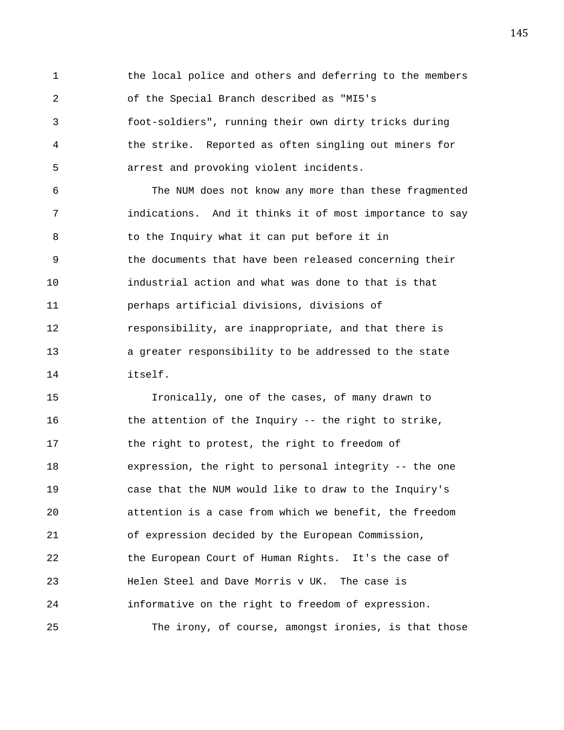1 the local police and others and deferring to the members 2 of the Special Branch described as "MI5's 3 foot-soldiers", running their own dirty tricks during 4 the strike. Reported as often singling out miners for 5 arrest and provoking violent incidents.

6 The NUM does not know any more than these fragmented 7 indications. And it thinks it of most importance to say 8 to the Inquiry what it can put before it in 9 the documents that have been released concerning their 10 industrial action and what was done to that is that 11 perhaps artificial divisions, divisions of 12 responsibility, are inappropriate, and that there is 13 a greater responsibility to be addressed to the state 14 itself.

15 Ironically, one of the cases, of many drawn to 16 the attention of the Inquiry -- the right to strike, 17 the right to protest, the right to freedom of 18 expression, the right to personal integrity -- the one 19 case that the NUM would like to draw to the Inquiry's 20 attention is a case from which we benefit, the freedom 21 of expression decided by the European Commission, 22 the European Court of Human Rights. It's the case of 23 Helen Steel and Dave Morris v UK. The case is 24 informative on the right to freedom of expression. 25 The irony, of course, amongst ironies, is that those 145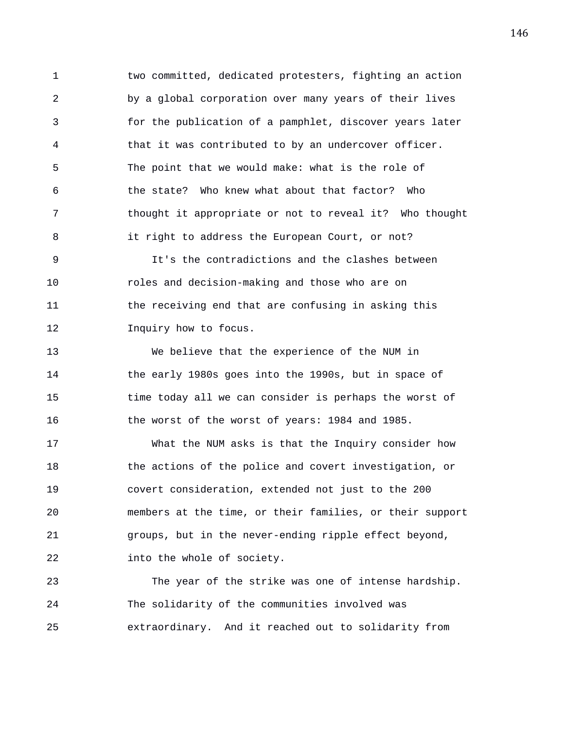1 two committed, dedicated protesters, fighting an action 2 by a global corporation over many years of their lives 3 for the publication of a pamphlet, discover years later 4 that it was contributed to by an undercover officer. 5 The point that we would make: what is the role of 6 the state? Who knew what about that factor? Who 7 thought it appropriate or not to reveal it? Who thought 8 it right to address the European Court, or not?

9 It's the contradictions and the clashes between 10 roles and decision-making and those who are on 11 the receiving end that are confusing in asking this 12 **Inquiry how to focus.** 

13 We believe that the experience of the NUM in 14 the early 1980s goes into the 1990s, but in space of 15 time today all we can consider is perhaps the worst of 16 the worst of the worst of years: 1984 and 1985.

17 What the NUM asks is that the Inquiry consider how 18 the actions of the police and covert investigation, or 19 covert consideration, extended not just to the 200 20 members at the time, or their families, or their support 21 groups, but in the never-ending ripple effect beyond, 22 into the whole of society.

23 The year of the strike was one of intense hardship. 24 The solidarity of the communities involved was 25 extraordinary. And it reached out to solidarity from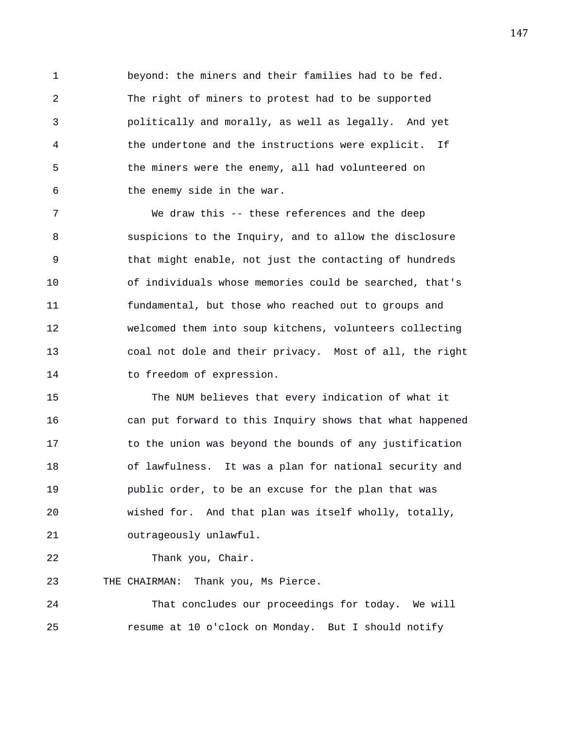1 beyond: the miners and their families had to be fed. 2 The right of miners to protest had to be supported 3 politically and morally, as well as legally. And yet 4 the undertone and the instructions were explicit. If 5 the miners were the enemy, all had volunteered on 6 the enemy side in the war.

7 We draw this -- these references and the deep 8 suspicions to the Inquiry, and to allow the disclosure 9 that might enable, not just the contacting of hundreds 10 of individuals whose memories could be searched, that's 11 fundamental, but those who reached out to groups and 12 welcomed them into soup kitchens, volunteers collecting 13 coal not dole and their privacy. Most of all, the right 14 to freedom of expression.

15 The NUM believes that every indication of what it 16 can put forward to this Inquiry shows that what happened 17 to the union was beyond the bounds of any justification 18 of lawfulness. It was a plan for national security and 19 public order, to be an excuse for the plan that was 20 wished for. And that plan was itself wholly, totally, 21 outrageously unlawful.

22 Thank you, Chair.

23 THE CHAIRMAN: Thank you, Ms Pierce.

24 That concludes our proceedings for today. We will 25 resume at 10 o'clock on Monday. But I should notify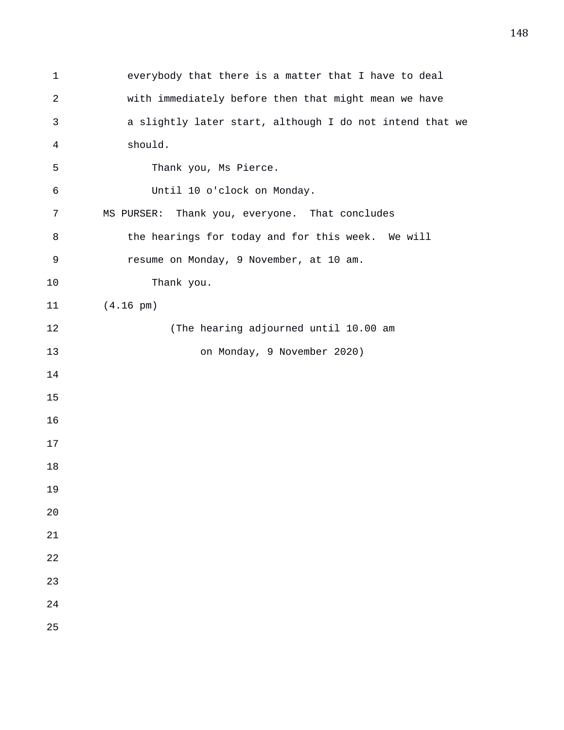| $\mathbf 1$    | everybody that there is a matter that I have to deal     |
|----------------|----------------------------------------------------------|
| $\overline{c}$ | with immediately before then that might mean we have     |
| 3              | a slightly later start, although I do not intend that we |
| 4              | should.                                                  |
| 5              | Thank you, Ms Pierce.                                    |
| 6              | Until 10 o'clock on Monday.                              |
| 7              | MS PURSER: Thank you, everyone. That concludes           |
| 8              | the hearings for today and for this week. We will        |
| 9              | resume on Monday, 9 November, at 10 am.                  |
| 10             | Thank you.                                               |
| 11             | $(4.16 \text{ pm})$                                      |
| 12             | (The hearing adjourned until 10.00 am                    |
| 13             | on Monday, 9 November 2020)                              |
| 14             |                                                          |
| 15             |                                                          |
| 16             |                                                          |
| 17             |                                                          |
| 18             |                                                          |
| 19             |                                                          |
| 20             |                                                          |
| 21             |                                                          |
| 22             |                                                          |
| 23             |                                                          |
| 24             |                                                          |
| 25             |                                                          |